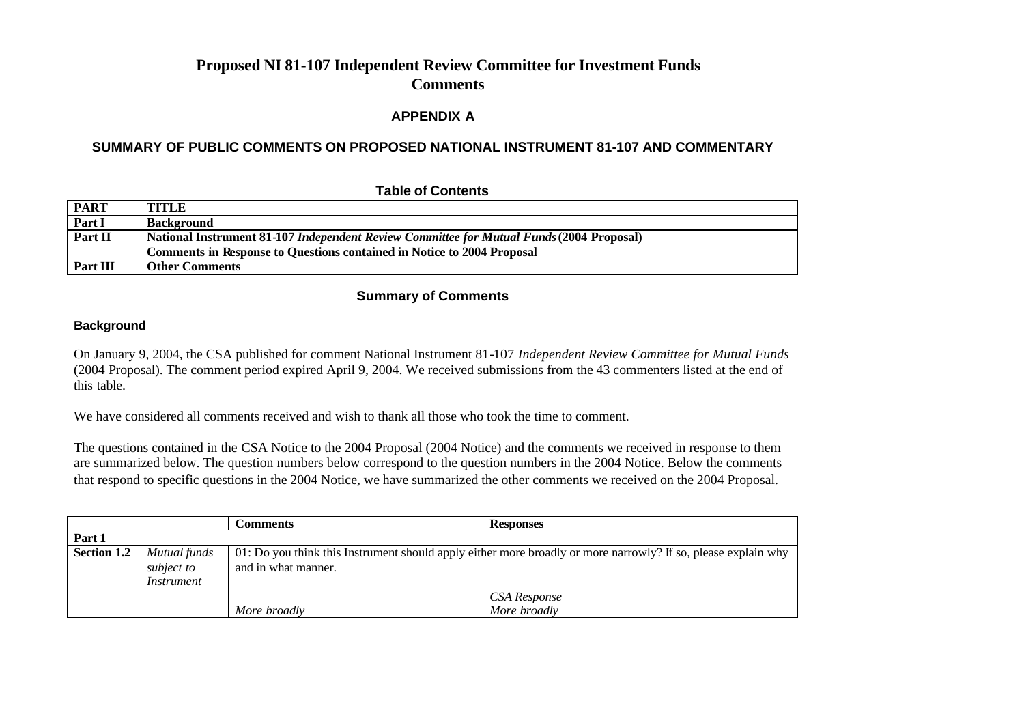#### **APPENDIX A**

#### **SUMMARY OF PUBLIC COMMENTS ON PROPOSED NATIONAL INSTRUMENT 81-107 AND COMMENTARY**

| <b>PART</b> | <b>TITLE</b>                                                                             |  |  |
|-------------|------------------------------------------------------------------------------------------|--|--|
| Part I      | Background                                                                               |  |  |
| Part II     | National Instrument 81-107 Independent Review Committee for Mutual Funds (2004 Proposal) |  |  |
|             | <b>Comments in Response to Questions contained in Notice to 2004 Proposal</b>            |  |  |
| Part III    | <b>Other Comments</b>                                                                    |  |  |

#### **Table of Contents**

#### **Summary of Comments**

#### **Background**

On January 9, 2004, the CSA published for comment National Instrument 81-107 *Independent Review Committee for Mutual Funds*  (2004 Proposal). The comment period expired April 9, 2004. We received submissions from the 43 commenters listed at the end of this table.

We have considered all comments received and wish to thank all those who took the time to comment.

The questions contained in the CSA Notice to the 2004 Proposal (2004 Notice) and the comments we received in response to them are summarized below. The question numbers below correspond to the question numbers in the 2004 Notice. Below the comments that respond to specific questions in the 2004 Notice, we have summarized the other comments we received on the 2004 Proposal.

|             |                                          | <b>Comments</b>                                                                                                                      | <b>Responses</b>                          |
|-------------|------------------------------------------|--------------------------------------------------------------------------------------------------------------------------------------|-------------------------------------------|
| Part 1      |                                          |                                                                                                                                      |                                           |
| Section 1.2 | Mutual funds<br>subject to<br>Instrument | 01: Do you think this Instrument should apply either more broadly or more narrowly? If so, please explain why<br>and in what manner. |                                           |
|             |                                          | More broadly                                                                                                                         | <sup>1</sup> CSA Response<br>More broadly |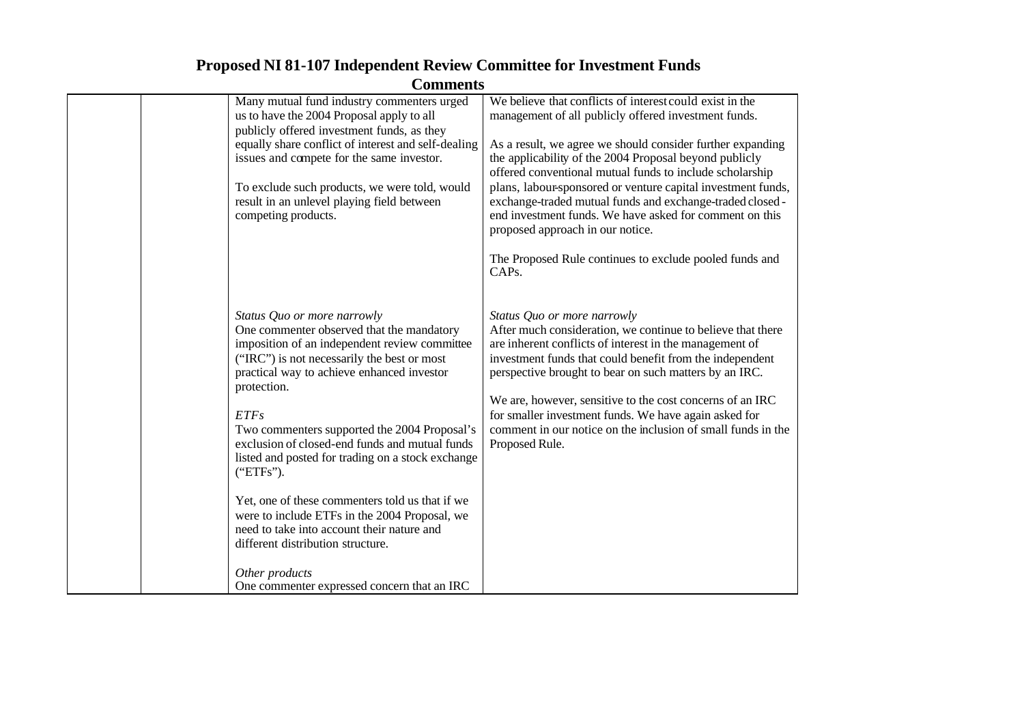| <b>Proposed NI 81-107 Independent Review Committee for Investment Funds</b> |
|-----------------------------------------------------------------------------|
| <b>Comments</b>                                                             |

|  | Many mutual fund industry commenters urged                                                                         | We believe that conflicts of interest could exist in the                                                                                                                                                                |
|--|--------------------------------------------------------------------------------------------------------------------|-------------------------------------------------------------------------------------------------------------------------------------------------------------------------------------------------------------------------|
|  | us to have the 2004 Proposal apply to all                                                                          | management of all publicly offered investment funds.                                                                                                                                                                    |
|  | publicly offered investment funds, as they<br>equally share conflict of interest and self-dealing                  |                                                                                                                                                                                                                         |
|  | issues and compete for the same investor.                                                                          | As a result, we agree we should consider further expanding<br>the applicability of the 2004 Proposal beyond publicly                                                                                                    |
|  |                                                                                                                    | offered conventional mutual funds to include scholarship                                                                                                                                                                |
|  | To exclude such products, we were told, would<br>result in an unlevel playing field between<br>competing products. | plans, labour-sponsored or venture capital investment funds,<br>exchange-traded mutual funds and exchange-traded closed-<br>end investment funds. We have asked for comment on this<br>proposed approach in our notice. |
|  |                                                                                                                    | The Proposed Rule continues to exclude pooled funds and<br>CAP <sub>s</sub> .                                                                                                                                           |
|  | Status Quo or more narrowly                                                                                        | Status Quo or more narrowly                                                                                                                                                                                             |
|  | One commenter observed that the mandatory                                                                          | After much consideration, we continue to believe that there                                                                                                                                                             |
|  | imposition of an independent review committee<br>("IRC") is not necessarily the best or most                       | are inherent conflicts of interest in the management of<br>investment funds that could benefit from the independent                                                                                                     |
|  | practical way to achieve enhanced investor<br>protection.                                                          | perspective brought to bear on such matters by an IRC.                                                                                                                                                                  |
|  |                                                                                                                    | We are, however, sensitive to the cost concerns of an IRC                                                                                                                                                               |
|  | <b>ETFs</b>                                                                                                        | for smaller investment funds. We have again asked for                                                                                                                                                                   |
|  | Two commenters supported the 2004 Proposal's                                                                       | comment in our notice on the inclusion of small funds in the                                                                                                                                                            |
|  | exclusion of closed-end funds and mutual funds<br>listed and posted for trading on a stock exchange                | Proposed Rule.                                                                                                                                                                                                          |
|  | ("ETFs").                                                                                                          |                                                                                                                                                                                                                         |
|  | Yet, one of these commenters told us that if we                                                                    |                                                                                                                                                                                                                         |
|  | were to include ETFs in the 2004 Proposal, we                                                                      |                                                                                                                                                                                                                         |
|  | need to take into account their nature and                                                                         |                                                                                                                                                                                                                         |
|  | different distribution structure.                                                                                  |                                                                                                                                                                                                                         |
|  | Other products                                                                                                     |                                                                                                                                                                                                                         |
|  | One commenter expressed concern that an IRC                                                                        |                                                                                                                                                                                                                         |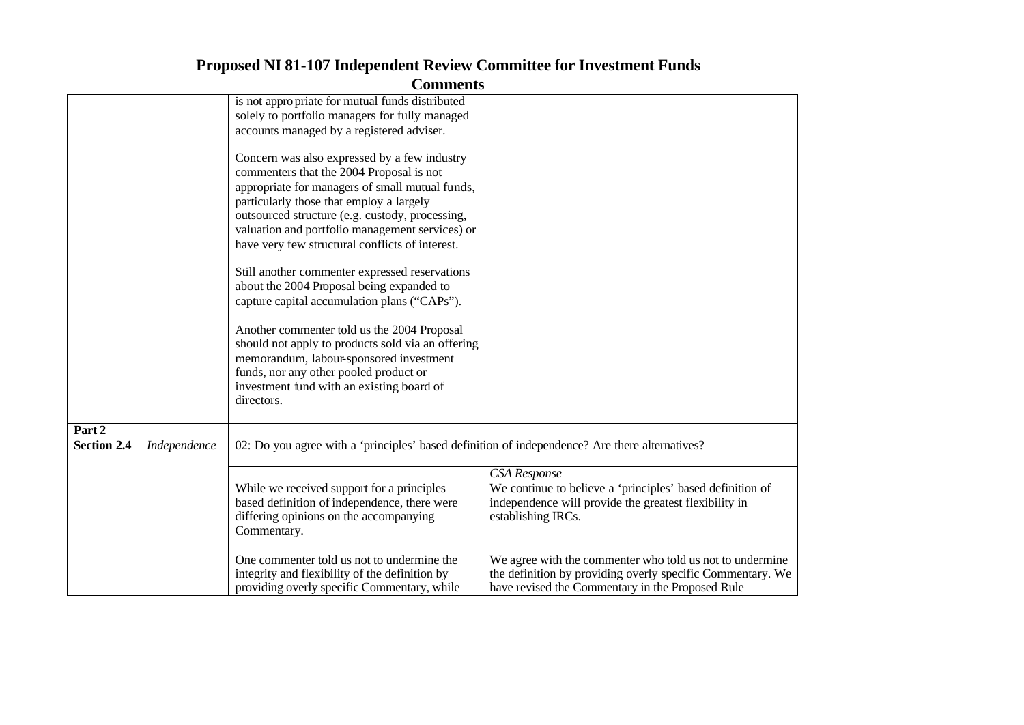|                    |              | <b>Comments</b>                                                                                                                                                                                                                                                                                                                                                                                                                                                                                                                                                                                                                                                                                                                                                                                                                                                                                       |                                                                                                                                                                                                                             |
|--------------------|--------------|-------------------------------------------------------------------------------------------------------------------------------------------------------------------------------------------------------------------------------------------------------------------------------------------------------------------------------------------------------------------------------------------------------------------------------------------------------------------------------------------------------------------------------------------------------------------------------------------------------------------------------------------------------------------------------------------------------------------------------------------------------------------------------------------------------------------------------------------------------------------------------------------------------|-----------------------------------------------------------------------------------------------------------------------------------------------------------------------------------------------------------------------------|
|                    |              | is not appropriate for mutual funds distributed<br>solely to portfolio managers for fully managed<br>accounts managed by a registered adviser.<br>Concern was also expressed by a few industry<br>commenters that the 2004 Proposal is not<br>appropriate for managers of small mutual funds,<br>particularly those that employ a largely<br>outsourced structure (e.g. custody, processing,<br>valuation and portfolio management services) or<br>have very few structural conflicts of interest.<br>Still another commenter expressed reservations<br>about the 2004 Proposal being expanded to<br>capture capital accumulation plans ("CAPs").<br>Another commenter told us the 2004 Proposal<br>should not apply to products sold via an offering<br>memorandum, labour-sponsored investment<br>funds, nor any other pooled product or<br>investment fund with an existing board of<br>directors. |                                                                                                                                                                                                                             |
| Part 2             |              |                                                                                                                                                                                                                                                                                                                                                                                                                                                                                                                                                                                                                                                                                                                                                                                                                                                                                                       |                                                                                                                                                                                                                             |
| <b>Section 2.4</b> | Independence | 02: Do you agree with a 'principles' based definition of independence? Are there alternatives?                                                                                                                                                                                                                                                                                                                                                                                                                                                                                                                                                                                                                                                                                                                                                                                                        |                                                                                                                                                                                                                             |
|                    |              | While we received support for a principles<br>based definition of independence, there were<br>differing opinions on the accompanying<br>Commentary.<br>One commenter told us not to undermine the                                                                                                                                                                                                                                                                                                                                                                                                                                                                                                                                                                                                                                                                                                     | <b>CSA</b> Response<br>We continue to believe a 'principles' based definition of<br>independence will provide the greatest flexibility in<br>establishing IRCs.<br>We agree with the commenter who told us not to undermine |
|                    |              | integrity and flexibility of the definition by<br>providing overly specific Commentary, while                                                                                                                                                                                                                                                                                                                                                                                                                                                                                                                                                                                                                                                                                                                                                                                                         | the definition by providing overly specific Commentary. We<br>have revised the Commentary in the Proposed Rule                                                                                                              |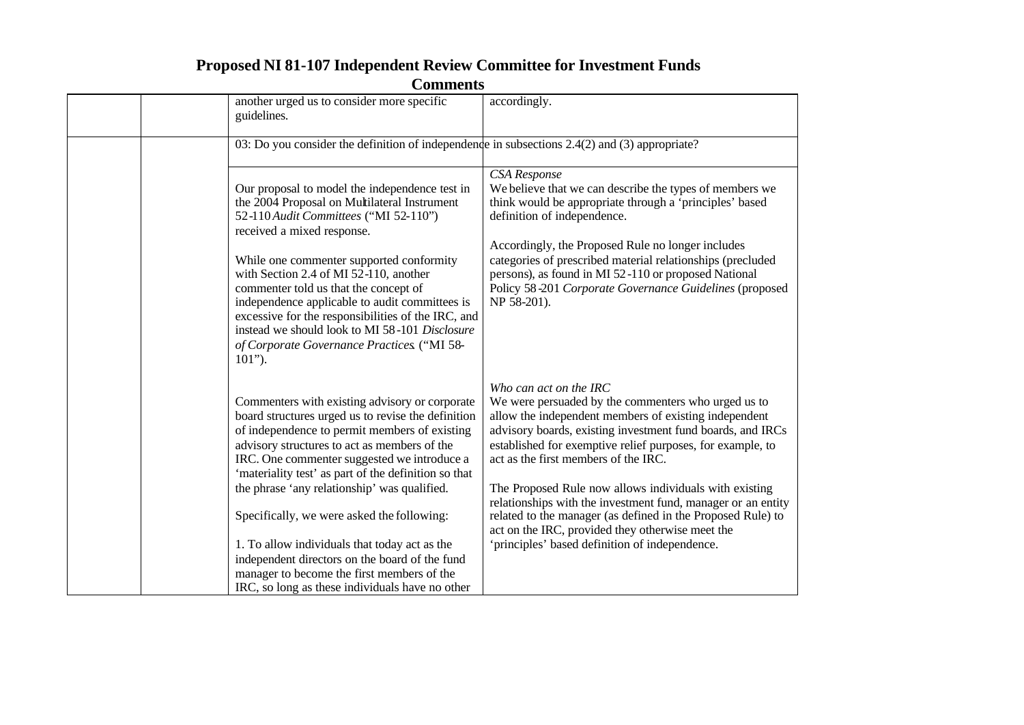| <b>Comments</b> |                                                                                                                                                                                                                                                                                                              |                                                                                                                                                                                                                                                                                                            |  |
|-----------------|--------------------------------------------------------------------------------------------------------------------------------------------------------------------------------------------------------------------------------------------------------------------------------------------------------------|------------------------------------------------------------------------------------------------------------------------------------------------------------------------------------------------------------------------------------------------------------------------------------------------------------|--|
|                 | another urged us to consider more specific<br>guidelines.                                                                                                                                                                                                                                                    | accordingly.                                                                                                                                                                                                                                                                                               |  |
|                 | 03: Do you consider the definition of independence in subsections $2.4(2)$ and (3) appropriate?                                                                                                                                                                                                              |                                                                                                                                                                                                                                                                                                            |  |
|                 | Our proposal to model the independence test in<br>the 2004 Proposal on Multilateral Instrument<br>52-110 Audit Committees ("MI 52-110")<br>received a mixed response.<br>While one commenter supported conformity                                                                                            | CSA Response<br>We believe that we can describe the types of members we<br>think would be appropriate through a 'principles' based<br>definition of independence.<br>Accordingly, the Proposed Rule no longer includes<br>categories of prescribed material relationships (precluded                       |  |
|                 | with Section 2.4 of MI 52-110, another<br>commenter told us that the concept of<br>independence applicable to audit committees is<br>excessive for the responsibilities of the IRC, and<br>instead we should look to MI 58-101 Disclosure<br>of Corporate Governance Practices. ("MI 58-<br>$101$ ").        | persons), as found in MI 52-110 or proposed National<br>Policy 58-201 Corporate Governance Guidelines (proposed<br>NP 58-201).                                                                                                                                                                             |  |
|                 | Commenters with existing advisory or corporate<br>board structures urged us to revise the definition<br>of independence to permit members of existing<br>advisory structures to act as members of the<br>IRC. One commenter suggested we introduce a<br>'materiality test' as part of the definition so that | Who can act on the IRC<br>We were persuaded by the commenters who urged us to<br>allow the independent members of existing independent<br>advisory boards, existing investment fund boards, and IRCs<br>established for exemptive relief purposes, for example, to<br>act as the first members of the IRC. |  |
|                 | the phrase 'any relationship' was qualified.<br>Specifically, we were asked the following:                                                                                                                                                                                                                   | The Proposed Rule now allows individuals with existing<br>relationships with the investment fund, manager or an entity<br>related to the manager (as defined in the Proposed Rule) to<br>act on the IRC, provided they otherwise meet the                                                                  |  |
|                 | 1. To allow individuals that today act as the<br>independent directors on the board of the fund<br>manager to become the first members of the<br>IRC, so long as these individuals have no other                                                                                                             | 'principles' based definition of independence.                                                                                                                                                                                                                                                             |  |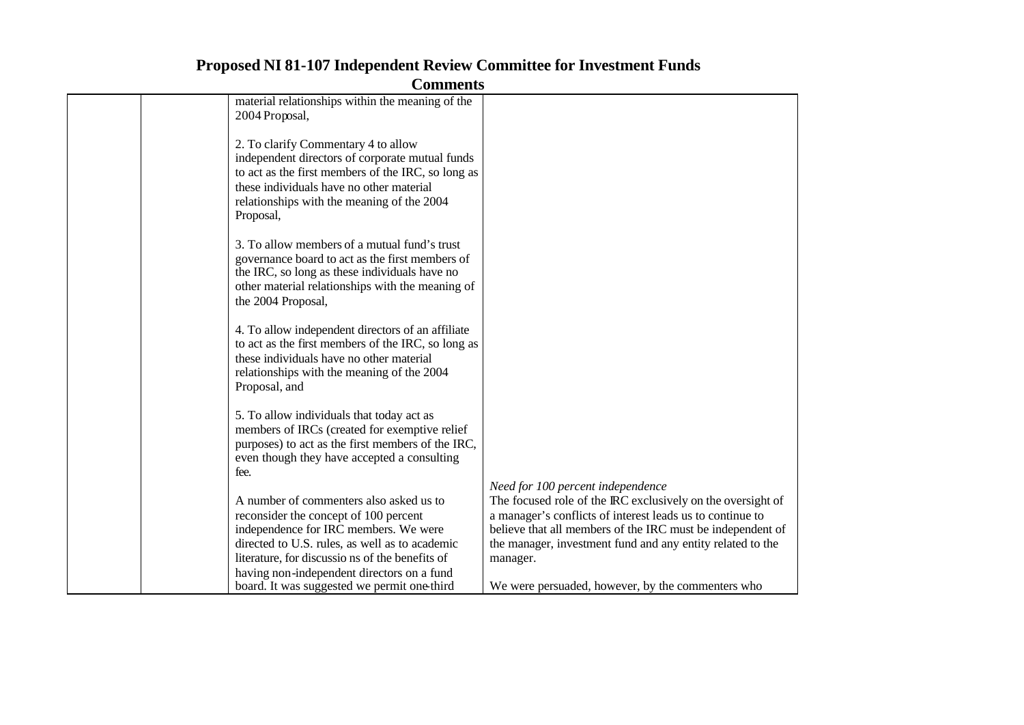|  | material relationships within the meaning of the   |                                                             |
|--|----------------------------------------------------|-------------------------------------------------------------|
|  |                                                    |                                                             |
|  | 2004 Proposal,                                     |                                                             |
|  |                                                    |                                                             |
|  | 2. To clarify Commentary 4 to allow                |                                                             |
|  | independent directors of corporate mutual funds    |                                                             |
|  | to act as the first members of the IRC, so long as |                                                             |
|  | these individuals have no other material           |                                                             |
|  | relationships with the meaning of the 2004         |                                                             |
|  | Proposal,                                          |                                                             |
|  |                                                    |                                                             |
|  | 3. To allow members of a mutual fund's trust       |                                                             |
|  | governance board to act as the first members of    |                                                             |
|  | the IRC, so long as these individuals have no      |                                                             |
|  | other material relationships with the meaning of   |                                                             |
|  | the 2004 Proposal,                                 |                                                             |
|  |                                                    |                                                             |
|  | 4. To allow independent directors of an affiliate  |                                                             |
|  | to act as the first members of the IRC, so long as |                                                             |
|  | these individuals have no other material           |                                                             |
|  | relationships with the meaning of the 2004         |                                                             |
|  | Proposal, and                                      |                                                             |
|  |                                                    |                                                             |
|  | 5. To allow individuals that today act as          |                                                             |
|  | members of IRCs (created for exemptive relief      |                                                             |
|  | purposes) to act as the first members of the IRC,  |                                                             |
|  | even though they have accepted a consulting        |                                                             |
|  | fee.                                               |                                                             |
|  |                                                    | Need for 100 percent independence                           |
|  | A number of commenters also asked us to            | The focused role of the IRC exclusively on the oversight of |
|  | reconsider the concept of 100 percent              | a manager's conflicts of interest leads us to continue to   |
|  | independence for IRC members. We were              | believe that all members of the IRC must be independent of  |
|  | directed to U.S. rules, as well as to academic     | the manager, investment fund and any entity related to the  |
|  |                                                    |                                                             |
|  | literature, for discussions of the benefits of     | manager.                                                    |
|  | having non-independent directors on a fund         |                                                             |
|  | board. It was suggested we permit one third        | We were persuaded, however, by the commenters who           |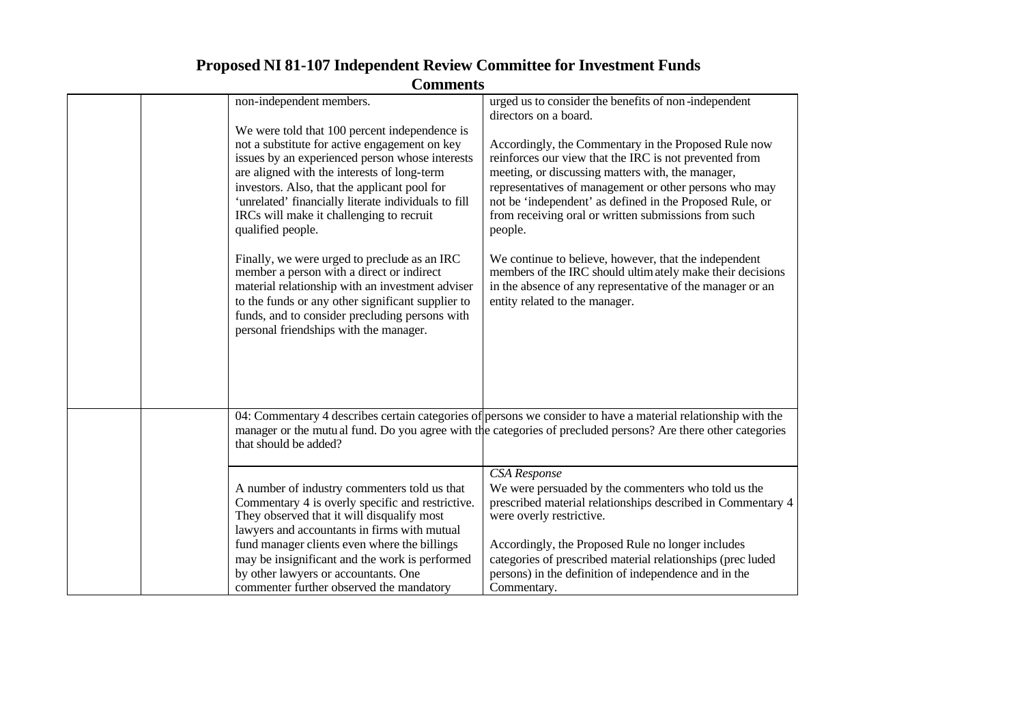|                          | - 01111110115                                                                                                                                                                                                                                                                                                                                                                                                                                                                                                                                                                                                                                          |                                                                                                                                                                                                                                                                                                                                                                                                                                                                                                                                                                                   |
|--------------------------|--------------------------------------------------------------------------------------------------------------------------------------------------------------------------------------------------------------------------------------------------------------------------------------------------------------------------------------------------------------------------------------------------------------------------------------------------------------------------------------------------------------------------------------------------------------------------------------------------------------------------------------------------------|-----------------------------------------------------------------------------------------------------------------------------------------------------------------------------------------------------------------------------------------------------------------------------------------------------------------------------------------------------------------------------------------------------------------------------------------------------------------------------------------------------------------------------------------------------------------------------------|
| non-independent members. |                                                                                                                                                                                                                                                                                                                                                                                                                                                                                                                                                                                                                                                        | urged us to consider the benefits of non-independent<br>directors on a board.                                                                                                                                                                                                                                                                                                                                                                                                                                                                                                     |
| qualified people.        | We were told that 100 percent independence is<br>not a substitute for active engagement on key<br>issues by an experienced person whose interests<br>are aligned with the interests of long-term<br>investors. Also, that the applicant pool for<br>'unrelated' financially literate individuals to fill<br>IRCs will make it challenging to recruit<br>Finally, we were urged to preclude as an IRC<br>member a person with a direct or indirect<br>material relationship with an investment adviser<br>to the funds or any other significant supplier to<br>funds, and to consider precluding persons with<br>personal friendships with the manager. | Accordingly, the Commentary in the Proposed Rule now<br>reinforces our view that the IRC is not prevented from<br>meeting, or discussing matters with, the manager,<br>representatives of management or other persons who may<br>not be 'independent' as defined in the Proposed Rule, or<br>from receiving oral or written submissions from such<br>people.<br>We continue to believe, however, that the independent<br>members of the IRC should ultimately make their decisions<br>in the absence of any representative of the manager or an<br>entity related to the manager. |
| that should be added?    |                                                                                                                                                                                                                                                                                                                                                                                                                                                                                                                                                                                                                                                        | 04: Commentary 4 describes certain categories of persons we consider to have a material relationship with the<br>manager or the mutual fund. Do you agree with the categories of precluded persons? Are there other categories                                                                                                                                                                                                                                                                                                                                                    |
|                          | A number of industry commenters told us that<br>Commentary 4 is overly specific and restrictive.<br>They observed that it will disqualify most<br>lawyers and accountants in firms with mutual<br>fund manager clients even where the billings<br>may be insignificant and the work is performed<br>by other lawyers or accountants. One<br>commenter further observed the mandatory                                                                                                                                                                                                                                                                   | CSA Response<br>We were persuaded by the commenters who told us the<br>prescribed material relationships described in Commentary 4<br>were overly restrictive.<br>Accordingly, the Proposed Rule no longer includes<br>categories of prescribed material relationships (prec luded<br>persons) in the definition of independence and in the<br>Commentary.                                                                                                                                                                                                                        |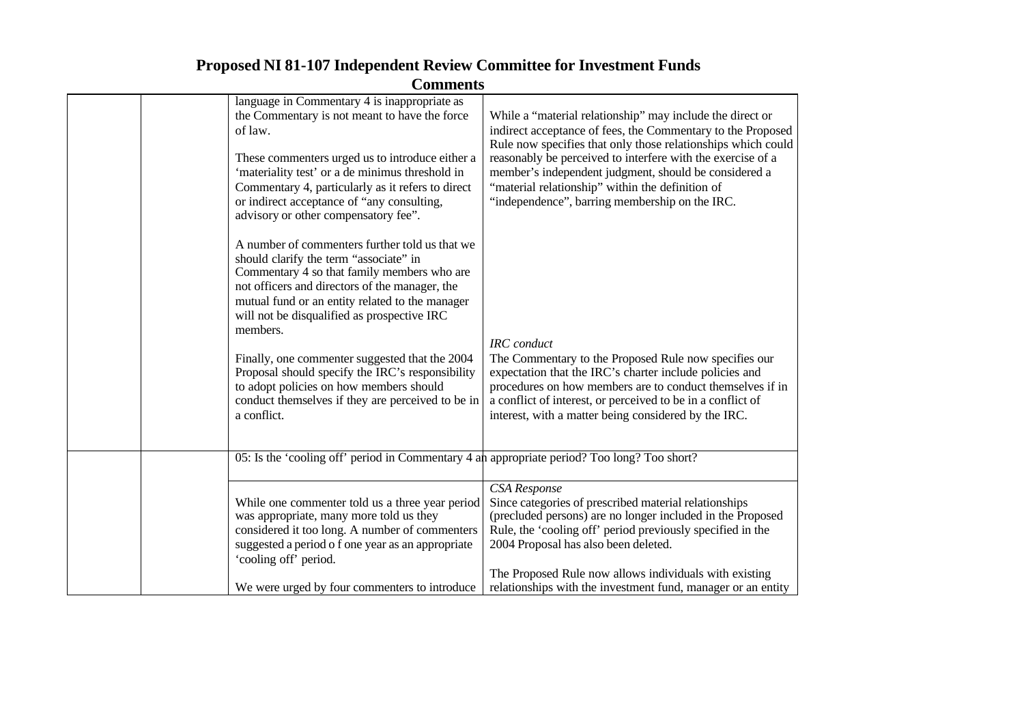| language in Commentary 4 is inappropriate as<br>the Commentary is not meant to have the force<br>of law.<br>These commenters urged us to introduce either a<br>'materiality test' or a de minimus threshold in<br>Commentary 4, particularly as it refers to direct<br>or indirect acceptance of "any consulting,<br>advisory or other compensatory fee". | While a "material relationship" may include the direct or<br>indirect acceptance of fees, the Commentary to the Proposed<br>Rule now specifies that only those relationships which could<br>reasonably be perceived to interfere with the exercise of a<br>member's independent judgment, should be considered a<br>"material relationship" within the definition of<br>"independence", barring membership on the IRC. |
|-----------------------------------------------------------------------------------------------------------------------------------------------------------------------------------------------------------------------------------------------------------------------------------------------------------------------------------------------------------|------------------------------------------------------------------------------------------------------------------------------------------------------------------------------------------------------------------------------------------------------------------------------------------------------------------------------------------------------------------------------------------------------------------------|
| A number of commenters further told us that we<br>should clarify the term "associate" in<br>Commentary 4 so that family members who are<br>not officers and directors of the manager, the<br>mutual fund or an entity related to the manager<br>will not be disqualified as prospective IRC<br>members.                                                   | <b>IRC</b> conduct                                                                                                                                                                                                                                                                                                                                                                                                     |
| Finally, one commenter suggested that the 2004<br>Proposal should specify the IRC's responsibility<br>to adopt policies on how members should<br>conduct themselves if they are perceived to be in<br>a conflict.                                                                                                                                         | The Commentary to the Proposed Rule now specifies our<br>expectation that the IRC's charter include policies and<br>procedures on how members are to conduct themselves if in<br>a conflict of interest, or perceived to be in a conflict of<br>interest, with a matter being considered by the IRC.                                                                                                                   |
| 05: Is the 'cooling off' period in Commentary 4 and appropriate period? Too long? Too short?                                                                                                                                                                                                                                                              |                                                                                                                                                                                                                                                                                                                                                                                                                        |
| While one commenter told us a three year period<br>was appropriate, many more told us they<br>considered it too long. A number of commenters<br>suggested a period o f one year as an appropriate<br>'cooling off' period.                                                                                                                                | <b>CSA</b> Response<br>Since categories of prescribed material relationships<br>(precluded persons) are no longer included in the Proposed<br>Rule, the 'cooling off' period previously specified in the<br>2004 Proposal has also been deleted.                                                                                                                                                                       |
| We were urged by four commenters to introduce                                                                                                                                                                                                                                                                                                             | The Proposed Rule now allows individuals with existing<br>relationships with the investment fund, manager or an entity                                                                                                                                                                                                                                                                                                 |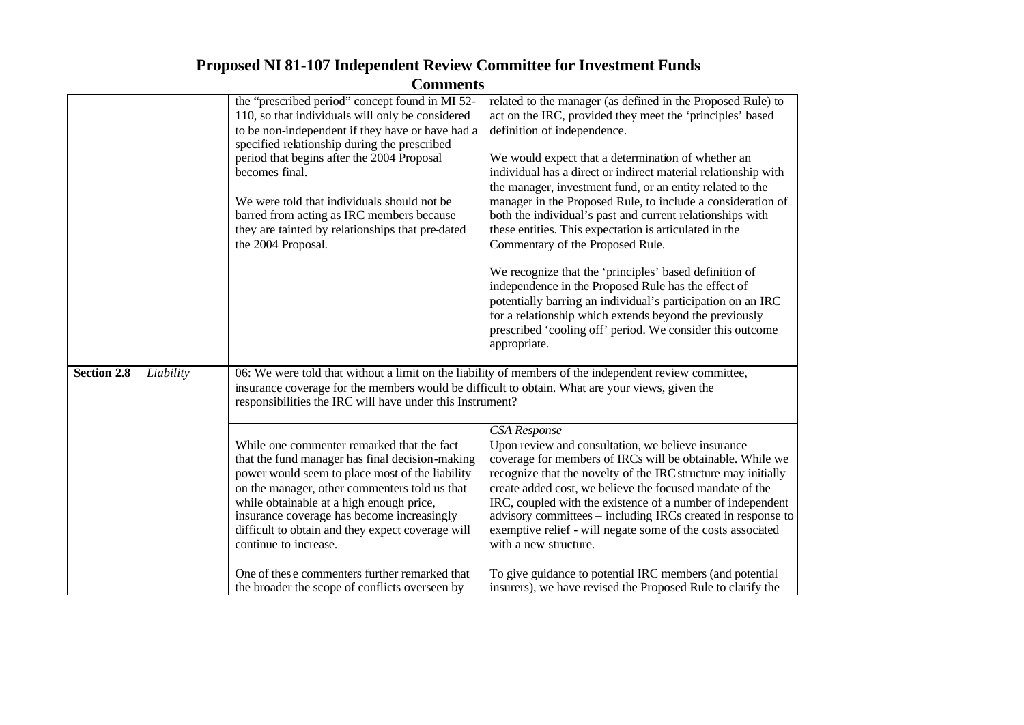|                    |           | Сошшения                                                                                                                                                                                                                                                                                                                                                                  |                                                                                                                                                                                                                                                                                                                                                                                                                                                                                          |
|--------------------|-----------|---------------------------------------------------------------------------------------------------------------------------------------------------------------------------------------------------------------------------------------------------------------------------------------------------------------------------------------------------------------------------|------------------------------------------------------------------------------------------------------------------------------------------------------------------------------------------------------------------------------------------------------------------------------------------------------------------------------------------------------------------------------------------------------------------------------------------------------------------------------------------|
|                    |           | the "prescribed period" concept found in MI 52-<br>110, so that individuals will only be considered                                                                                                                                                                                                                                                                       | related to the manager (as defined in the Proposed Rule) to<br>act on the IRC, provided they meet the 'principles' based                                                                                                                                                                                                                                                                                                                                                                 |
|                    |           | to be non-independent if they have or have had a<br>specified relationship during the prescribed                                                                                                                                                                                                                                                                          | definition of independence.                                                                                                                                                                                                                                                                                                                                                                                                                                                              |
|                    |           | period that begins after the 2004 Proposal<br>becomes final.                                                                                                                                                                                                                                                                                                              | We would expect that a determination of whether an<br>individual has a direct or indirect material relationship with                                                                                                                                                                                                                                                                                                                                                                     |
|                    |           | We were told that individuals should not be.<br>barred from acting as IRC members because<br>they are tainted by relationships that pre-dated<br>the 2004 Proposal.                                                                                                                                                                                                       | the manager, investment fund, or an entity related to the<br>manager in the Proposed Rule, to include a consideration of<br>both the individual's past and current relationships with<br>these entities. This expectation is articulated in the<br>Commentary of the Proposed Rule.                                                                                                                                                                                                      |
|                    |           |                                                                                                                                                                                                                                                                                                                                                                           | We recognize that the 'principles' based definition of<br>independence in the Proposed Rule has the effect of<br>potentially barring an individual's participation on an IRC<br>for a relationship which extends beyond the previously<br>prescribed 'cooling off' period. We consider this outcome<br>appropriate.                                                                                                                                                                      |
| <b>Section 2.8</b> | Liability | insurance coverage for the members would be difficult to obtain. What are your views, given the<br>responsibilities the IRC will have under this Instrument?                                                                                                                                                                                                              | 06: We were told that without a limit on the liability of members of the independent review committee,                                                                                                                                                                                                                                                                                                                                                                                   |
|                    |           | While one commenter remarked that the fact<br>that the fund manager has final decision-making<br>power would seem to place most of the liability<br>on the manager, other commenters told us that<br>while obtainable at a high enough price,<br>insurance coverage has become increasingly<br>difficult to obtain and they expect coverage will<br>continue to increase. | <b>CSA</b> Response<br>Upon review and consultation, we believe insurance<br>coverage for members of IRCs will be obtainable. While we<br>recognize that the novelty of the IRC structure may initially<br>create added cost, we believe the focused mandate of the<br>IRC, coupled with the existence of a number of independent<br>advisory committees – including IRCs created in response to<br>exemptive relief - will negate some of the costs associated<br>with a new structure. |
|                    |           | One of these commenters further remarked that<br>the broader the scope of conflicts overseen by                                                                                                                                                                                                                                                                           | To give guidance to potential IRC members (and potential<br>insurers), we have revised the Proposed Rule to clarify the                                                                                                                                                                                                                                                                                                                                                                  |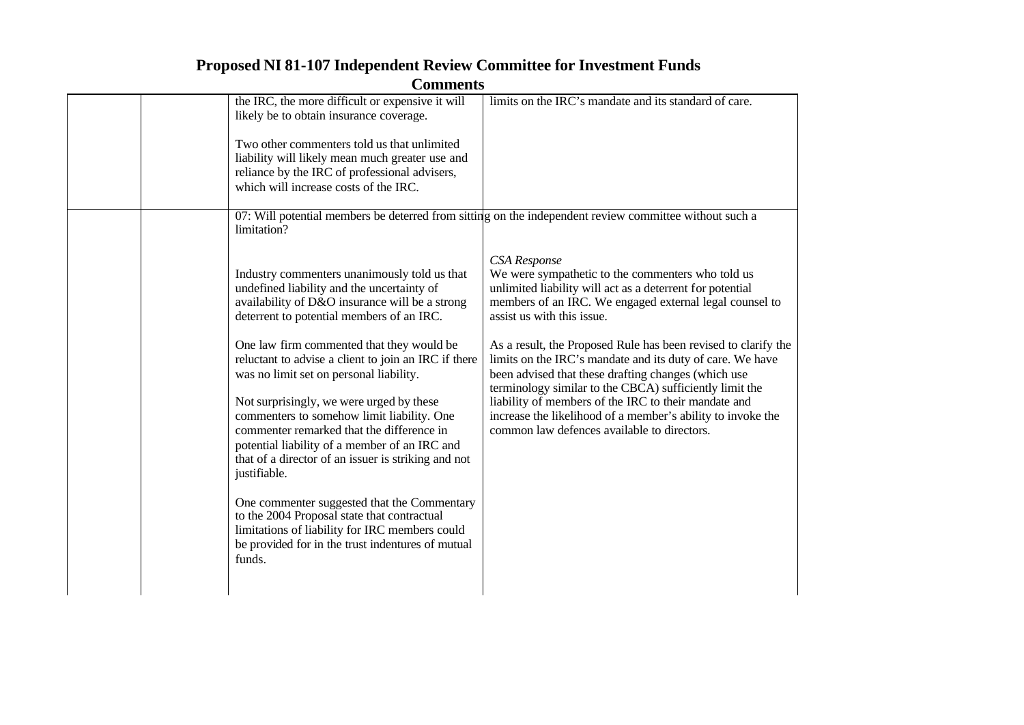**Comments**

| the IRC, the more difficult or expensive it will<br>likely be to obtain insurance coverage.<br>Two other commenters told us that unlimited<br>liability will likely mean much greater use and<br>reliance by the IRC of professional advisers,<br>which will increase costs of the IRC.                                                                                                                                                                                                                                                                                                                                                                                                                                                                                                                                                | limits on the IRC's mandate and its standard of care.                                                                                                                                                                                                                                                                                                                                                                                                                                                                                                                                                                                                                                                                                                    |
|----------------------------------------------------------------------------------------------------------------------------------------------------------------------------------------------------------------------------------------------------------------------------------------------------------------------------------------------------------------------------------------------------------------------------------------------------------------------------------------------------------------------------------------------------------------------------------------------------------------------------------------------------------------------------------------------------------------------------------------------------------------------------------------------------------------------------------------|----------------------------------------------------------------------------------------------------------------------------------------------------------------------------------------------------------------------------------------------------------------------------------------------------------------------------------------------------------------------------------------------------------------------------------------------------------------------------------------------------------------------------------------------------------------------------------------------------------------------------------------------------------------------------------------------------------------------------------------------------------|
| limitation?<br>Industry commenters unanimously told us that<br>undefined liability and the uncertainty of<br>availability of D&O insurance will be a strong<br>deterrent to potential members of an IRC.<br>One law firm commented that they would be<br>reluctant to advise a client to join an IRC if there<br>was no limit set on personal liability.<br>Not surprisingly, we were urged by these<br>commenters to somehow limit liability. One<br>commenter remarked that the difference in<br>potential liability of a member of an IRC and<br>that of a director of an issuer is striking and not<br>justifiable.<br>One commenter suggested that the Commentary<br>to the 2004 Proposal state that contractual<br>limitations of liability for IRC members could<br>be provided for in the trust indentures of mutual<br>funds. | 07: Will potential members be deterred from sitting on the independent review committee without such a<br>CSA Response<br>We were sympathetic to the commenters who told us<br>unlimited liability will act as a deterrent for potential<br>members of an IRC. We engaged external legal counsel to<br>assist us with this issue.<br>As a result, the Proposed Rule has been revised to clarify the<br>limits on the IRC's mandate and its duty of care. We have<br>been advised that these drafting changes (which use<br>terminology similar to the CBCA) sufficiently limit the<br>liability of members of the IRC to their mandate and<br>increase the likelihood of a member's ability to invoke the<br>common law defences available to directors. |
|                                                                                                                                                                                                                                                                                                                                                                                                                                                                                                                                                                                                                                                                                                                                                                                                                                        |                                                                                                                                                                                                                                                                                                                                                                                                                                                                                                                                                                                                                                                                                                                                                          |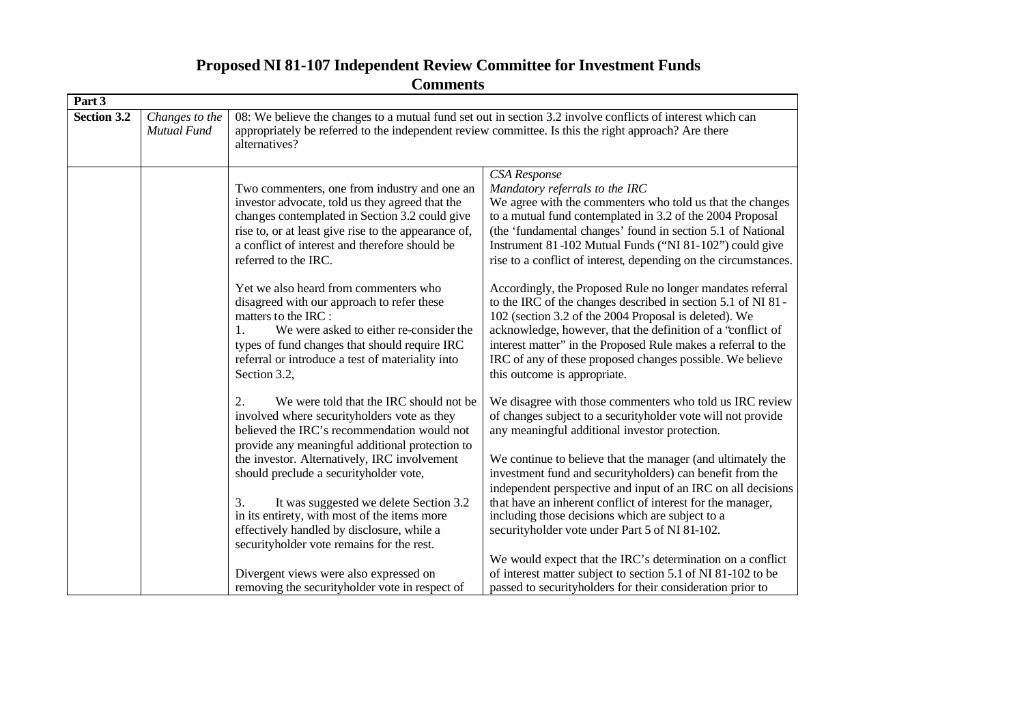| Community   |                                      |                                                                                                                                                                                                                                                                                                                                                                                          |                                                                                                                                                                                                                                                                                                                                                                                                                                                                                           |  |
|-------------|--------------------------------------|------------------------------------------------------------------------------------------------------------------------------------------------------------------------------------------------------------------------------------------------------------------------------------------------------------------------------------------------------------------------------------------|-------------------------------------------------------------------------------------------------------------------------------------------------------------------------------------------------------------------------------------------------------------------------------------------------------------------------------------------------------------------------------------------------------------------------------------------------------------------------------------------|--|
| Part 3      |                                      |                                                                                                                                                                                                                                                                                                                                                                                          |                                                                                                                                                                                                                                                                                                                                                                                                                                                                                           |  |
| Section 3.2 | Changes to the<br><b>Mutual Fund</b> | 08: We believe the changes to a mutual fund set out in section 3.2 involve conflicts of interest which can<br>appropriately be referred to the independent review committee. Is this the right approach? Are there<br>alternatives?                                                                                                                                                      |                                                                                                                                                                                                                                                                                                                                                                                                                                                                                           |  |
|             |                                      | Two commenters, one from industry and one an<br>investor advocate, told us they agreed that the<br>changes contemplated in Section 3.2 could give<br>rise to, or at least give rise to the appearance of,<br>a conflict of interest and therefore should be<br>referred to the IRC.                                                                                                      | CSA Response<br>Mandatory referrals to the IRC<br>We agree with the commenters who told us that the changes<br>to a mutual fund contemplated in 3.2 of the 2004 Proposal<br>(the 'fundamental changes' found in section 5.1 of National<br>Instrument 81-102 Mutual Funds ("NI 81-102") could give<br>rise to a conflict of interest, depending on the circumstances.                                                                                                                     |  |
|             |                                      | Yet we also heard from commenters who<br>disagreed with our approach to refer these<br>matters to the IRC :<br>We were asked to either re-consider the<br>1.<br>types of fund changes that should require IRC<br>referral or introduce a test of materiality into<br>Section 3.2,                                                                                                        | Accordingly, the Proposed Rule no longer mandates referral<br>to the IRC of the changes described in section 5.1 of NI 81 -<br>102 (section 3.2 of the 2004 Proposal is deleted). We<br>acknowledge, however, that the definition of a "conflict of<br>interest matter" in the Proposed Rule makes a referral to the<br>IRC of any of these proposed changes possible. We believe<br>this outcome is appropriate.                                                                         |  |
|             |                                      | We were told that the IRC should not be<br>2.<br>involved where securityholders vote as they<br>believed the IRC's recommendation would not<br>provide any meaningful additional protection to<br>the investor. Alternatively, IRC involvement<br>should preclude a securityholder vote,<br>It was suggested we delete Section 3.2<br>3.<br>in its entirety, with most of the items more | We disagree with those commenters who told us IRC review<br>of changes subject to a securityholder vote will not provide<br>any meaningful additional investor protection.<br>We continue to believe that the manager (and ultimately the<br>investment fund and securityholders) can benefit from the<br>independent perspective and input of an IRC on all decisions<br>that have an inherent conflict of interest for the manager,<br>including those decisions which are subject to a |  |
|             |                                      | effectively handled by disclosure, while a<br>securityholder vote remains for the rest.<br>Divergent views were also expressed on<br>removing the securityholder vote in respect of                                                                                                                                                                                                      | securityholder vote under Part 5 of NI 81-102.<br>We would expect that the IRC's determination on a conflict<br>of interest matter subject to section 5.1 of NI 81-102 to be<br>passed to security holders for their consideration prior to                                                                                                                                                                                                                                               |  |
|             |                                      |                                                                                                                                                                                                                                                                                                                                                                                          |                                                                                                                                                                                                                                                                                                                                                                                                                                                                                           |  |

**Proposed NI 81-107 Independent Review Committee for Investment Funds Comments**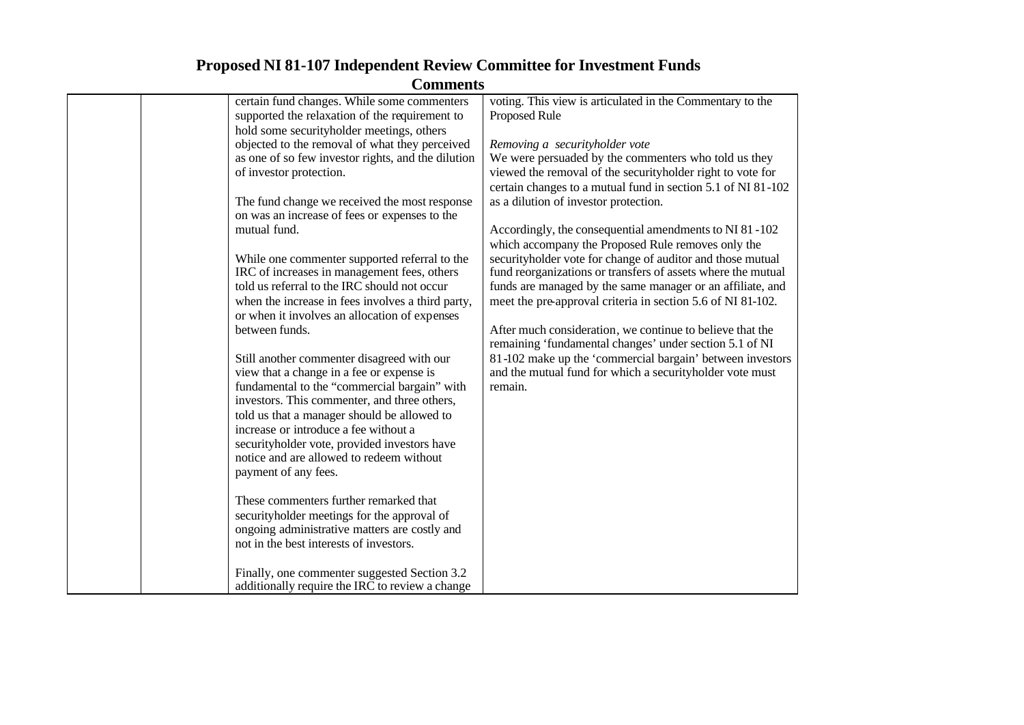| Community                                          |                                                              |
|----------------------------------------------------|--------------------------------------------------------------|
| certain fund changes. While some commenters        | voting. This view is articulated in the Commentary to the    |
| supported the relaxation of the requirement to     | <b>Proposed Rule</b>                                         |
| hold some securityholder meetings, others          |                                                              |
| objected to the removal of what they perceived     | Removing a securityholder vote                               |
| as one of so few investor rights, and the dilution | We were persuaded by the commenters who told us they         |
| of investor protection.                            | viewed the removal of the securityholder right to vote for   |
|                                                    | certain changes to a mutual fund in section 5.1 of NI 81-102 |
| The fund change we received the most response      | as a dilution of investor protection.                        |
| on was an increase of fees or expenses to the      |                                                              |
| mutual fund.                                       | Accordingly, the consequential amendments to NI 81-102       |
|                                                    | which accompany the Proposed Rule removes only the           |
| While one commenter supported referral to the      | securityholder vote for change of auditor and those mutual   |
| IRC of increases in management fees, others        | fund reorganizations or transfers of assets where the mutual |
| told us referral to the IRC should not occur       | funds are managed by the same manager or an affiliate, and   |
| when the increase in fees involves a third party,  | meet the pre-approval criteria in section 5.6 of NI 81-102.  |
| or when it involves an allocation of expenses      |                                                              |
| between funds.                                     | After much consideration, we continue to believe that the    |
|                                                    | remaining 'fundamental changes' under section 5.1 of NI      |
| Still another commenter disagreed with our         | 81-102 make up the 'commercial bargain' between investors    |
| view that a change in a fee or expense is          | and the mutual fund for which a securityholder vote must     |
| fundamental to the "commercial bargain" with       | remain.                                                      |
| investors. This commenter, and three others,       |                                                              |
| told us that a manager should be allowed to        |                                                              |
| increase or introduce a fee without a              |                                                              |
| securityholder vote, provided investors have       |                                                              |
| notice and are allowed to redeem without           |                                                              |
| payment of any fees.                               |                                                              |
|                                                    |                                                              |
| These commenters further remarked that             |                                                              |
| securityholder meetings for the approval of        |                                                              |
| ongoing administrative matters are costly and      |                                                              |
| not in the best interests of investors.            |                                                              |
|                                                    |                                                              |
| Finally, one commenter suggested Section 3.2       |                                                              |
| additionally require the IRC to review a change    |                                                              |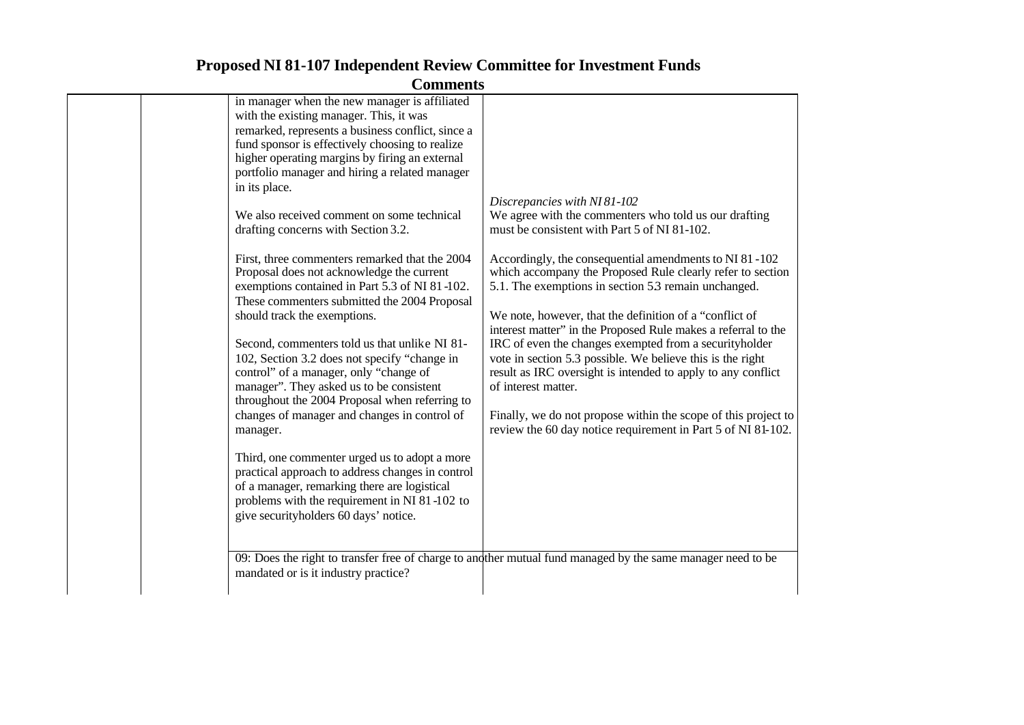| in manager when the new manager is affiliated<br>with the existing manager. This, it was<br>remarked, represents a business conflict, since a<br>fund sponsor is effectively choosing to realize<br>higher operating margins by firing an external<br>portfolio manager and hiring a related manager<br>in its place.<br>We also received comment on some technical<br>drafting concerns with Section 3.2.<br>First, three commenters remarked that the 2004<br>Proposal does not acknowledge the current<br>exemptions contained in Part 5.3 of NI 81-102.<br>These commenters submitted the 2004 Proposal<br>should track the exemptions.<br>Second, commenters told us that unlike NI 81-<br>102, Section 3.2 does not specify "change in<br>control" of a manager, only "change of<br>manager". They asked us to be consistent<br>throughout the 2004 Proposal when referring to<br>changes of manager and changes in control of<br>manager.<br>Third, one commenter urged us to adopt a more<br>practical approach to address changes in control<br>of a manager, remarking there are logistical<br>problems with the requirement in NI 81-102 to<br>give securityholders 60 days' notice. | Discrepancies with NI 81-102<br>We agree with the commenters who told us our drafting<br>must be consistent with Part 5 of NI 81-102.<br>Accordingly, the consequential amendments to NI 81-102<br>which accompany the Proposed Rule clearly refer to section<br>5.1. The exemptions in section 53 remain unchanged.<br>We note, however, that the definition of a "conflict of<br>interest matter" in the Proposed Rule makes a referral to the<br>IRC of even the changes exempted from a securityholder<br>vote in section 5.3 possible. We believe this is the right<br>result as IRC oversight is intended to apply to any conflict<br>of interest matter.<br>Finally, we do not propose within the scope of this project to<br>review the 60 day notice requirement in Part 5 of NI 81-102.<br>09: Does the right to transfer free of charge to and ther mutual fund managed by the same manager need to be |
|-------------------------------------------------------------------------------------------------------------------------------------------------------------------------------------------------------------------------------------------------------------------------------------------------------------------------------------------------------------------------------------------------------------------------------------------------------------------------------------------------------------------------------------------------------------------------------------------------------------------------------------------------------------------------------------------------------------------------------------------------------------------------------------------------------------------------------------------------------------------------------------------------------------------------------------------------------------------------------------------------------------------------------------------------------------------------------------------------------------------------------------------------------------------------------------------------|-------------------------------------------------------------------------------------------------------------------------------------------------------------------------------------------------------------------------------------------------------------------------------------------------------------------------------------------------------------------------------------------------------------------------------------------------------------------------------------------------------------------------------------------------------------------------------------------------------------------------------------------------------------------------------------------------------------------------------------------------------------------------------------------------------------------------------------------------------------------------------------------------------------------|
| mandated or is it industry practice?                                                                                                                                                                                                                                                                                                                                                                                                                                                                                                                                                                                                                                                                                                                                                                                                                                                                                                                                                                                                                                                                                                                                                            |                                                                                                                                                                                                                                                                                                                                                                                                                                                                                                                                                                                                                                                                                                                                                                                                                                                                                                                   |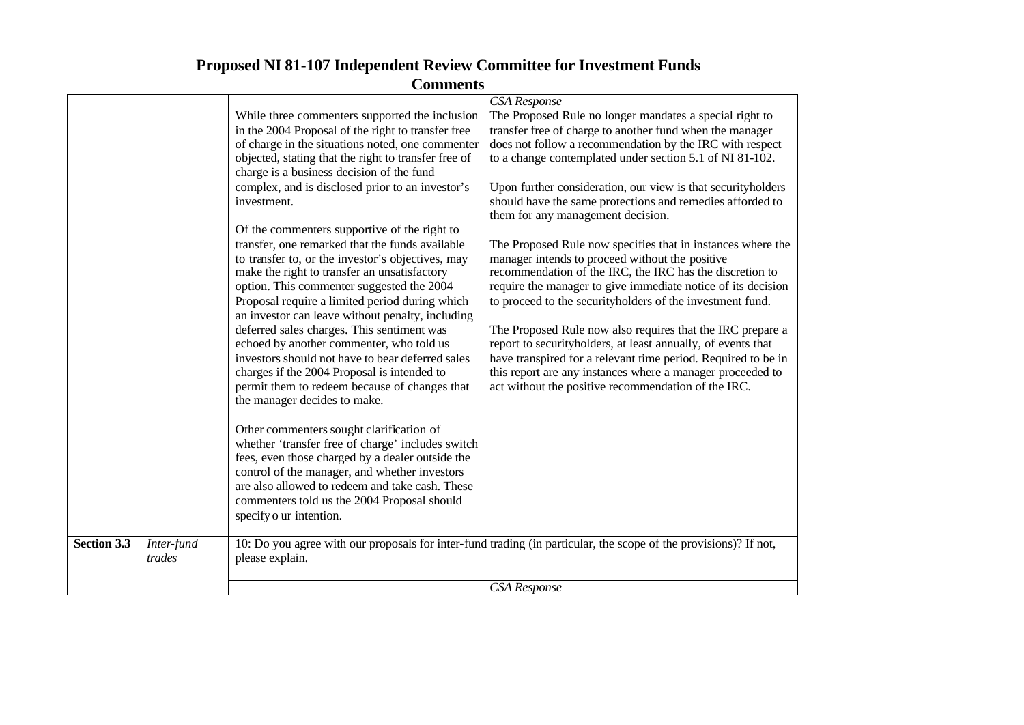| <b>Comments</b>    |                      |                                                                                                                                                                                                                                                                                                                                                                                                                                                                                                                                                                                                                                       |                                                                                                                                                                                                                                                                                                                                                                                                                                                                                                                                                                                                                             |
|--------------------|----------------------|---------------------------------------------------------------------------------------------------------------------------------------------------------------------------------------------------------------------------------------------------------------------------------------------------------------------------------------------------------------------------------------------------------------------------------------------------------------------------------------------------------------------------------------------------------------------------------------------------------------------------------------|-----------------------------------------------------------------------------------------------------------------------------------------------------------------------------------------------------------------------------------------------------------------------------------------------------------------------------------------------------------------------------------------------------------------------------------------------------------------------------------------------------------------------------------------------------------------------------------------------------------------------------|
|                    |                      | While three commenters supported the inclusion<br>in the 2004 Proposal of the right to transfer free<br>of charge in the situations noted, one commenter<br>objected, stating that the right to transfer free of<br>charge is a business decision of the fund<br>complex, and is disclosed prior to an investor's<br>investment.                                                                                                                                                                                                                                                                                                      | CSA Response<br>The Proposed Rule no longer mandates a special right to<br>transfer free of charge to another fund when the manager<br>does not follow a recommendation by the IRC with respect<br>to a change contemplated under section 5.1 of NI 81-102.<br>Upon further consideration, our view is that securityholders<br>should have the same protections and remedies afforded to<br>them for any management decision.                                                                                                                                                                                               |
|                    |                      | Of the commenters supportive of the right to<br>transfer, one remarked that the funds available<br>to transfer to, or the investor's objectives, may<br>make the right to transfer an unsatisfactory<br>option. This commenter suggested the 2004<br>Proposal require a limited period during which<br>an investor can leave without penalty, including<br>deferred sales charges. This sentiment was<br>echoed by another commenter, who told us<br>investors should not have to bear deferred sales<br>charges if the 2004 Proposal is intended to<br>permit them to redeem because of changes that<br>the manager decides to make. | The Proposed Rule now specifies that in instances where the<br>manager intends to proceed without the positive<br>recommendation of the IRC, the IRC has the discretion to<br>require the manager to give immediate notice of its decision<br>to proceed to the securityholders of the investment fund.<br>The Proposed Rule now also requires that the IRC prepare a<br>report to securityholders, at least annually, of events that<br>have transpired for a relevant time period. Required to be in<br>this report are any instances where a manager proceeded to<br>act without the positive recommendation of the IRC. |
|                    |                      | Other commenters sought clarification of<br>whether 'transfer free of charge' includes switch<br>fees, even those charged by a dealer outside the<br>control of the manager, and whether investors<br>are also allowed to redeem and take cash. These<br>commenters told us the 2004 Proposal should<br>specify o ur intention.                                                                                                                                                                                                                                                                                                       |                                                                                                                                                                                                                                                                                                                                                                                                                                                                                                                                                                                                                             |
| <b>Section 3.3</b> | Inter-fund<br>trades | please explain.                                                                                                                                                                                                                                                                                                                                                                                                                                                                                                                                                                                                                       | 10: Do you agree with our proposals for inter-fund trading (in particular, the scope of the provisions)? If not,                                                                                                                                                                                                                                                                                                                                                                                                                                                                                                            |
|                    |                      |                                                                                                                                                                                                                                                                                                                                                                                                                                                                                                                                                                                                                                       | CSA Response                                                                                                                                                                                                                                                                                                                                                                                                                                                                                                                                                                                                                |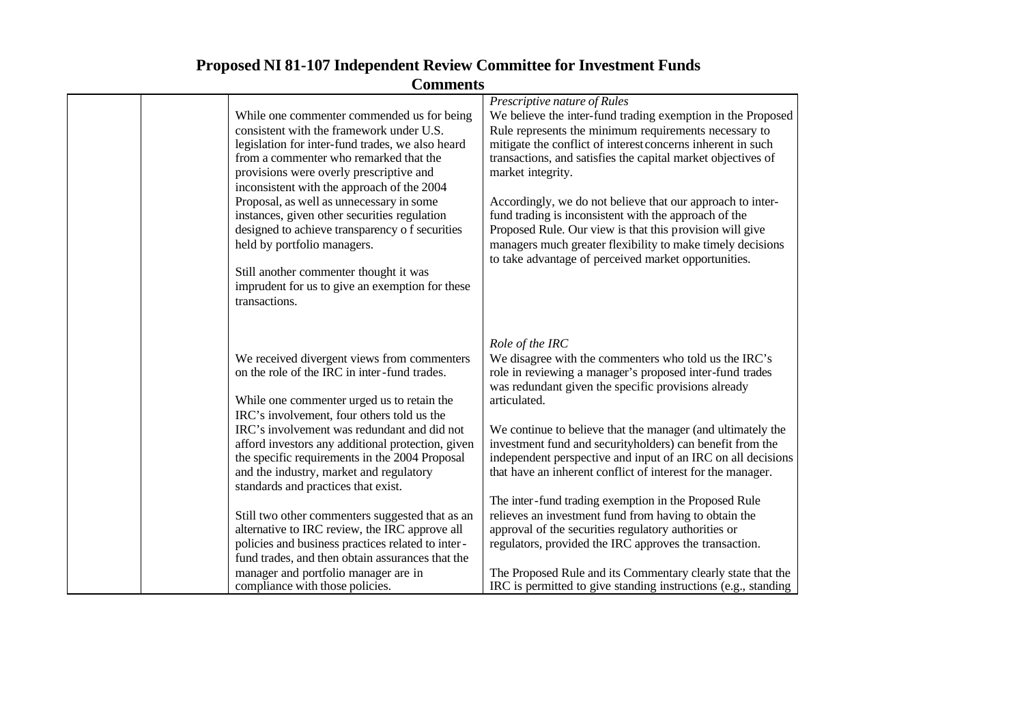| While one commenter commended us for being<br>consistent with the framework under U.S.<br>legislation for inter-fund trades, we also heard<br>from a commenter who remarked that the<br>provisions were overly prescriptive and<br>inconsistent with the approach of the 2004<br>Proposal, as well as unnecessary in some<br>instances, given other securities regulation<br>designed to achieve transparency of securities<br>held by portfolio managers.<br>Still another commenter thought it was<br>imprudent for us to give an exemption for these<br>transactions. | Prescriptive nature of Rules<br>We believe the inter-fund trading exemption in the Proposed<br>Rule represents the minimum requirements necessary to<br>mitigate the conflict of interest concerns inherent in such<br>transactions, and satisfies the capital market objectives of<br>market integrity.<br>Accordingly, we do not believe that our approach to inter-<br>fund trading is inconsistent with the approach of the<br>Proposed Rule. Our view is that this provision will give<br>managers much greater flexibility to make timely decisions<br>to take advantage of perceived market opportunities. |
|--------------------------------------------------------------------------------------------------------------------------------------------------------------------------------------------------------------------------------------------------------------------------------------------------------------------------------------------------------------------------------------------------------------------------------------------------------------------------------------------------------------------------------------------------------------------------|-------------------------------------------------------------------------------------------------------------------------------------------------------------------------------------------------------------------------------------------------------------------------------------------------------------------------------------------------------------------------------------------------------------------------------------------------------------------------------------------------------------------------------------------------------------------------------------------------------------------|
| We received divergent views from commenters<br>on the role of the IRC in inter-fund trades.<br>While one commenter urged us to retain the<br>IRC's involvement, four others told us the<br>IRC's involvement was redundant and did not<br>afford investors any additional protection, given<br>the specific requirements in the 2004 Proposal<br>and the industry, market and regulatory<br>standards and practices that exist.<br>Still two other commenters suggested that as an                                                                                       | Role of the IRC<br>We disagree with the commenters who told us the IRC's<br>role in reviewing a manager's proposed inter-fund trades<br>was redundant given the specific provisions already<br>articulated.<br>We continue to believe that the manager (and ultimately the<br>investment fund and securityholders) can benefit from the<br>independent perspective and input of an IRC on all decisions<br>that have an inherent conflict of interest for the manager.<br>The inter-fund trading exemption in the Proposed Rule<br>relieves an investment fund from having to obtain the                          |
| alternative to IRC review, the IRC approve all<br>policies and business practices related to inter-<br>fund trades, and then obtain assurances that the<br>manager and portfolio manager are in<br>compliance with those policies.                                                                                                                                                                                                                                                                                                                                       | approval of the securities regulatory authorities or<br>regulators, provided the IRC approves the transaction.<br>The Proposed Rule and its Commentary clearly state that the<br>IRC is permitted to give standing instructions (e.g., standing                                                                                                                                                                                                                                                                                                                                                                   |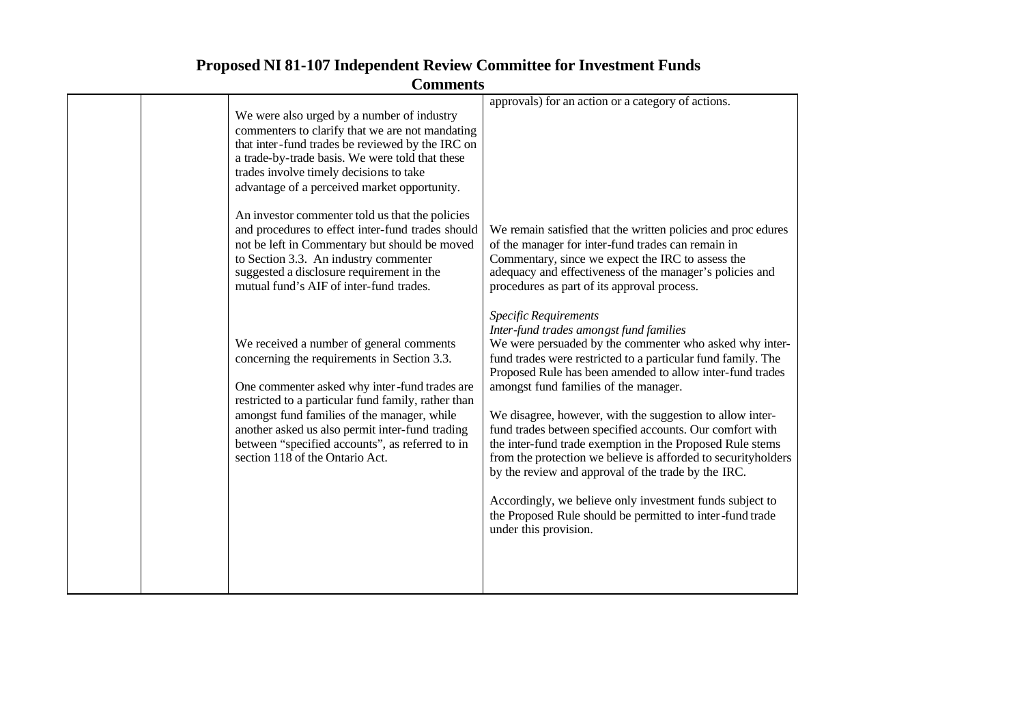| <b>Comments</b> |
|-----------------|
|-----------------|

| We were also urged by a number of industry<br>commenters to clarify that we are not mandating<br>that inter-fund trades be reviewed by the IRC on<br>a trade-by-trade basis. We were told that these<br>trades involve timely decisions to take<br>advantage of a perceived market opportunity.<br>An investor commenter told us that the policies<br>and procedures to effect inter-fund trades should<br>not be left in Commentary but should be moved<br>to Section 3.3. An industry commenter<br>suggested a disclosure requirement in the<br>mutual fund's AIF of inter-fund trades. | approvals) for an action or a category of actions.<br>We remain satisfied that the written policies and procedures<br>of the manager for inter-fund trades can remain in<br>Commentary, since we expect the IRC to assess the<br>adequacy and effectiveness of the manager's policies and<br>procedures as part of its approval process.                                                                                                                                                                                                                                                                                                                                                                                                                          |
|-------------------------------------------------------------------------------------------------------------------------------------------------------------------------------------------------------------------------------------------------------------------------------------------------------------------------------------------------------------------------------------------------------------------------------------------------------------------------------------------------------------------------------------------------------------------------------------------|-------------------------------------------------------------------------------------------------------------------------------------------------------------------------------------------------------------------------------------------------------------------------------------------------------------------------------------------------------------------------------------------------------------------------------------------------------------------------------------------------------------------------------------------------------------------------------------------------------------------------------------------------------------------------------------------------------------------------------------------------------------------|
| We received a number of general comments<br>concerning the requirements in Section 3.3.<br>One commenter asked why inter-fund trades are<br>restricted to a particular fund family, rather than<br>amongst fund families of the manager, while<br>another asked us also permit inter-fund trading<br>between "specified accounts", as referred to in<br>section 118 of the Ontario Act.                                                                                                                                                                                                   | Specific Requirements<br>Inter-fund trades amongst fund families<br>We were persuaded by the commenter who asked why inter-<br>fund trades were restricted to a particular fund family. The<br>Proposed Rule has been amended to allow inter-fund trades<br>amongst fund families of the manager.<br>We disagree, however, with the suggestion to allow inter-<br>fund trades between specified accounts. Our comfort with<br>the inter-fund trade exemption in the Proposed Rule stems<br>from the protection we believe is afforded to securityholders<br>by the review and approval of the trade by the IRC.<br>Accordingly, we believe only investment funds subject to<br>the Proposed Rule should be permitted to inter-fund trade<br>under this provision. |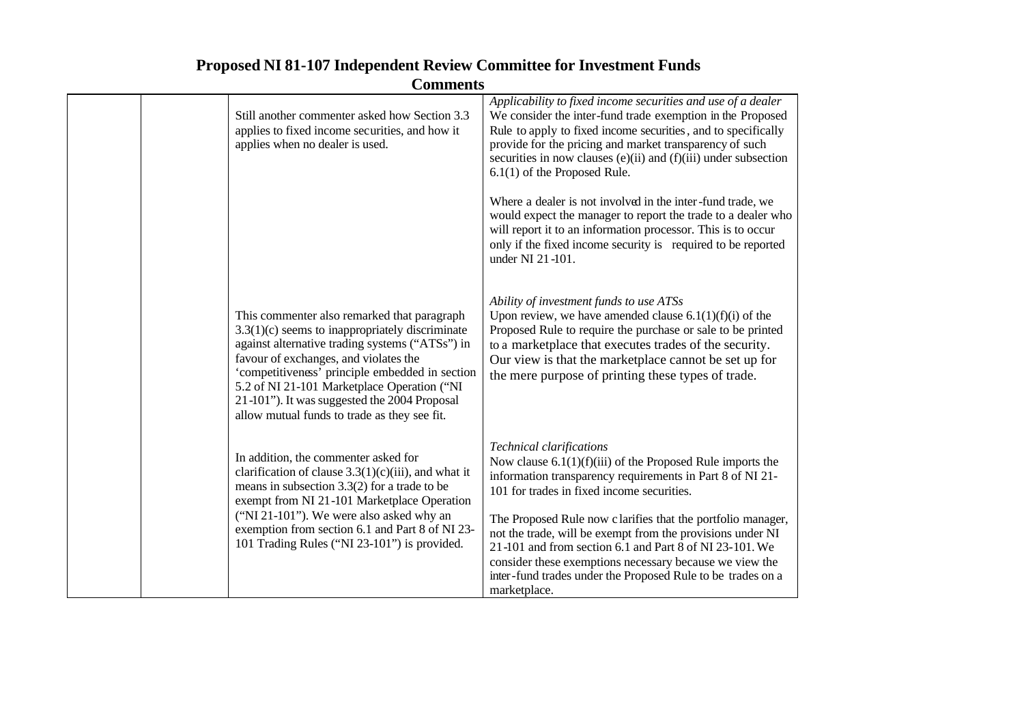| Comments |                                                                                                                                                                                                                                                                                                                                                                                                |                                                                                                                                                                                                                                                                                                                                                                                                                                                                                                                                              |  |
|----------|------------------------------------------------------------------------------------------------------------------------------------------------------------------------------------------------------------------------------------------------------------------------------------------------------------------------------------------------------------------------------------------------|----------------------------------------------------------------------------------------------------------------------------------------------------------------------------------------------------------------------------------------------------------------------------------------------------------------------------------------------------------------------------------------------------------------------------------------------------------------------------------------------------------------------------------------------|--|
|          | Still another commenter asked how Section 3.3<br>applies to fixed income securities, and how it<br>applies when no dealer is used.                                                                                                                                                                                                                                                             | Applicability to fixed income securities and use of a dealer<br>We consider the inter-fund trade exemption in the Proposed<br>Rule to apply to fixed income securities, and to specifically<br>provide for the pricing and market transparency of such<br>securities in now clauses (e)(ii) and $(f)(iii)$ under subsection<br>$6.1(1)$ of the Proposed Rule.                                                                                                                                                                                |  |
|          |                                                                                                                                                                                                                                                                                                                                                                                                | Where a dealer is not involved in the inter-fund trade, we<br>would expect the manager to report the trade to a dealer who<br>will report it to an information processor. This is to occur<br>only if the fixed income security is required to be reported<br>under NI 21-101.                                                                                                                                                                                                                                                               |  |
|          | This commenter also remarked that paragraph<br>$3.3(1)(c)$ seems to inappropriately discriminate<br>against alternative trading systems ("ATSs") in<br>favour of exchanges, and violates the<br>'competitiveness' principle embedded in section<br>5.2 of NI 21-101 Marketplace Operation ("NI<br>21-101"). It was suggested the 2004 Proposal<br>allow mutual funds to trade as they see fit. | Ability of investment funds to use ATSs<br>Upon review, we have amended clause $6.1(1)(f)(i)$ of the<br>Proposed Rule to require the purchase or sale to be printed<br>to a marketplace that executes trades of the security.<br>Our view is that the marketplace cannot be set up for<br>the mere purpose of printing these types of trade.                                                                                                                                                                                                 |  |
|          | In addition, the commenter asked for<br>clarification of clause $3.3(1)(c)(iii)$ , and what it<br>means in subsection $3.3(2)$ for a trade to be<br>exempt from NI 21-101 Marketplace Operation<br>("NI 21-101"). We were also asked why an<br>exemption from section 6.1 and Part 8 of NI 23-<br>101 Trading Rules ("NI 23-101") is provided.                                                 | <b>Technical clarifications</b><br>Now clause $6.1(1)(f)(iii)$ of the Proposed Rule imports the<br>information transparency requirements in Part 8 of NI 21-<br>101 for trades in fixed income securities.<br>The Proposed Rule now clarifies that the portfolio manager,<br>not the trade, will be exempt from the provisions under NI<br>21-101 and from section 6.1 and Part 8 of NI 23-101. We<br>consider these exemptions necessary because we view the<br>inter-fund trades under the Proposed Rule to be trades on a<br>marketplace. |  |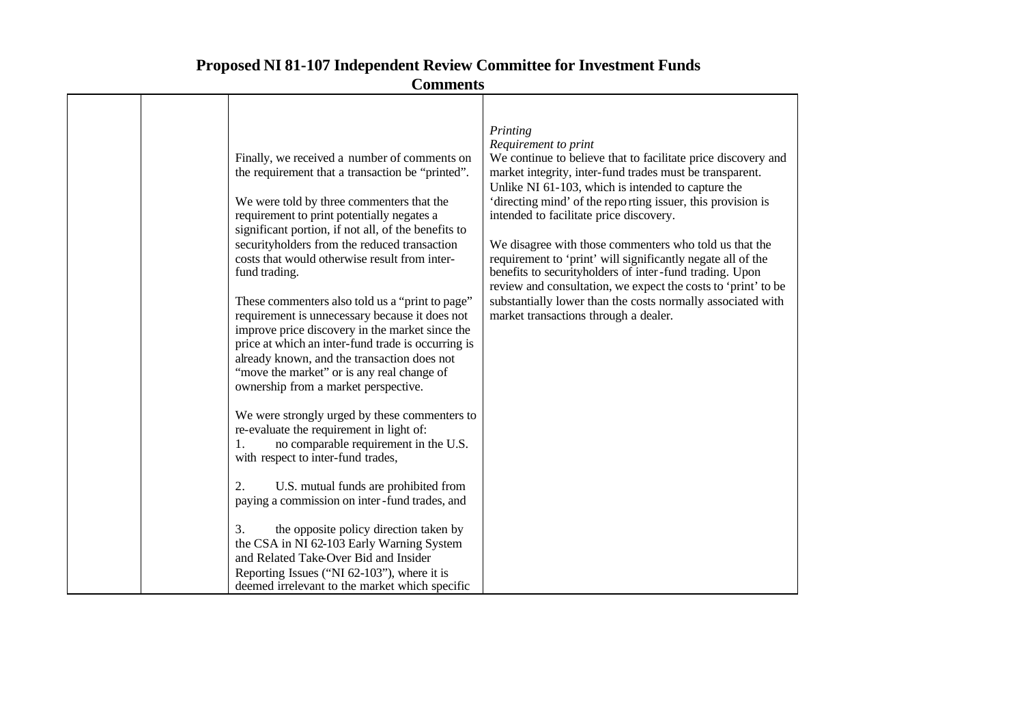| Commicins                                                                                                                                                                                                                                                                                                                                                                                                                                                                                                                                                                                                                                                                                                                                                                                                                                                                                                                                                                                                                                                                                              |                                                                                                                                                                                                                                                                                                                                                                                                                                                                                                                                                                                                                                                                                            |  |  |
|--------------------------------------------------------------------------------------------------------------------------------------------------------------------------------------------------------------------------------------------------------------------------------------------------------------------------------------------------------------------------------------------------------------------------------------------------------------------------------------------------------------------------------------------------------------------------------------------------------------------------------------------------------------------------------------------------------------------------------------------------------------------------------------------------------------------------------------------------------------------------------------------------------------------------------------------------------------------------------------------------------------------------------------------------------------------------------------------------------|--------------------------------------------------------------------------------------------------------------------------------------------------------------------------------------------------------------------------------------------------------------------------------------------------------------------------------------------------------------------------------------------------------------------------------------------------------------------------------------------------------------------------------------------------------------------------------------------------------------------------------------------------------------------------------------------|--|--|
| Finally, we received a number of comments on<br>the requirement that a transaction be "printed".<br>We were told by three commenters that the<br>requirement to print potentially negates a<br>significant portion, if not all, of the benefits to<br>securityholders from the reduced transaction<br>costs that would otherwise result from inter-<br>fund trading.<br>These commenters also told us a "print to page"<br>requirement is unnecessary because it does not<br>improve price discovery in the market since the<br>price at which an inter-fund trade is occurring is<br>already known, and the transaction does not<br>"move the market" or is any real change of<br>ownership from a market perspective.<br>We were strongly urged by these commenters to<br>re-evaluate the requirement in light of:<br>no comparable requirement in the U.S.<br>1.<br>with respect to inter-fund trades,<br>2.<br>U.S. mutual funds are prohibited from<br>paying a commission on inter-fund trades, and<br>3.<br>the opposite policy direction taken by<br>the CSA in NI 62-103 Early Warning System | Printing<br>Requirement to print<br>We continue to believe that to facilitate price discovery and<br>market integrity, inter-fund trades must be transparent.<br>Unlike NI 61-103, which is intended to capture the<br>'directing mind' of the reporting issuer, this provision is<br>intended to facilitate price discovery.<br>We disagree with those commenters who told us that the<br>requirement to 'print' will significantly negate all of the<br>benefits to securityholders of inter-fund trading. Upon<br>review and consultation, we expect the costs to 'print' to be<br>substantially lower than the costs normally associated with<br>market transactions through a dealer. |  |  |
| and Related Take-Over Bid and Insider<br>Reporting Issues ("NI 62-103"), where it is<br>deemed irrelevant to the market which specific                                                                                                                                                                                                                                                                                                                                                                                                                                                                                                                                                                                                                                                                                                                                                                                                                                                                                                                                                                 |                                                                                                                                                                                                                                                                                                                                                                                                                                                                                                                                                                                                                                                                                            |  |  |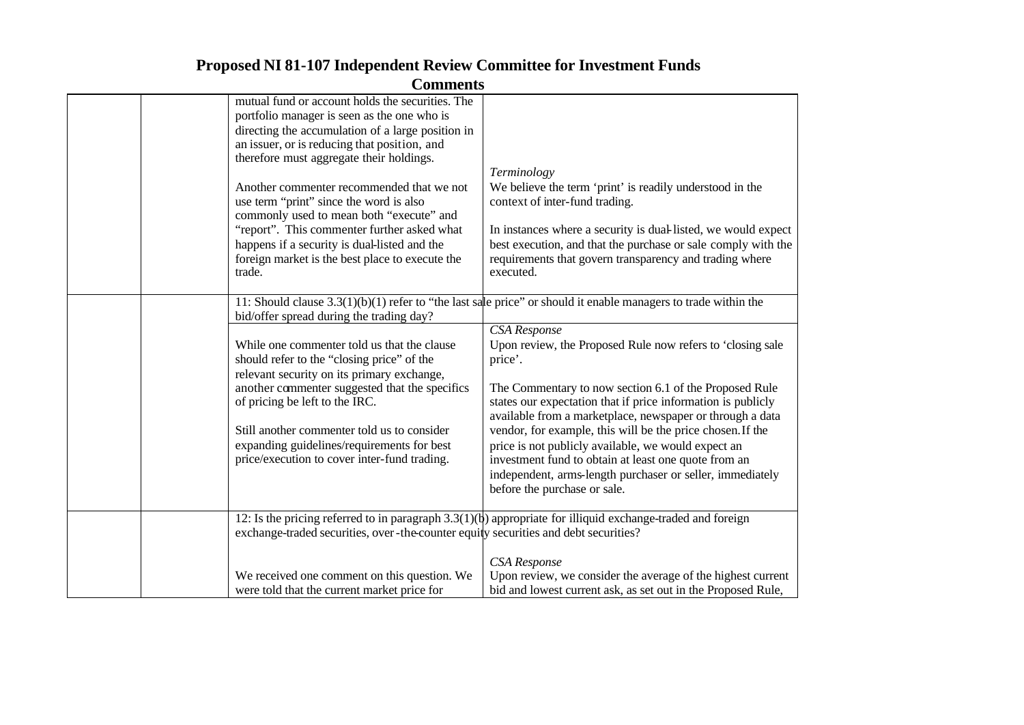| <b>Comments</b> |                                                                                                                                                                                                                                                                                                                                                                                                                      |                                                                                                                                                                                                                                                                                                                                                                                                                                                                                                                                                                                                                                                                                   |  |
|-----------------|----------------------------------------------------------------------------------------------------------------------------------------------------------------------------------------------------------------------------------------------------------------------------------------------------------------------------------------------------------------------------------------------------------------------|-----------------------------------------------------------------------------------------------------------------------------------------------------------------------------------------------------------------------------------------------------------------------------------------------------------------------------------------------------------------------------------------------------------------------------------------------------------------------------------------------------------------------------------------------------------------------------------------------------------------------------------------------------------------------------------|--|
|                 | mutual fund or account holds the securities. The<br>portfolio manager is seen as the one who is<br>directing the accumulation of a large position in<br>an issuer, or is reducing that position, and<br>therefore must aggregate their holdings.                                                                                                                                                                     |                                                                                                                                                                                                                                                                                                                                                                                                                                                                                                                                                                                                                                                                                   |  |
|                 | Another commenter recommended that we not<br>use term "print" since the word is also<br>commonly used to mean both "execute" and<br>"report". This commenter further asked what<br>happens if a security is dual-listed and the                                                                                                                                                                                      | Terminology<br>We believe the term 'print' is readily understood in the<br>context of inter-fund trading.<br>In instances where a security is dual-listed, we would expect<br>best execution, and that the purchase or sale comply with the                                                                                                                                                                                                                                                                                                                                                                                                                                       |  |
|                 | foreign market is the best place to execute the<br>trade.                                                                                                                                                                                                                                                                                                                                                            | requirements that govern transparency and trading where<br>executed.                                                                                                                                                                                                                                                                                                                                                                                                                                                                                                                                                                                                              |  |
|                 | bid/offer spread during the trading day?<br>While one commenter told us that the clause<br>should refer to the "closing price" of the<br>relevant security on its primary exchange,<br>another commenter suggested that the specifics<br>of pricing be left to the IRC.<br>Still another commenter told us to consider<br>expanding guidelines/requirements for best<br>price/execution to cover inter-fund trading. | 11: Should clause $3.3(1)(b)(1)$ refer to "the last sale price" or should it enable managers to trade within the<br><b>CSA</b> Response<br>Upon review, the Proposed Rule now refers to 'closing sale<br>price'.<br>The Commentary to now section 6.1 of the Proposed Rule<br>states our expectation that if price information is publicly<br>available from a marketplace, newspaper or through a data<br>vendor, for example, this will be the price chosen. If the<br>price is not publicly available, we would expect an<br>investment fund to obtain at least one quote from an<br>independent, arms-length purchaser or seller, immediately<br>before the purchase or sale. |  |
|                 | exchange-traded securities, over-the-counter equity securities and debt securities?<br>We received one comment on this question. We                                                                                                                                                                                                                                                                                  | 12: Is the pricing referred to in paragraph $3.3(1)(t)$ appropriate for illiquid exchange-traded and foreign<br><b>CSA</b> Response<br>Upon review, we consider the average of the highest current                                                                                                                                                                                                                                                                                                                                                                                                                                                                                |  |
|                 | were told that the current market price for                                                                                                                                                                                                                                                                                                                                                                          | bid and lowest current ask, as set out in the Proposed Rule,                                                                                                                                                                                                                                                                                                                                                                                                                                                                                                                                                                                                                      |  |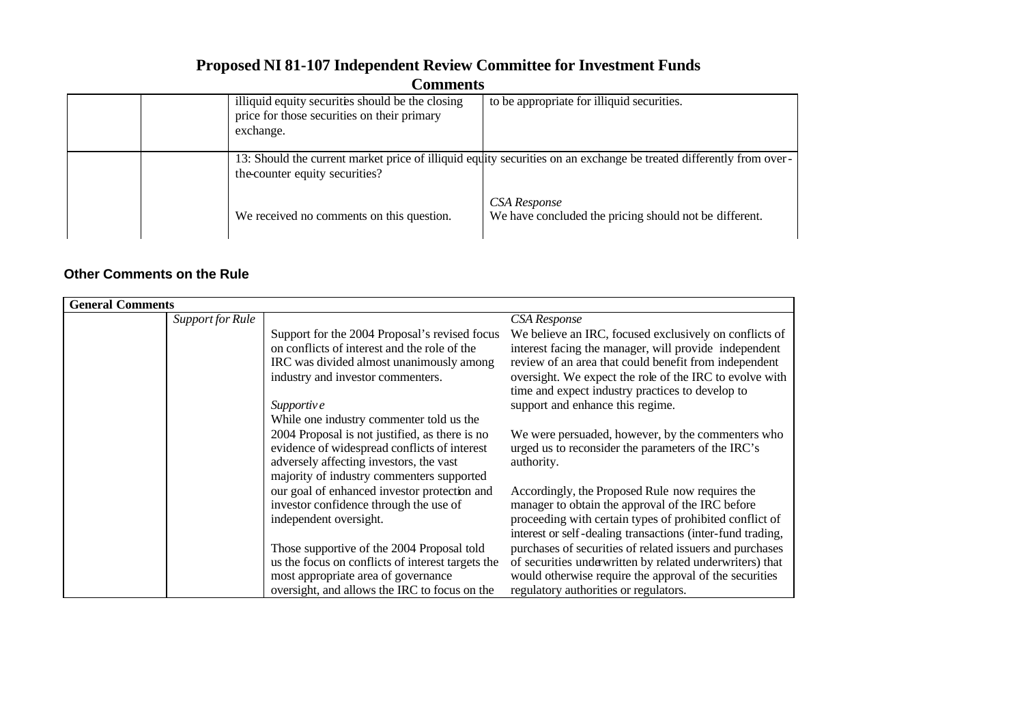| www. |                                                                                                              |                                                                                                                                                                                              |  |
|------|--------------------------------------------------------------------------------------------------------------|----------------------------------------------------------------------------------------------------------------------------------------------------------------------------------------------|--|
|      | illiquid equity securities should be the closing<br>price for those securities on their primary<br>exchange. | to be appropriate for illiquid securities.                                                                                                                                                   |  |
|      | the counter equity securities?<br>We received no comments on this question.                                  | 13: Should the current market price of illiquid equity securities on an exchange be treated differently from over-<br>CSA Response<br>We have concluded the pricing should not be different. |  |
|      |                                                                                                              |                                                                                                                                                                                              |  |

### **Other Comments on the Rule**

| <b>General Comments</b> |                  |                                                   |                                                            |
|-------------------------|------------------|---------------------------------------------------|------------------------------------------------------------|
|                         | Support for Rule |                                                   | CSA Response                                               |
|                         |                  | Support for the 2004 Proposal's revised focus     | We believe an IRC, focused exclusively on conflicts of     |
|                         |                  | on conflicts of interest and the role of the      | interest facing the manager, will provide independent      |
|                         |                  | IRC was divided almost unanimously among          | review of an area that could benefit from independent      |
|                         |                  | industry and investor commenters.                 | oversight. We expect the role of the IRC to evolve with    |
|                         |                  |                                                   | time and expect industry practices to develop to           |
|                         |                  | Supportive                                        | support and enhance this regime.                           |
|                         |                  | While one industry commenter told us the          |                                                            |
|                         |                  | 2004 Proposal is not justified, as there is no    | We were persuaded, however, by the commenters who          |
|                         |                  | evidence of widespread conflicts of interest      | urged us to reconsider the parameters of the IRC's         |
|                         |                  | adversely affecting investors, the vast           | authority.                                                 |
|                         |                  | majority of industry commenters supported         |                                                            |
|                         |                  | our goal of enhanced investor protection and      | Accordingly, the Proposed Rule now requires the            |
|                         |                  | investor confidence through the use of            | manager to obtain the approval of the IRC before           |
|                         |                  | independent oversight.                            | proceeding with certain types of prohibited conflict of    |
|                         |                  |                                                   | interest or self-dealing transactions (inter-fund trading, |
|                         |                  | Those supportive of the 2004 Proposal told        | purchases of securities of related issuers and purchases   |
|                         |                  | us the focus on conflicts of interest targets the | of securities underwritten by related underwriters) that   |
|                         |                  | most appropriate area of governance               | would otherwise require the approval of the securities     |
|                         |                  | oversight, and allows the IRC to focus on the     | regulatory authorities or regulators.                      |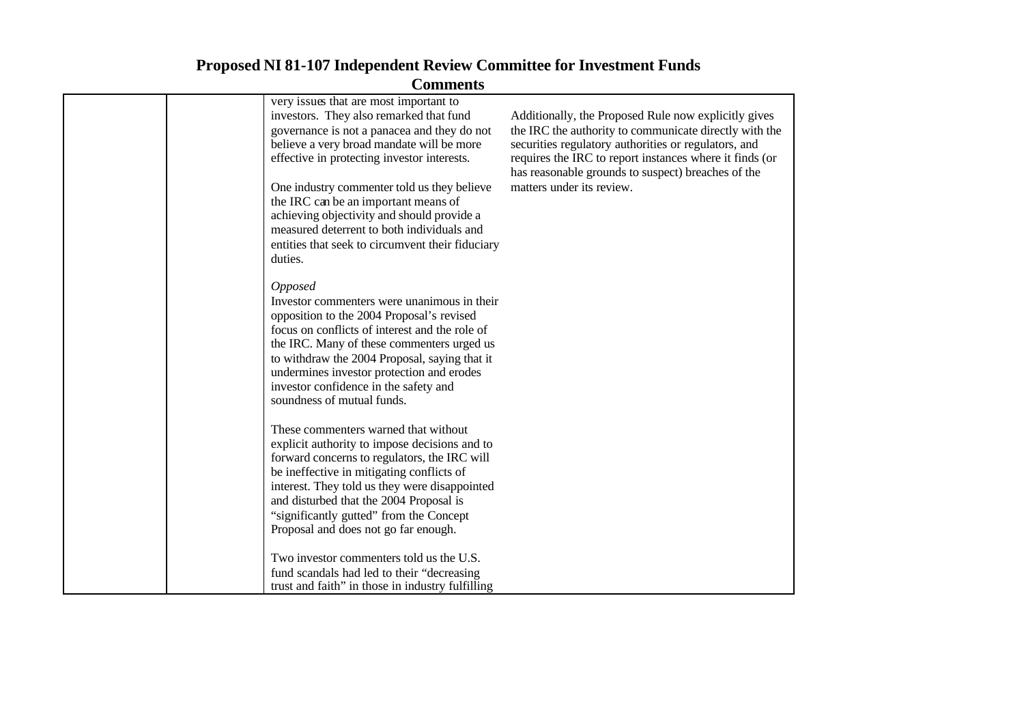| <b>Comments</b> |                                                                                                                                                                                                                                                                                                                                                                                                                                                                     |                                                                                                                                                                                                                                                                                                                      |  |
|-----------------|---------------------------------------------------------------------------------------------------------------------------------------------------------------------------------------------------------------------------------------------------------------------------------------------------------------------------------------------------------------------------------------------------------------------------------------------------------------------|----------------------------------------------------------------------------------------------------------------------------------------------------------------------------------------------------------------------------------------------------------------------------------------------------------------------|--|
|                 | very issues that are most important to<br>investors. They also remarked that fund<br>governance is not a panacea and they do not<br>believe a very broad mandate will be more<br>effective in protecting investor interests.<br>One industry commenter told us they believe<br>the IRC can be an important means of<br>achieving objectivity and should provide a<br>measured deterrent to both individuals and<br>entities that seek to circumvent their fiduciary | Additionally, the Proposed Rule now explicitly gives<br>the IRC the authority to communicate directly with the<br>securities regulatory authorities or regulators, and<br>requires the IRC to report instances where it finds (or<br>has reasonable grounds to suspect) breaches of the<br>matters under its review. |  |
|                 | duties.<br><b>Opposed</b><br>Investor commenters were unanimous in their<br>opposition to the 2004 Proposal's revised<br>focus on conflicts of interest and the role of<br>the IRC. Many of these commenters urged us<br>to withdraw the 2004 Proposal, saying that it<br>undermines investor protection and erodes<br>investor confidence in the safety and<br>soundness of mutual funds.                                                                          |                                                                                                                                                                                                                                                                                                                      |  |
|                 | These commenters warned that without<br>explicit authority to impose decisions and to<br>forward concerns to regulators, the IRC will<br>be ineffective in mitigating conflicts of<br>interest. They told us they were disappointed<br>and disturbed that the 2004 Proposal is<br>"significantly gutted" from the Concept<br>Proposal and does not go far enough.                                                                                                   |                                                                                                                                                                                                                                                                                                                      |  |
|                 | Two investor commenters told us the U.S.<br>fund scandals had led to their "decreasing<br>trust and faith" in those in industry fulfilling                                                                                                                                                                                                                                                                                                                          |                                                                                                                                                                                                                                                                                                                      |  |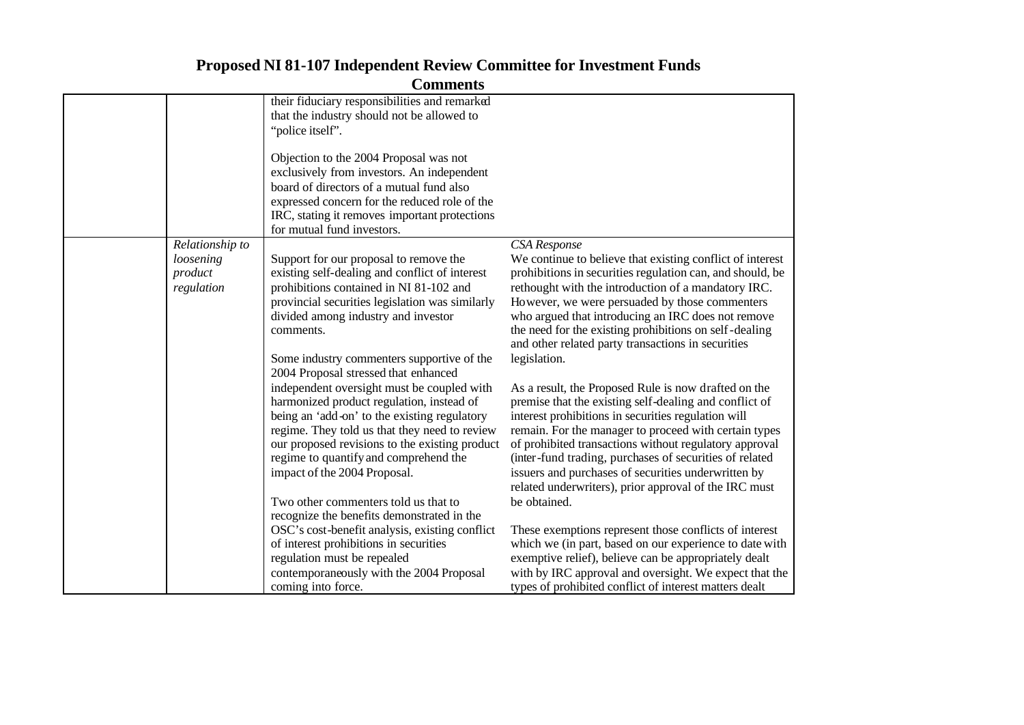|                 | Community                                       |                                                           |
|-----------------|-------------------------------------------------|-----------------------------------------------------------|
|                 | their fiduciary responsibilities and remarked   |                                                           |
|                 | that the industry should not be allowed to      |                                                           |
|                 | "police itself".                                |                                                           |
|                 |                                                 |                                                           |
|                 | Objection to the 2004 Proposal was not          |                                                           |
|                 | exclusively from investors. An independent      |                                                           |
|                 | board of directors of a mutual fund also        |                                                           |
|                 | expressed concern for the reduced role of the   |                                                           |
|                 | IRC, stating it removes important protections   |                                                           |
|                 | for mutual fund investors.                      |                                                           |
| Relationship to |                                                 | <b>CSA</b> Response                                       |
| loosening       | Support for our proposal to remove the          | We continue to believe that existing conflict of interest |
| product         | existing self-dealing and conflict of interest  | prohibitions in securities regulation can, and should, be |
| regulation      | prohibitions contained in NI 81-102 and         | rethought with the introduction of a mandatory IRC.       |
|                 | provincial securities legislation was similarly | However, we were persuaded by those commenters            |
|                 | divided among industry and investor             | who argued that introducing an IRC does not remove        |
|                 | comments.                                       | the need for the existing prohibitions on self-dealing    |
|                 |                                                 | and other related party transactions in securities        |
|                 | Some industry commenters supportive of the      | legislation.                                              |
|                 | 2004 Proposal stressed that enhanced            |                                                           |
|                 | independent oversight must be coupled with      | As a result, the Proposed Rule is now drafted on the      |
|                 | harmonized product regulation, instead of       | premise that the existing self-dealing and conflict of    |
|                 | being an 'add-on' to the existing regulatory    | interest prohibitions in securities regulation will       |
|                 | regime. They told us that they need to review   | remain. For the manager to proceed with certain types     |
|                 | our proposed revisions to the existing product  | of prohibited transactions without regulatory approval    |
|                 | regime to quantify and comprehend the           | (inter-fund trading, purchases of securities of related   |
|                 | impact of the 2004 Proposal.                    | issuers and purchases of securities underwritten by       |
|                 |                                                 | related underwriters), prior approval of the IRC must     |
|                 | Two other commenters told us that to            | be obtained.                                              |
|                 | recognize the benefits demonstrated in the      |                                                           |
|                 | OSC's cost-benefit analysis, existing conflict  | These exemptions represent those conflicts of interest    |
|                 | of interest prohibitions in securities          | which we (in part, based on our experience to date with   |
|                 | regulation must be repealed                     | exemptive relief), believe can be appropriately dealt     |
|                 | contemporaneously with the 2004 Proposal        | with by IRC approval and oversight. We expect that the    |
|                 | coming into force.                              | types of prohibited conflict of interest matters dealt    |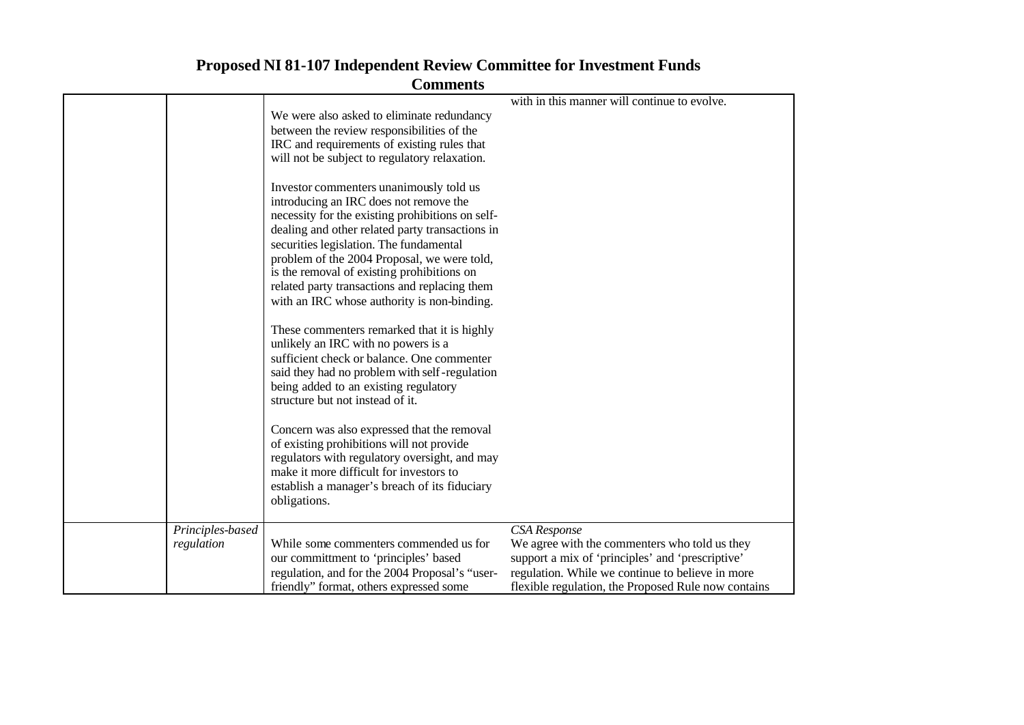| <b>Comments</b> |                                                                                                                                                                                                                                                                                                                                                                                                                                  |                                                                                                                                                                                                                                     |
|-----------------|----------------------------------------------------------------------------------------------------------------------------------------------------------------------------------------------------------------------------------------------------------------------------------------------------------------------------------------------------------------------------------------------------------------------------------|-------------------------------------------------------------------------------------------------------------------------------------------------------------------------------------------------------------------------------------|
|                 | We were also asked to eliminate redundancy<br>between the review responsibilities of the<br>IRC and requirements of existing rules that<br>will not be subject to regulatory relaxation.                                                                                                                                                                                                                                         | with in this manner will continue to evolve.                                                                                                                                                                                        |
|                 | Investor commenters unanimously told us<br>introducing an IRC does not remove the<br>necessity for the existing prohibitions on self-<br>dealing and other related party transactions in<br>securities legislation. The fundamental<br>problem of the 2004 Proposal, we were told,<br>is the removal of existing prohibitions on<br>related party transactions and replacing them<br>with an IRC whose authority is non-binding. |                                                                                                                                                                                                                                     |
|                 | These commenters remarked that it is highly<br>unlikely an IRC with no powers is a<br>sufficient check or balance. One commenter<br>said they had no problem with self-regulation<br>being added to an existing regulatory<br>structure but not instead of it.                                                                                                                                                                   |                                                                                                                                                                                                                                     |
|                 | Concern was also expressed that the removal<br>of existing prohibitions will not provide<br>regulators with regulatory oversight, and may<br>make it more difficult for investors to<br>establish a manager's breach of its fiduciary<br>obligations.                                                                                                                                                                            |                                                                                                                                                                                                                                     |
| regulation      | Principles-based<br>While some commenters commended us for<br>our committment to 'principles' based<br>regulation, and for the 2004 Proposal's "user-<br>friendly" format, others expressed some                                                                                                                                                                                                                                 | <b>CSA</b> Response<br>We agree with the commenters who told us they<br>support a mix of 'principles' and 'prescriptive'<br>regulation. While we continue to believe in more<br>flexible regulation, the Proposed Rule now contains |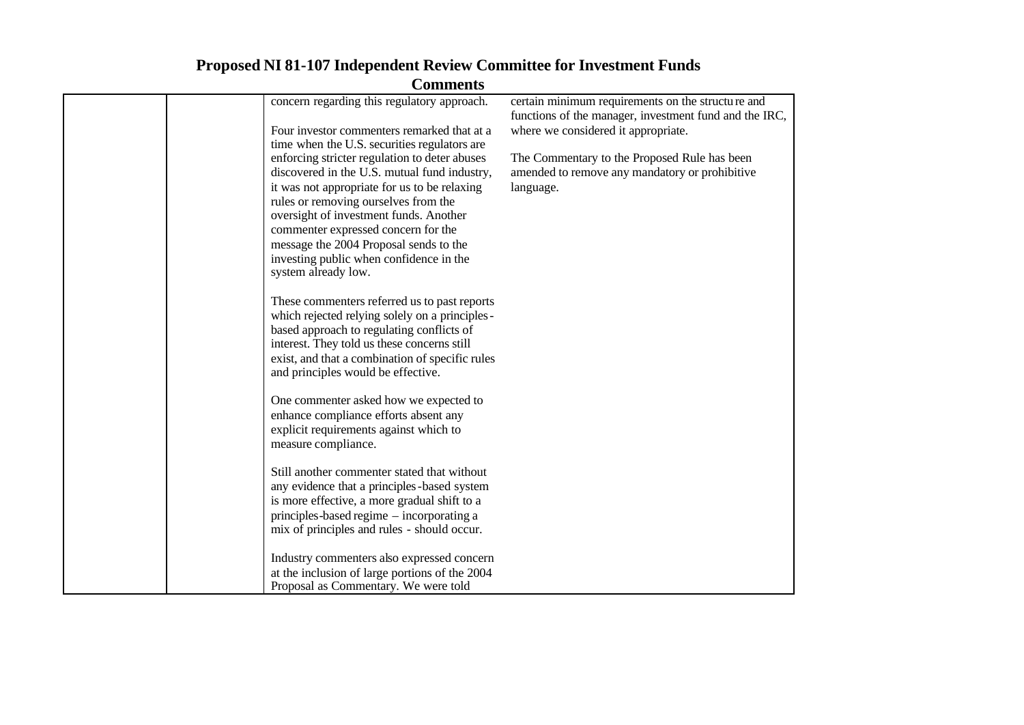| Commichts                                                                                   |                                                                                                                                                    |
|---------------------------------------------------------------------------------------------|----------------------------------------------------------------------------------------------------------------------------------------------------|
| concern regarding this regulatory approach.<br>Four investor commenters remarked that at a  | certain minimum requirements on the structure and<br>functions of the manager, investment fund and the IRC,<br>where we considered it appropriate. |
| time when the U.S. securities regulators are                                                |                                                                                                                                                    |
| enforcing stricter regulation to deter abuses                                               | The Commentary to the Proposed Rule has been                                                                                                       |
| discovered in the U.S. mutual fund industry,                                                | amended to remove any mandatory or prohibitive                                                                                                     |
| it was not appropriate for us to be relaxing                                                | language.                                                                                                                                          |
| rules or removing ourselves from the                                                        |                                                                                                                                                    |
| oversight of investment funds. Another                                                      |                                                                                                                                                    |
| commenter expressed concern for the<br>message the 2004 Proposal sends to the               |                                                                                                                                                    |
| investing public when confidence in the                                                     |                                                                                                                                                    |
| system already low.                                                                         |                                                                                                                                                    |
|                                                                                             |                                                                                                                                                    |
| These commenters referred us to past reports                                                |                                                                                                                                                    |
| which rejected relying solely on a principles -                                             |                                                                                                                                                    |
| based approach to regulating conflicts of                                                   |                                                                                                                                                    |
| interest. They told us these concerns still                                                 |                                                                                                                                                    |
| exist, and that a combination of specific rules                                             |                                                                                                                                                    |
| and principles would be effective.                                                          |                                                                                                                                                    |
| One commenter asked how we expected to                                                      |                                                                                                                                                    |
| enhance compliance efforts absent any                                                       |                                                                                                                                                    |
| explicit requirements against which to                                                      |                                                                                                                                                    |
| measure compliance.                                                                         |                                                                                                                                                    |
|                                                                                             |                                                                                                                                                    |
| Still another commenter stated that without                                                 |                                                                                                                                                    |
| any evidence that a principles-based system<br>is more effective, a more gradual shift to a |                                                                                                                                                    |
| principles-based regime - incorporating a                                                   |                                                                                                                                                    |
| mix of principles and rules - should occur.                                                 |                                                                                                                                                    |
|                                                                                             |                                                                                                                                                    |
| Industry commenters also expressed concern                                                  |                                                                                                                                                    |
| at the inclusion of large portions of the 2004                                              |                                                                                                                                                    |
| Proposal as Commentary. We were told                                                        |                                                                                                                                                    |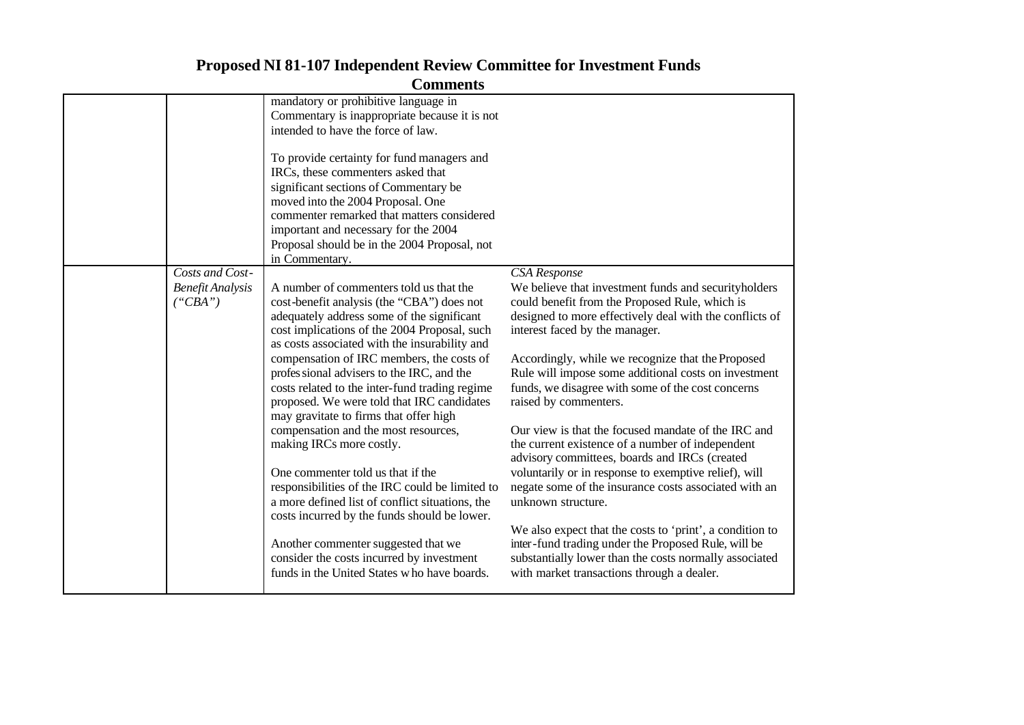|                                | mandatory or prohibitive language in            |                                                          |
|--------------------------------|-------------------------------------------------|----------------------------------------------------------|
|                                | Commentary is inappropriate because it is not   |                                                          |
|                                | intended to have the force of law.              |                                                          |
|                                |                                                 |                                                          |
|                                | To provide certainty for fund managers and      |                                                          |
|                                | IRCs, these commenters asked that               |                                                          |
|                                | significant sections of Commentary be           |                                                          |
|                                | moved into the 2004 Proposal. One               |                                                          |
|                                | commenter remarked that matters considered      |                                                          |
|                                | important and necessary for the 2004            |                                                          |
|                                | Proposal should be in the 2004 Proposal, not    |                                                          |
|                                | in Commentary.                                  |                                                          |
| Costs and Cost-                |                                                 | CSA Response                                             |
| <b>Benefit Analysis</b>        | A number of commenters told us that the         | We believe that investment funds and securityholders     |
| $(^{\circ}CBA^{\prime\prime})$ | cost-benefit analysis (the "CBA") does not      | could benefit from the Proposed Rule, which is           |
|                                | adequately address some of the significant      | designed to more effectively deal with the conflicts of  |
|                                | cost implications of the 2004 Proposal, such    | interest faced by the manager.                           |
|                                | as costs associated with the insurability and   |                                                          |
|                                |                                                 |                                                          |
|                                | compensation of IRC members, the costs of       | Accordingly, while we recognize that the Proposed        |
|                                | profes sional advisers to the IRC, and the      | Rule will impose some additional costs on investment     |
|                                | costs related to the inter-fund trading regime  | funds, we disagree with some of the cost concerns        |
|                                | proposed. We were told that IRC candidates      | raised by commenters.                                    |
|                                | may gravitate to firms that offer high          |                                                          |
|                                | compensation and the most resources,            | Our view is that the focused mandate of the IRC and      |
|                                | making IRCs more costly.                        | the current existence of a number of independent         |
|                                |                                                 | advisory committees, boards and IRCs (created            |
|                                | One commenter told us that if the               | voluntarily or in response to exemptive relief), will    |
|                                | responsibilities of the IRC could be limited to | negate some of the insurance costs associated with an    |
|                                | a more defined list of conflict situations, the | unknown structure.                                       |
|                                | costs incurred by the funds should be lower.    |                                                          |
|                                |                                                 | We also expect that the costs to 'print', a condition to |
|                                | Another commenter suggested that we             | inter-fund trading under the Proposed Rule, will be      |
|                                | consider the costs incurred by investment       | substantially lower than the costs normally associated   |
|                                | funds in the United States who have boards.     | with market transactions through a dealer.               |
|                                |                                                 |                                                          |
|                                |                                                 |                                                          |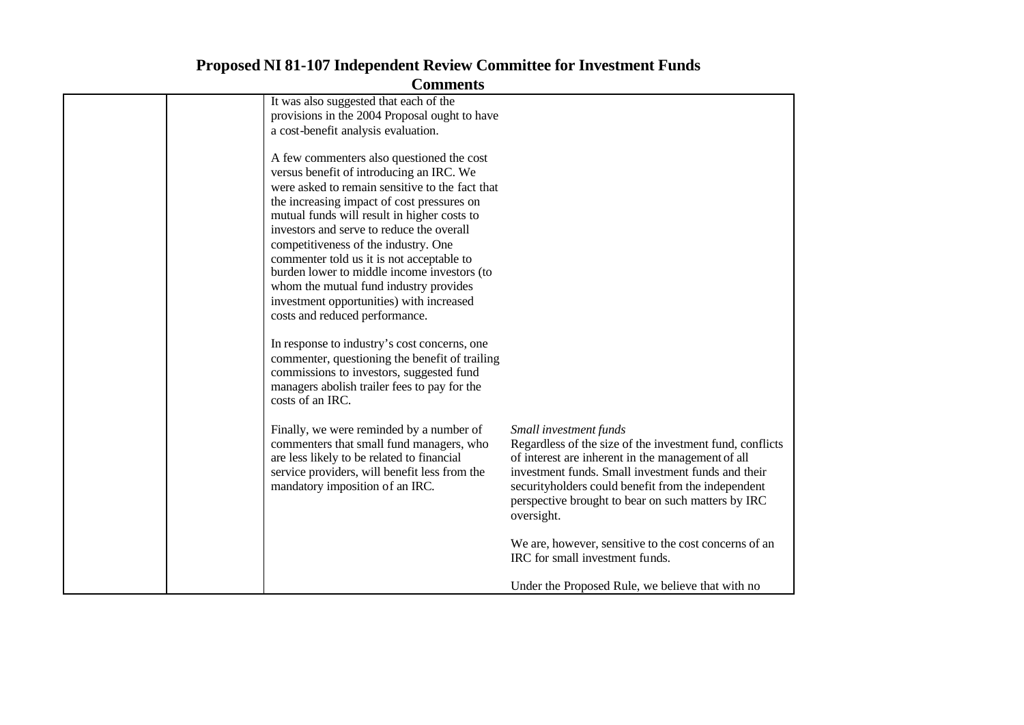| Commichts                                       |                                                          |
|-------------------------------------------------|----------------------------------------------------------|
| It was also suggested that each of the          |                                                          |
| provisions in the 2004 Proposal ought to have   |                                                          |
| a cost-benefit analysis evaluation.             |                                                          |
| A few commenters also questioned the cost       |                                                          |
| versus benefit of introducing an IRC. We        |                                                          |
| were asked to remain sensitive to the fact that |                                                          |
| the increasing impact of cost pressures on      |                                                          |
| mutual funds will result in higher costs to     |                                                          |
| investors and serve to reduce the overall       |                                                          |
| competitiveness of the industry. One            |                                                          |
| commenter told us it is not acceptable to       |                                                          |
| burden lower to middle income investors (to     |                                                          |
| whom the mutual fund industry provides          |                                                          |
| investment opportunities) with increased        |                                                          |
| costs and reduced performance.                  |                                                          |
| In response to industry's cost concerns, one    |                                                          |
| commenter, questioning the benefit of trailing  |                                                          |
| commissions to investors, suggested fund        |                                                          |
| managers abolish trailer fees to pay for the    |                                                          |
| costs of an IRC.                                |                                                          |
|                                                 |                                                          |
| Finally, we were reminded by a number of        | Small investment funds                                   |
| commenters that small fund managers, who        | Regardless of the size of the investment fund, conflicts |
| are less likely to be related to financial      | of interest are inherent in the management of all        |
| service providers, will benefit less from the   | investment funds. Small investment funds and their       |
| mandatory imposition of an IRC.                 | securityholders could benefit from the independent       |
|                                                 | perspective brought to bear on such matters by IRC       |
|                                                 | oversight.                                               |
|                                                 | We are, however, sensitive to the cost concerns of an    |
|                                                 | IRC for small investment funds.                          |
|                                                 | Under the Proposed Rule, we believe that with no         |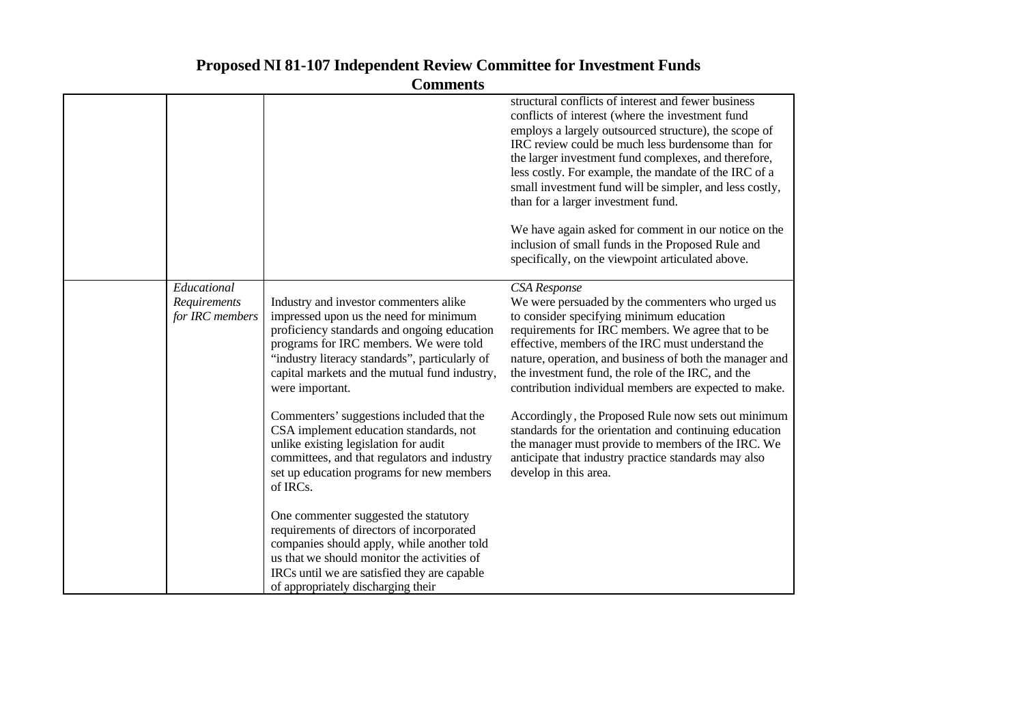|                                                | Сопписни                                                                                                                                                                                                                                                                                        |                                                                                                                                                                                                                                                                                                                                                                                                                                                                                                                                                                                                           |
|------------------------------------------------|-------------------------------------------------------------------------------------------------------------------------------------------------------------------------------------------------------------------------------------------------------------------------------------------------|-----------------------------------------------------------------------------------------------------------------------------------------------------------------------------------------------------------------------------------------------------------------------------------------------------------------------------------------------------------------------------------------------------------------------------------------------------------------------------------------------------------------------------------------------------------------------------------------------------------|
|                                                |                                                                                                                                                                                                                                                                                                 | structural conflicts of interest and fewer business<br>conflicts of interest (where the investment fund<br>employs a largely outsourced structure), the scope of<br>IRC review could be much less burdensome than for<br>the larger investment fund complexes, and therefore,<br>less costly. For example, the mandate of the IRC of a<br>small investment fund will be simpler, and less costly,<br>than for a larger investment fund.<br>We have again asked for comment in our notice on the<br>inclusion of small funds in the Proposed Rule and<br>specifically, on the viewpoint articulated above. |
| Educational<br>Requirements<br>for IRC members | Industry and investor commenters alike<br>impressed upon us the need for minimum<br>proficiency standards and ongoing education<br>programs for IRC members. We were told<br>"industry literacy standards", particularly of<br>capital markets and the mutual fund industry,<br>were important. | CSA Response<br>We were persuaded by the commenters who urged us<br>to consider specifying minimum education<br>requirements for IRC members. We agree that to be<br>effective, members of the IRC must understand the<br>nature, operation, and business of both the manager and<br>the investment fund, the role of the IRC, and the<br>contribution individual members are expected to make.                                                                                                                                                                                                           |
|                                                | Commenters' suggestions included that the<br>CSA implement education standards, not<br>unlike existing legislation for audit<br>committees, and that regulators and industry<br>set up education programs for new members<br>of IRCs.                                                           | Accordingly, the Proposed Rule now sets out minimum<br>standards for the orientation and continuing education<br>the manager must provide to members of the IRC. We<br>anticipate that industry practice standards may also<br>develop in this area.                                                                                                                                                                                                                                                                                                                                                      |
|                                                | One commenter suggested the statutory<br>requirements of directors of incorporated<br>companies should apply, while another told<br>us that we should monitor the activities of<br>IRCs until we are satisfied they are capable<br>of appropriately discharging their                           |                                                                                                                                                                                                                                                                                                                                                                                                                                                                                                                                                                                                           |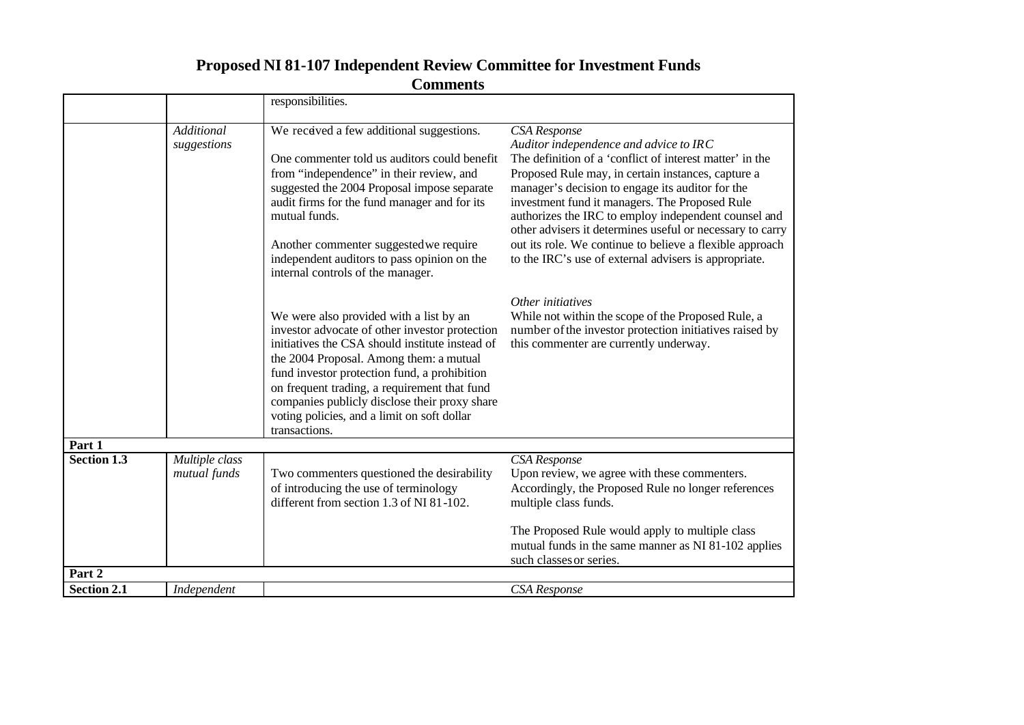|                    |                                | responsibilities.                                                                                                                                                                                                                                                                                                                                                                                        |                                                                                                                                                                                                                                                                                                                                                                                                                                                                                                                          |
|--------------------|--------------------------------|----------------------------------------------------------------------------------------------------------------------------------------------------------------------------------------------------------------------------------------------------------------------------------------------------------------------------------------------------------------------------------------------------------|--------------------------------------------------------------------------------------------------------------------------------------------------------------------------------------------------------------------------------------------------------------------------------------------------------------------------------------------------------------------------------------------------------------------------------------------------------------------------------------------------------------------------|
|                    |                                |                                                                                                                                                                                                                                                                                                                                                                                                          |                                                                                                                                                                                                                                                                                                                                                                                                                                                                                                                          |
|                    | Additional<br>suggestions      | We received a few additional suggestions.<br>One commenter told us auditors could benefit<br>from "independence" in their review, and<br>suggested the 2004 Proposal impose separate<br>audit firms for the fund manager and for its<br>mutual funds.<br>Another commenter suggested we require<br>independent auditors to pass opinion on the<br>internal controls of the manager.                      | CSA Response<br>Auditor independence and advice to IRC<br>The definition of a 'conflict of interest matter' in the<br>Proposed Rule may, in certain instances, capture a<br>manager's decision to engage its auditor for the<br>investment fund it managers. The Proposed Rule<br>authorizes the IRC to employ independent counsel and<br>other advisers it determines useful or necessary to carry<br>out its role. We continue to believe a flexible approach<br>to the IRC's use of external advisers is appropriate. |
|                    |                                | We were also provided with a list by an<br>investor advocate of other investor protection<br>initiatives the CSA should institute instead of<br>the 2004 Proposal. Among them: a mutual<br>fund investor protection fund, a prohibition<br>on frequent trading, a requirement that fund<br>companies publicly disclose their proxy share<br>voting policies, and a limit on soft dollar<br>transactions. | Other initiatives<br>While not within the scope of the Proposed Rule, a<br>number of the investor protection initiatives raised by<br>this commenter are currently underway.                                                                                                                                                                                                                                                                                                                                             |
| Part 1             |                                |                                                                                                                                                                                                                                                                                                                                                                                                          |                                                                                                                                                                                                                                                                                                                                                                                                                                                                                                                          |
| <b>Section 1.3</b> | Multiple class<br>mutual funds | Two commenters questioned the desirability<br>of introducing the use of terminology<br>different from section 1.3 of NI 81-102.                                                                                                                                                                                                                                                                          | CSA Response<br>Upon review, we agree with these commenters.<br>Accordingly, the Proposed Rule no longer references<br>multiple class funds.                                                                                                                                                                                                                                                                                                                                                                             |
|                    |                                |                                                                                                                                                                                                                                                                                                                                                                                                          | The Proposed Rule would apply to multiple class<br>mutual funds in the same manner as NI 81-102 applies<br>such classes or series.                                                                                                                                                                                                                                                                                                                                                                                       |
| Part 2             |                                |                                                                                                                                                                                                                                                                                                                                                                                                          |                                                                                                                                                                                                                                                                                                                                                                                                                                                                                                                          |
| <b>Section 2.1</b> | Independent                    |                                                                                                                                                                                                                                                                                                                                                                                                          | <b>CSA</b> Response                                                                                                                                                                                                                                                                                                                                                                                                                                                                                                      |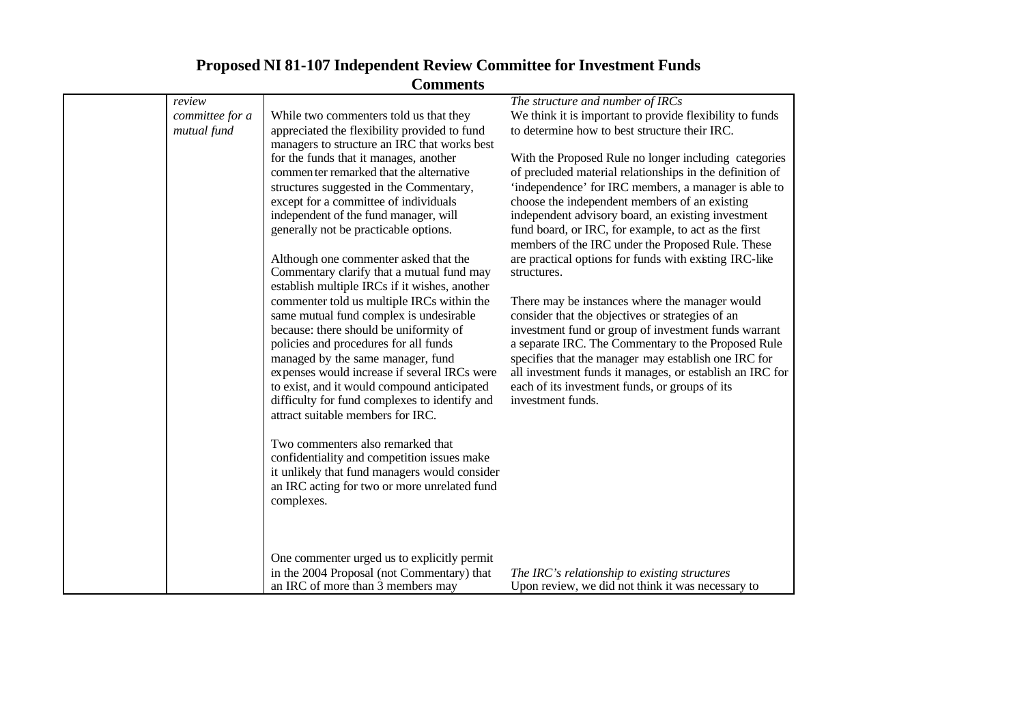|                 | Comments                                                                               |                                                                                                             |
|-----------------|----------------------------------------------------------------------------------------|-------------------------------------------------------------------------------------------------------------|
| review          |                                                                                        | The structure and number of IRCs                                                                            |
| committee for a | While two commenters told us that they                                                 | We think it is important to provide flexibility to funds                                                    |
| mutual fund     | appreciated the flexibility provided to fund                                           | to determine how to best structure their IRC.                                                               |
|                 | managers to structure an IRC that works best<br>for the funds that it manages, another | With the Proposed Rule no longer including categories                                                       |
|                 | commenter remarked that the alternative                                                | of precluded material relationships in the definition of                                                    |
|                 | structures suggested in the Commentary,                                                | 'independence' for IRC members, a manager is able to                                                        |
|                 | except for a committee of individuals                                                  | choose the independent members of an existing                                                               |
|                 | independent of the fund manager, will                                                  | independent advisory board, an existing investment                                                          |
|                 | generally not be practicable options.                                                  | fund board, or IRC, for example, to act as the first                                                        |
|                 |                                                                                        | members of the IRC under the Proposed Rule. These                                                           |
|                 | Although one commenter asked that the<br>Commentary clarify that a mutual fund may     | are practical options for funds with existing IRC-like<br>structures.                                       |
|                 | establish multiple IRCs if it wishes, another                                          |                                                                                                             |
|                 | commenter told us multiple IRCs within the                                             | There may be instances where the manager would                                                              |
|                 | same mutual fund complex is undesirable                                                | consider that the objectives or strategies of an                                                            |
|                 | because: there should be uniformity of                                                 | investment fund or group of investment funds warrant                                                        |
|                 | policies and procedures for all funds                                                  | a separate IRC. The Commentary to the Proposed Rule<br>specifies that the manager may establish one IRC for |
|                 | managed by the same manager, fund<br>expenses would increase if several IRCs were      | all investment funds it manages, or establish an IRC for                                                    |
|                 | to exist, and it would compound anticipated                                            | each of its investment funds, or groups of its                                                              |
|                 | difficulty for fund complexes to identify and                                          | investment funds.                                                                                           |
|                 | attract suitable members for IRC.                                                      |                                                                                                             |
|                 |                                                                                        |                                                                                                             |
|                 | Two commenters also remarked that                                                      |                                                                                                             |
|                 | confidentiality and competition issues make                                            |                                                                                                             |
|                 | it unlikely that fund managers would consider                                          |                                                                                                             |
|                 | an IRC acting for two or more unrelated fund                                           |                                                                                                             |
|                 | complexes.                                                                             |                                                                                                             |
|                 |                                                                                        |                                                                                                             |
|                 | One commenter urged us to explicitly permit                                            |                                                                                                             |
|                 | in the 2004 Proposal (not Commentary) that                                             | The IRC's relationship to existing structures                                                               |
|                 | an IRC of more than 3 members may                                                      | Upon review, we did not think it was necessary to                                                           |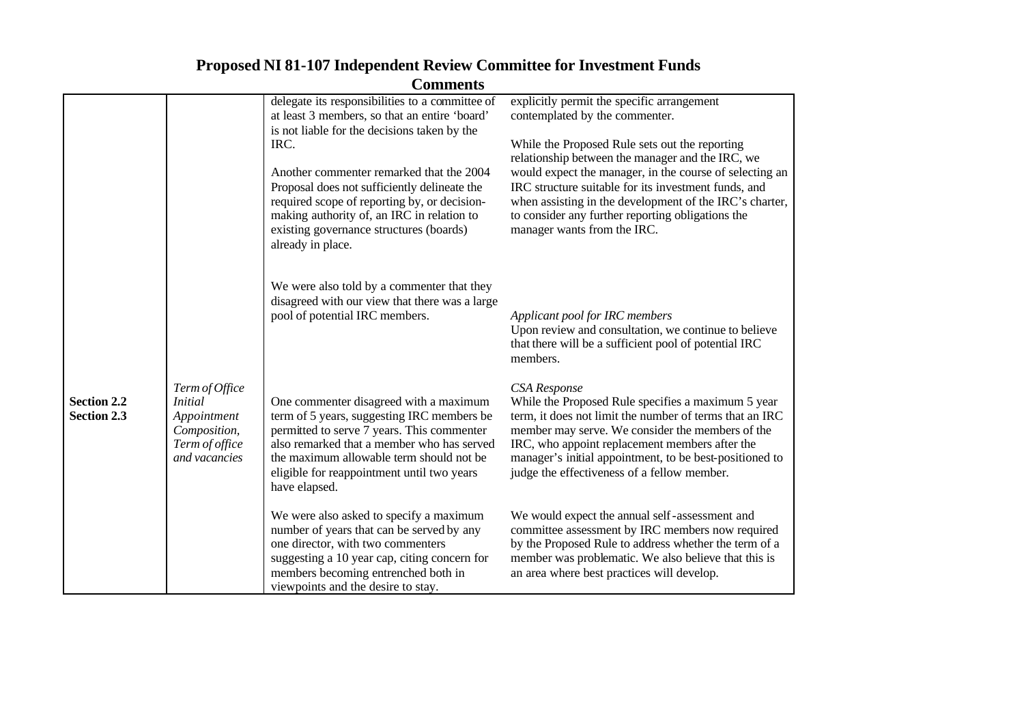|                                          |                             | delegate its responsibilities to a committee of                                               | explicitly permit the specific arrangement                                                                      |
|------------------------------------------|-----------------------------|-----------------------------------------------------------------------------------------------|-----------------------------------------------------------------------------------------------------------------|
|                                          |                             | at least 3 members, so that an entire 'board'<br>is not liable for the decisions taken by the | contemplated by the commenter.                                                                                  |
|                                          |                             | IRC.                                                                                          | While the Proposed Rule sets out the reporting                                                                  |
|                                          |                             |                                                                                               | relationship between the manager and the IRC, we                                                                |
|                                          |                             | Another commenter remarked that the 2004                                                      | would expect the manager, in the course of selecting an                                                         |
|                                          |                             | Proposal does not sufficiently delineate the<br>required scope of reporting by, or decision-  | IRC structure suitable for its investment funds, and<br>when assisting in the development of the IRC's charter, |
|                                          |                             | making authority of, an IRC in relation to<br>existing governance structures (boards)         | to consider any further reporting obligations the<br>manager wants from the IRC.                                |
|                                          |                             | already in place.                                                                             |                                                                                                                 |
|                                          |                             |                                                                                               |                                                                                                                 |
|                                          |                             | We were also told by a commenter that they<br>disagreed with our view that there was a large  |                                                                                                                 |
|                                          |                             | pool of potential IRC members.                                                                | Applicant pool for IRC members                                                                                  |
|                                          |                             |                                                                                               | Upon review and consultation, we continue to believe                                                            |
|                                          |                             |                                                                                               | that there will be a sufficient pool of potential IRC<br>members.                                               |
|                                          | Term of Office              |                                                                                               | CSA Response                                                                                                    |
| <b>Section 2.2</b><br><b>Section 2.3</b> | <i>Initial</i>              | One commenter disagreed with a maximum<br>term of 5 years, suggesting IRC members be          | While the Proposed Rule specifies a maximum 5 year<br>term, it does not limit the number of terms that an IRC   |
|                                          | Appointment<br>Composition, | permitted to serve 7 years. This commenter                                                    | member may serve. We consider the members of the                                                                |
|                                          | Term of office              | also remarked that a member who has served                                                    | IRC, who appoint replacement members after the                                                                  |
|                                          | and vacancies               | the maximum allowable term should not be<br>eligible for reappointment until two years        | manager's initial appointment, to be best-positioned to<br>judge the effectiveness of a fellow member.          |
|                                          |                             | have elapsed.                                                                                 |                                                                                                                 |
|                                          |                             | We were also asked to specify a maximum                                                       | We would expect the annual self-assessment and                                                                  |
|                                          |                             | number of years that can be served by any                                                     | committee assessment by IRC members now required                                                                |
|                                          |                             | one director, with two commenters<br>suggesting a 10 year cap, citing concern for             | by the Proposed Rule to address whether the term of a<br>member was problematic. We also believe that this is   |
|                                          |                             | members becoming entrenched both in                                                           | an area where best practices will develop.                                                                      |
|                                          |                             | viewpoints and the desire to stay.                                                            |                                                                                                                 |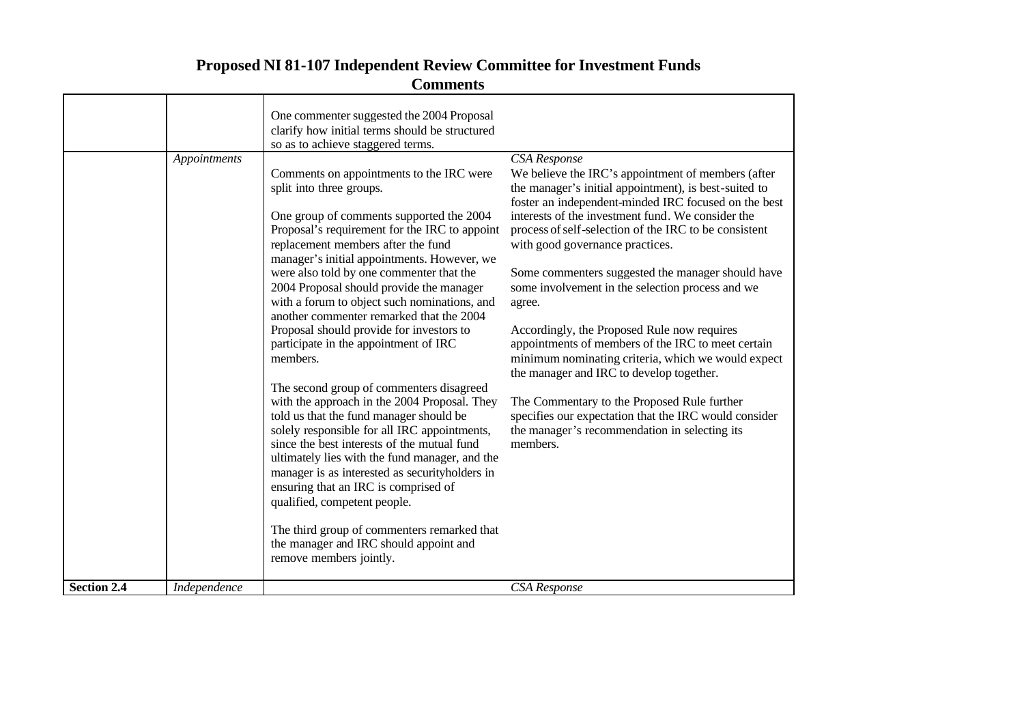|                    |              | One commenter suggested the 2004 Proposal<br>clarify how initial terms should be structured<br>so as to achieve staggered terms.                                                                                                                                                                                                                                                                                                                                                                                                            |                                                                                                                                                                                                                                                                                                                                                                                                                                                                                                                                                                                                                                                                       |
|--------------------|--------------|---------------------------------------------------------------------------------------------------------------------------------------------------------------------------------------------------------------------------------------------------------------------------------------------------------------------------------------------------------------------------------------------------------------------------------------------------------------------------------------------------------------------------------------------|-----------------------------------------------------------------------------------------------------------------------------------------------------------------------------------------------------------------------------------------------------------------------------------------------------------------------------------------------------------------------------------------------------------------------------------------------------------------------------------------------------------------------------------------------------------------------------------------------------------------------------------------------------------------------|
|                    | Appointments | Comments on appointments to the IRC were<br>split into three groups.<br>One group of comments supported the 2004<br>Proposal's requirement for the IRC to appoint<br>replacement members after the fund<br>manager's initial appointments. However, we<br>were also told by one commenter that the<br>2004 Proposal should provide the manager<br>with a forum to object such nominations, and<br>another commenter remarked that the 2004<br>Proposal should provide for investors to<br>participate in the appointment of IRC<br>members. | <b>CSA</b> Response<br>We believe the IRC's appointment of members (after<br>the manager's initial appointment), is best-suited to<br>foster an independent-minded IRC focused on the best<br>interests of the investment fund. We consider the<br>process of self-selection of the IRC to be consistent<br>with good governance practices.<br>Some commenters suggested the manager should have<br>some involvement in the selection process and we<br>agree.<br>Accordingly, the Proposed Rule now requires<br>appointments of members of the IRC to meet certain<br>minimum nominating criteria, which we would expect<br>the manager and IRC to develop together. |
|                    |              | The second group of commenters disagreed<br>with the approach in the 2004 Proposal. They<br>told us that the fund manager should be<br>solely responsible for all IRC appointments,<br>since the best interests of the mutual fund<br>ultimately lies with the fund manager, and the<br>manager is as interested as securityholders in<br>ensuring that an IRC is comprised of<br>qualified, competent people.<br>The third group of commenters remarked that<br>the manager and IRC should appoint and<br>remove members jointly.          | The Commentary to the Proposed Rule further<br>specifies our expectation that the IRC would consider<br>the manager's recommendation in selecting its<br>members.                                                                                                                                                                                                                                                                                                                                                                                                                                                                                                     |
| <b>Section 2.4</b> | Independence |                                                                                                                                                                                                                                                                                                                                                                                                                                                                                                                                             | CSA Response                                                                                                                                                                                                                                                                                                                                                                                                                                                                                                                                                                                                                                                          |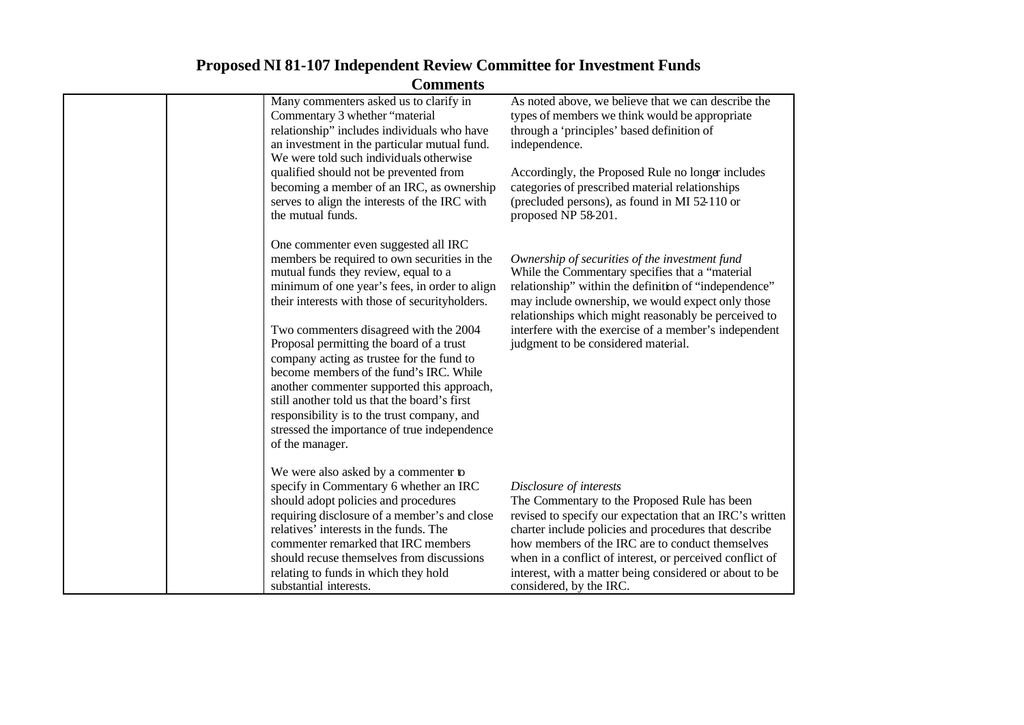| Commicius |                                                                                                                                                                                                                                                                                                                                                                                                                                                                                                                                                                                                                               |                                                                                                                                                                                                                                                                                                                                                                                                    |  |
|-----------|-------------------------------------------------------------------------------------------------------------------------------------------------------------------------------------------------------------------------------------------------------------------------------------------------------------------------------------------------------------------------------------------------------------------------------------------------------------------------------------------------------------------------------------------------------------------------------------------------------------------------------|----------------------------------------------------------------------------------------------------------------------------------------------------------------------------------------------------------------------------------------------------------------------------------------------------------------------------------------------------------------------------------------------------|--|
|           | Many commenters asked us to clarify in<br>Commentary 3 whether "material<br>relationship" includes individuals who have<br>an investment in the particular mutual fund.<br>We were told such individuals otherwise<br>qualified should not be prevented from<br>becoming a member of an IRC, as ownership<br>serves to align the interests of the IRC with<br>the mutual funds.                                                                                                                                                                                                                                               | As noted above, we believe that we can describe the<br>types of members we think would be appropriate<br>through a 'principles' based definition of<br>independence.<br>Accordingly, the Proposed Rule no longer includes<br>categories of prescribed material relationships<br>(precluded persons), as found in MI 52-110 or<br>proposed NP 58-201.                                               |  |
|           | One commenter even suggested all IRC<br>members be required to own securities in the<br>mutual funds they review, equal to a<br>minimum of one year's fees, in order to align<br>their interests with those of securityholders.<br>Two commenters disagreed with the 2004<br>Proposal permitting the board of a trust<br>company acting as trustee for the fund to<br>become members of the fund's IRC. While<br>another commenter supported this approach,<br>still another told us that the board's first<br>responsibility is to the trust company, and<br>stressed the importance of true independence<br>of the manager. | Ownership of securities of the investment fund<br>While the Commentary specifies that a "material"<br>relationship" within the definition of "independence"<br>may include ownership, we would expect only those<br>relationships which might reasonably be perceived to<br>interfere with the exercise of a member's independent<br>judgment to be considered material.                           |  |
|           | We were also asked by a commenter to<br>specify in Commentary 6 whether an IRC<br>should adopt policies and procedures<br>requiring disclosure of a member's and close<br>relatives' interests in the funds. The<br>commenter remarked that IRC members<br>should recuse themselves from discussions<br>relating to funds in which they hold<br>substantial interests.                                                                                                                                                                                                                                                        | Disclosure of interests<br>The Commentary to the Proposed Rule has been<br>revised to specify our expectation that an IRC's written<br>charter include policies and procedures that describe<br>how members of the IRC are to conduct themselves<br>when in a conflict of interest, or perceived conflict of<br>interest, with a matter being considered or about to be<br>considered, by the IRC. |  |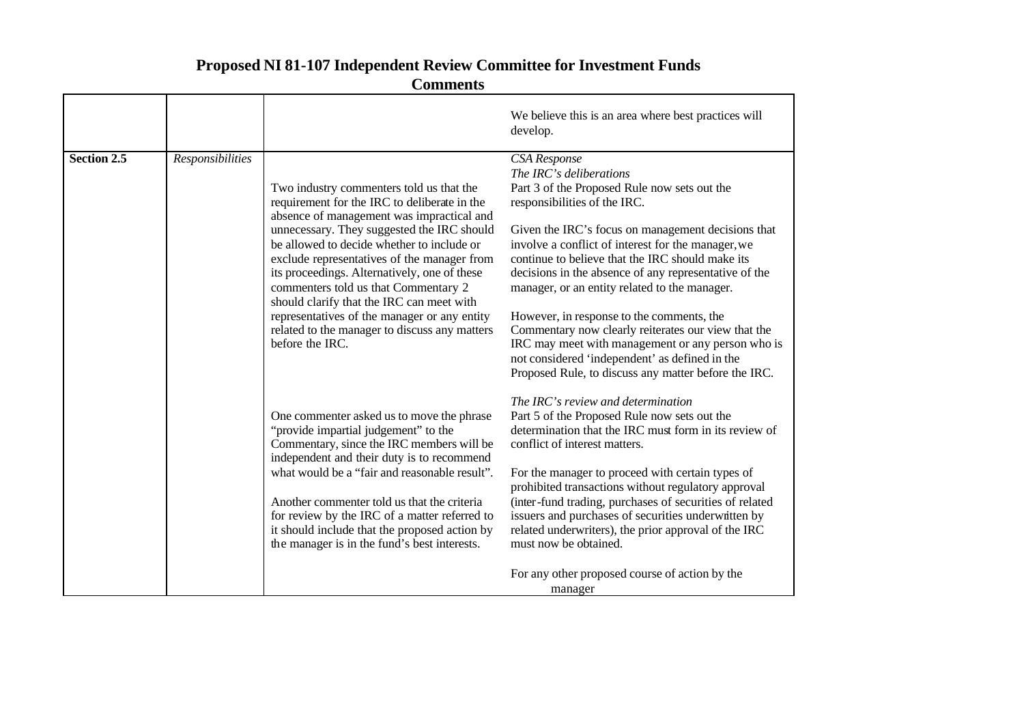|             |                  |                                                                                                                                                                                                                                                                                                                                                                                                                                                                                                                                           | We believe this is an area where best practices will<br>develop.                                                                                                                                                                                                                                                                                                                                                                                                                                                                                                                                                                                                     |
|-------------|------------------|-------------------------------------------------------------------------------------------------------------------------------------------------------------------------------------------------------------------------------------------------------------------------------------------------------------------------------------------------------------------------------------------------------------------------------------------------------------------------------------------------------------------------------------------|----------------------------------------------------------------------------------------------------------------------------------------------------------------------------------------------------------------------------------------------------------------------------------------------------------------------------------------------------------------------------------------------------------------------------------------------------------------------------------------------------------------------------------------------------------------------------------------------------------------------------------------------------------------------|
| Section 2.5 | Responsibilities | Two industry commenters told us that the<br>requirement for the IRC to deliberate in the<br>absence of management was impractical and<br>unnecessary. They suggested the IRC should<br>be allowed to decide whether to include or<br>exclude representatives of the manager from<br>its proceedings. Alternatively, one of these<br>commenters told us that Commentary 2<br>should clarify that the IRC can meet with<br>representatives of the manager or any entity<br>related to the manager to discuss any matters<br>before the IRC. | CSA Response<br>The IRC's deliberations<br>Part 3 of the Proposed Rule now sets out the<br>responsibilities of the IRC.<br>Given the IRC's focus on management decisions that<br>involve a conflict of interest for the manager, we<br>continue to believe that the IRC should make its<br>decisions in the absence of any representative of the<br>manager, or an entity related to the manager.<br>However, in response to the comments, the<br>Commentary now clearly reiterates our view that the<br>IRC may meet with management or any person who is<br>not considered 'independent' as defined in the<br>Proposed Rule, to discuss any matter before the IRC. |
|             |                  | One commenter asked us to move the phrase<br>"provide impartial judgement" to the<br>Commentary, since the IRC members will be<br>independent and their duty is to recommend<br>what would be a "fair and reasonable result".<br>Another commenter told us that the criteria<br>for review by the IRC of a matter referred to<br>it should include that the proposed action by<br>the manager is in the fund's best interests.                                                                                                            | The IRC's review and determination<br>Part 5 of the Proposed Rule now sets out the<br>determination that the IRC must form in its review of<br>conflict of interest matters.<br>For the manager to proceed with certain types of<br>prohibited transactions without regulatory approval<br>(inter-fund trading, purchases of securities of related<br>issuers and purchases of securities underwritten by<br>related underwriters), the prior approval of the IRC<br>must now be obtained.<br>For any other proposed course of action by the<br>manager                                                                                                              |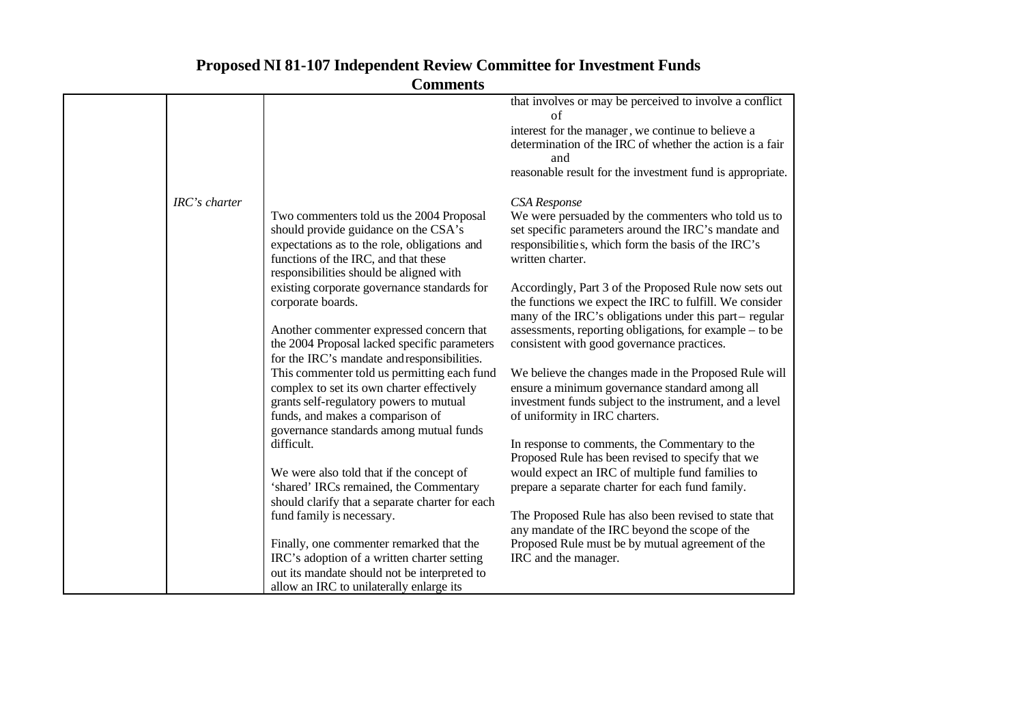| that involves or may be perceived to involve a conflict                                             |
|-----------------------------------------------------------------------------------------------------|
| interest for the manager, we continue to believe a                                                  |
| determination of the IRC of whether the action is a fair                                            |
|                                                                                                     |
| reasonable result for the investment fund is appropriate.                                           |
|                                                                                                     |
| We were persuaded by the commenters who told us to                                                  |
| set specific parameters around the IRC's mandate and                                                |
| responsibilities, which form the basis of the IRC's                                                 |
|                                                                                                     |
|                                                                                                     |
| Accordingly, Part 3 of the Proposed Rule now sets out                                               |
| the functions we expect the IRC to fulfill. We consider                                             |
| many of the IRC's obligations under this part-regular                                               |
| assessments, reporting obligations, for example – to be                                             |
|                                                                                                     |
|                                                                                                     |
| We believe the changes made in the Proposed Rule will                                               |
| ensure a minimum governance standard among all                                                      |
| investment funds subject to the instrument, and a level                                             |
|                                                                                                     |
|                                                                                                     |
| In response to comments, the Commentary to the<br>Proposed Rule has been revised to specify that we |
| would expect an IRC of multiple fund families to                                                    |
| prepare a separate charter for each fund family.                                                    |
|                                                                                                     |
| The Proposed Rule has also been revised to state that                                               |
| any mandate of the IRC beyond the scope of the                                                      |
| Proposed Rule must be by mutual agreement of the                                                    |
|                                                                                                     |
|                                                                                                     |
|                                                                                                     |
|                                                                                                     |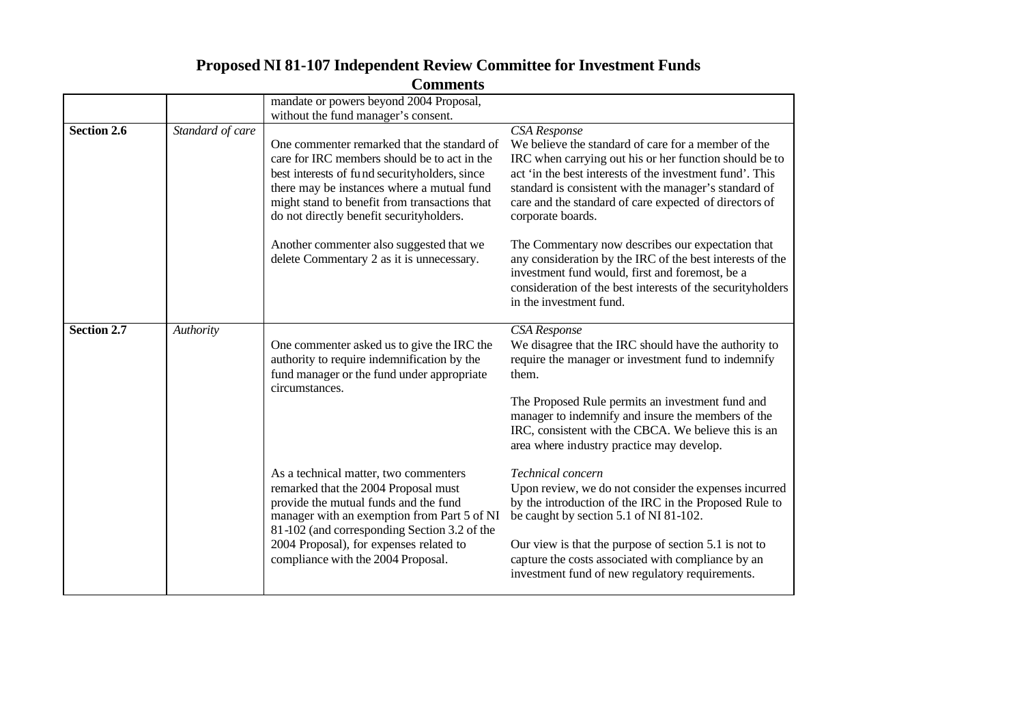|                    |                  | Сонниспь                                                                                                                                                                                                                                                                                                                                                                         |                                                                                                                                                                                                                                                                                                                                                                                                                                                                                                                                                                                                        |
|--------------------|------------------|----------------------------------------------------------------------------------------------------------------------------------------------------------------------------------------------------------------------------------------------------------------------------------------------------------------------------------------------------------------------------------|--------------------------------------------------------------------------------------------------------------------------------------------------------------------------------------------------------------------------------------------------------------------------------------------------------------------------------------------------------------------------------------------------------------------------------------------------------------------------------------------------------------------------------------------------------------------------------------------------------|
|                    |                  | mandate or powers beyond 2004 Proposal,                                                                                                                                                                                                                                                                                                                                          |                                                                                                                                                                                                                                                                                                                                                                                                                                                                                                                                                                                                        |
|                    |                  | without the fund manager's consent.                                                                                                                                                                                                                                                                                                                                              |                                                                                                                                                                                                                                                                                                                                                                                                                                                                                                                                                                                                        |
| <b>Section 2.6</b> | Standard of care | One commenter remarked that the standard of<br>care for IRC members should be to act in the<br>best interests of fund securityholders, since<br>there may be instances where a mutual fund<br>might stand to benefit from transactions that<br>do not directly benefit securityholders.<br>Another commenter also suggested that we<br>delete Commentary 2 as it is unnecessary. | <b>CSA</b> Response<br>We believe the standard of care for a member of the<br>IRC when carrying out his or her function should be to<br>act 'in the best interests of the investment fund'. This<br>standard is consistent with the manager's standard of<br>care and the standard of care expected of directors of<br>corporate boards.<br>The Commentary now describes our expectation that<br>any consideration by the IRC of the best interests of the<br>investment fund would, first and foremost, be a<br>consideration of the best interests of the securityholders<br>in the investment fund. |
| <b>Section 2.7</b> | Authority        | One commenter asked us to give the IRC the<br>authority to require indemnification by the<br>fund manager or the fund under appropriate<br>circumstances.                                                                                                                                                                                                                        | CSA Response<br>We disagree that the IRC should have the authority to<br>require the manager or investment fund to indemnify<br>them.<br>The Proposed Rule permits an investment fund and<br>manager to indemnify and insure the members of the<br>IRC, consistent with the CBCA. We believe this is an<br>area where industry practice may develop.                                                                                                                                                                                                                                                   |
|                    |                  | As a technical matter, two commenters<br>remarked that the 2004 Proposal must<br>provide the mutual funds and the fund<br>manager with an exemption from Part 5 of NI<br>81-102 (and corresponding Section 3.2 of the<br>2004 Proposal), for expenses related to<br>compliance with the 2004 Proposal.                                                                           | Technical concern<br>Upon review, we do not consider the expenses incurred<br>by the introduction of the IRC in the Proposed Rule to<br>be caught by section 5.1 of NI 81-102.<br>Our view is that the purpose of section 5.1 is not to<br>capture the costs associated with compliance by an<br>investment fund of new regulatory requirements.                                                                                                                                                                                                                                                       |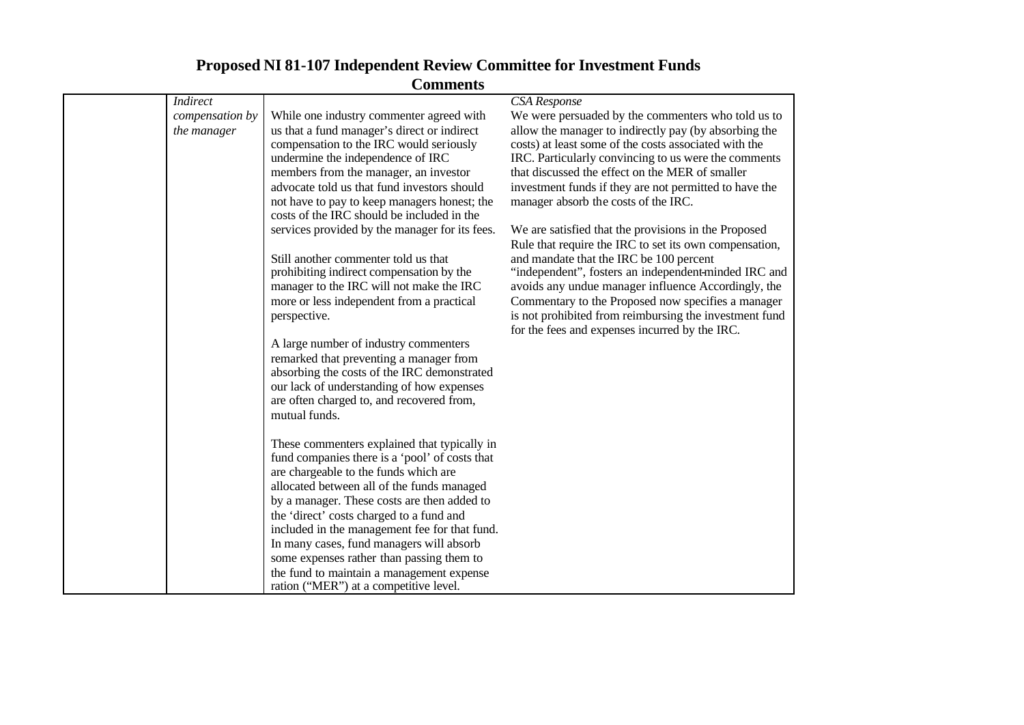|                 | Comments                                                                                   |                                                                                                                |
|-----------------|--------------------------------------------------------------------------------------------|----------------------------------------------------------------------------------------------------------------|
| <b>Indirect</b> |                                                                                            | CSA Response                                                                                                   |
| compensation by | While one industry commenter agreed with                                                   | We were persuaded by the commenters who told us to                                                             |
| the manager     | us that a fund manager's direct or indirect<br>compensation to the IRC would seriously     | allow the manager to indirectly pay (by absorbing the<br>costs) at least some of the costs associated with the |
|                 | undermine the independence of IRC                                                          | IRC. Particularly convincing to us were the comments                                                           |
|                 | members from the manager, an investor                                                      | that discussed the effect on the MER of smaller                                                                |
|                 | advocate told us that fund investors should                                                | investment funds if they are not permitted to have the                                                         |
|                 | not have to pay to keep managers honest; the<br>costs of the IRC should be included in the | manager absorb the costs of the IRC.                                                                           |
|                 | services provided by the manager for its fees.                                             | We are satisfied that the provisions in the Proposed                                                           |
|                 |                                                                                            | Rule that require the IRC to set its own compensation,                                                         |
|                 | Still another commenter told us that                                                       | and mandate that the IRC be 100 percent                                                                        |
|                 | prohibiting indirect compensation by the                                                   | "independent", fosters an independent-minded IRC and                                                           |
|                 | manager to the IRC will not make the IRC                                                   | avoids any undue manager influence Accordingly, the                                                            |
|                 | more or less independent from a practical                                                  | Commentary to the Proposed now specifies a manager                                                             |
|                 | perspective.                                                                               | is not prohibited from reimbursing the investment fund<br>for the fees and expenses incurred by the IRC.       |
|                 | A large number of industry commenters                                                      |                                                                                                                |
|                 | remarked that preventing a manager from                                                    |                                                                                                                |
|                 | absorbing the costs of the IRC demonstrated                                                |                                                                                                                |
|                 | our lack of understanding of how expenses                                                  |                                                                                                                |
|                 | are often charged to, and recovered from,                                                  |                                                                                                                |
|                 | mutual funds.                                                                              |                                                                                                                |
|                 |                                                                                            |                                                                                                                |
|                 | These commenters explained that typically in                                               |                                                                                                                |
|                 | fund companies there is a 'pool' of costs that                                             |                                                                                                                |
|                 | are chargeable to the funds which are                                                      |                                                                                                                |
|                 | allocated between all of the funds managed                                                 |                                                                                                                |
|                 | by a manager. These costs are then added to                                                |                                                                                                                |
|                 | the 'direct' costs charged to a fund and                                                   |                                                                                                                |
|                 | included in the management fee for that fund.                                              |                                                                                                                |
|                 | In many cases, fund managers will absorb                                                   |                                                                                                                |
|                 | some expenses rather than passing them to                                                  |                                                                                                                |
|                 | the fund to maintain a management expense                                                  |                                                                                                                |
|                 | ration ("MER") at a competitive level.                                                     |                                                                                                                |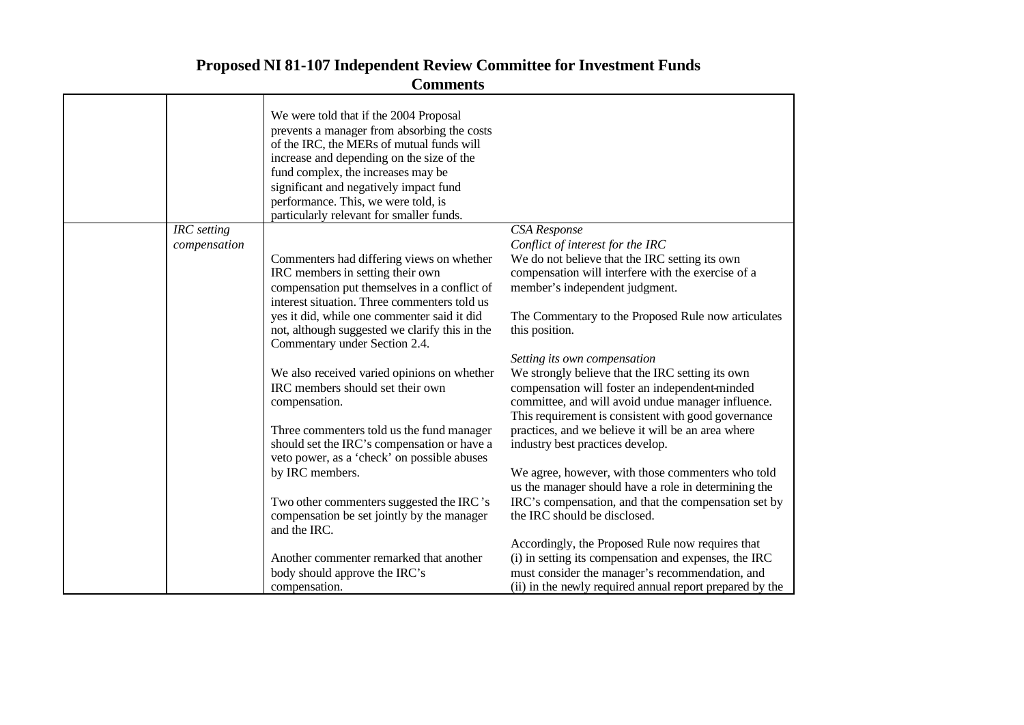|              | We were told that if the 2004 Proposal<br>prevents a manager from absorbing the costs<br>of the IRC, the MERs of mutual funds will<br>increase and depending on the size of the<br>fund complex, the increases may be<br>significant and negatively impact fund<br>performance. This, we were told, is<br>particularly relevant for smaller funds. |                                                                                                                                                                                                                                                 |
|--------------|----------------------------------------------------------------------------------------------------------------------------------------------------------------------------------------------------------------------------------------------------------------------------------------------------------------------------------------------------|-------------------------------------------------------------------------------------------------------------------------------------------------------------------------------------------------------------------------------------------------|
| IRC setting  |                                                                                                                                                                                                                                                                                                                                                    | CSA Response                                                                                                                                                                                                                                    |
| compensation |                                                                                                                                                                                                                                                                                                                                                    | Conflict of interest for the IRC                                                                                                                                                                                                                |
|              | Commenters had differing views on whether<br>IRC members in setting their own<br>compensation put themselves in a conflict of<br>interest situation. Three commenters told us                                                                                                                                                                      | We do not believe that the IRC setting its own<br>compensation will interfere with the exercise of a<br>member's independent judgment.                                                                                                          |
|              | yes it did, while one commenter said it did<br>not, although suggested we clarify this in the<br>Commentary under Section 2.4.                                                                                                                                                                                                                     | The Commentary to the Proposed Rule now articulates<br>this position.                                                                                                                                                                           |
|              | We also received varied opinions on whether<br>IRC members should set their own<br>compensation.                                                                                                                                                                                                                                                   | Setting its own compensation<br>We strongly believe that the IRC setting its own<br>compensation will foster an independent-minded<br>committee, and will avoid undue manager influence.<br>This requirement is consistent with good governance |
|              | Three commenters told us the fund manager<br>should set the IRC's compensation or have a<br>veto power, as a 'check' on possible abuses                                                                                                                                                                                                            | practices, and we believe it will be an area where<br>industry best practices develop.                                                                                                                                                          |
|              | by IRC members.                                                                                                                                                                                                                                                                                                                                    | We agree, however, with those commenters who told<br>us the manager should have a role in determining the                                                                                                                                       |
|              | Two other commenters suggested the IRC's<br>compensation be set jointly by the manager<br>and the IRC.                                                                                                                                                                                                                                             | IRC's compensation, and that the compensation set by<br>the IRC should be disclosed.                                                                                                                                                            |
|              |                                                                                                                                                                                                                                                                                                                                                    | Accordingly, the Proposed Rule now requires that                                                                                                                                                                                                |
|              | Another commenter remarked that another                                                                                                                                                                                                                                                                                                            | (i) in setting its compensation and expenses, the IRC                                                                                                                                                                                           |
|              | body should approve the IRC's                                                                                                                                                                                                                                                                                                                      | must consider the manager's recommendation, and                                                                                                                                                                                                 |
|              | compensation.                                                                                                                                                                                                                                                                                                                                      | (ii) in the newly required annual report prepared by the                                                                                                                                                                                        |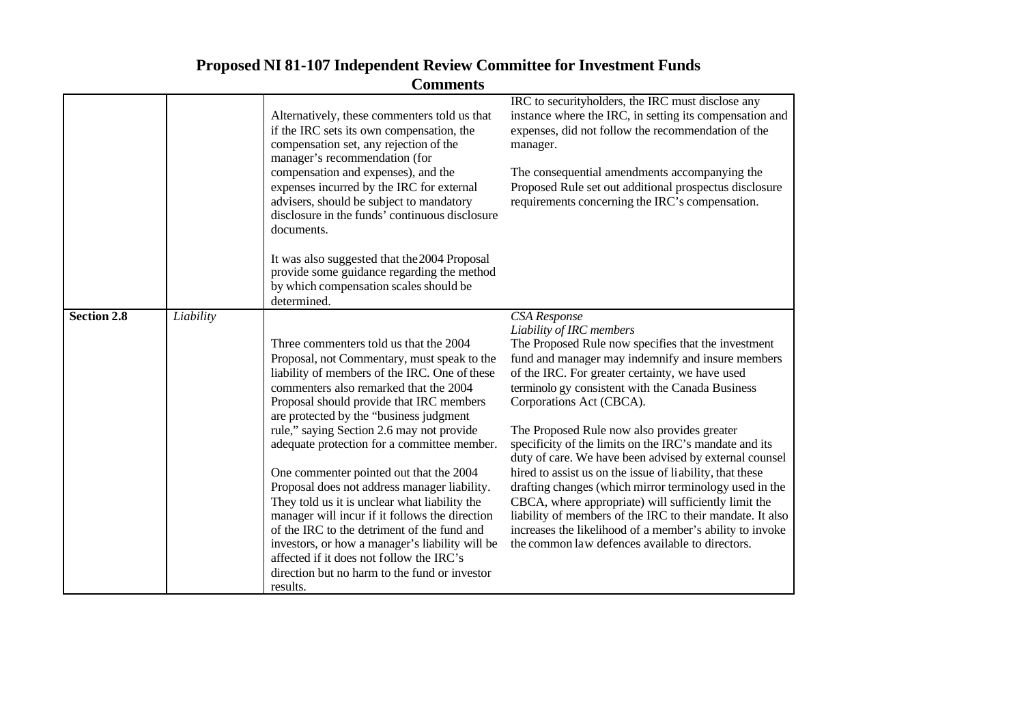|                    |           | <b>Comments</b>                                                                                                                                                                                                                                                                                                                                                                                                                                                                                                                                                                                                                                                                                                                                                               |                                                                                                                                                                                                                                                                                                                                                                                                                                                                                                                                                                                                                                                                                                                                                                                                                             |
|--------------------|-----------|-------------------------------------------------------------------------------------------------------------------------------------------------------------------------------------------------------------------------------------------------------------------------------------------------------------------------------------------------------------------------------------------------------------------------------------------------------------------------------------------------------------------------------------------------------------------------------------------------------------------------------------------------------------------------------------------------------------------------------------------------------------------------------|-----------------------------------------------------------------------------------------------------------------------------------------------------------------------------------------------------------------------------------------------------------------------------------------------------------------------------------------------------------------------------------------------------------------------------------------------------------------------------------------------------------------------------------------------------------------------------------------------------------------------------------------------------------------------------------------------------------------------------------------------------------------------------------------------------------------------------|
|                    |           | Alternatively, these commenters told us that<br>if the IRC sets its own compensation, the<br>compensation set, any rejection of the<br>manager's recommendation (for<br>compensation and expenses), and the<br>expenses incurred by the IRC for external<br>advisers, should be subject to mandatory<br>disclosure in the funds' continuous disclosure                                                                                                                                                                                                                                                                                                                                                                                                                        | IRC to securityholders, the IRC must disclose any<br>instance where the IRC, in setting its compensation and<br>expenses, did not follow the recommendation of the<br>manager.<br>The consequential amendments accompanying the<br>Proposed Rule set out additional prospectus disclosure<br>requirements concerning the IRC's compensation.                                                                                                                                                                                                                                                                                                                                                                                                                                                                                |
|                    |           | documents.<br>It was also suggested that the 2004 Proposal<br>provide some guidance regarding the method<br>by which compensation scales should be<br>determined.                                                                                                                                                                                                                                                                                                                                                                                                                                                                                                                                                                                                             |                                                                                                                                                                                                                                                                                                                                                                                                                                                                                                                                                                                                                                                                                                                                                                                                                             |
| <b>Section 2.8</b> | Liability | Three commenters told us that the 2004<br>Proposal, not Commentary, must speak to the<br>liability of members of the IRC. One of these<br>commenters also remarked that the 2004<br>Proposal should provide that IRC members<br>are protected by the "business judgment"<br>rule," saying Section 2.6 may not provide<br>adequate protection for a committee member.<br>One commenter pointed out that the 2004<br>Proposal does not address manager liability.<br>They told us it is unclear what liability the<br>manager will incur if it follows the direction<br>of the IRC to the detriment of the fund and<br>investors, or how a manager's liability will be<br>affected if it does not follow the IRC's<br>direction but no harm to the fund or investor<br>results. | <b>CSA</b> Response<br>Liability of IRC members<br>The Proposed Rule now specifies that the investment<br>fund and manager may indemnify and insure members<br>of the IRC. For greater certainty, we have used<br>terminolo gy consistent with the Canada Business<br>Corporations Act (CBCA).<br>The Proposed Rule now also provides greater<br>specificity of the limits on the IRC's mandate and its<br>duty of care. We have been advised by external counsel<br>hired to assist us on the issue of liability, that these<br>drafting changes (which mirror terminology used in the<br>CBCA, where appropriate) will sufficiently limit the<br>liability of members of the IRC to their mandate. It also<br>increases the likelihood of a member's ability to invoke<br>the common law defences available to directors. |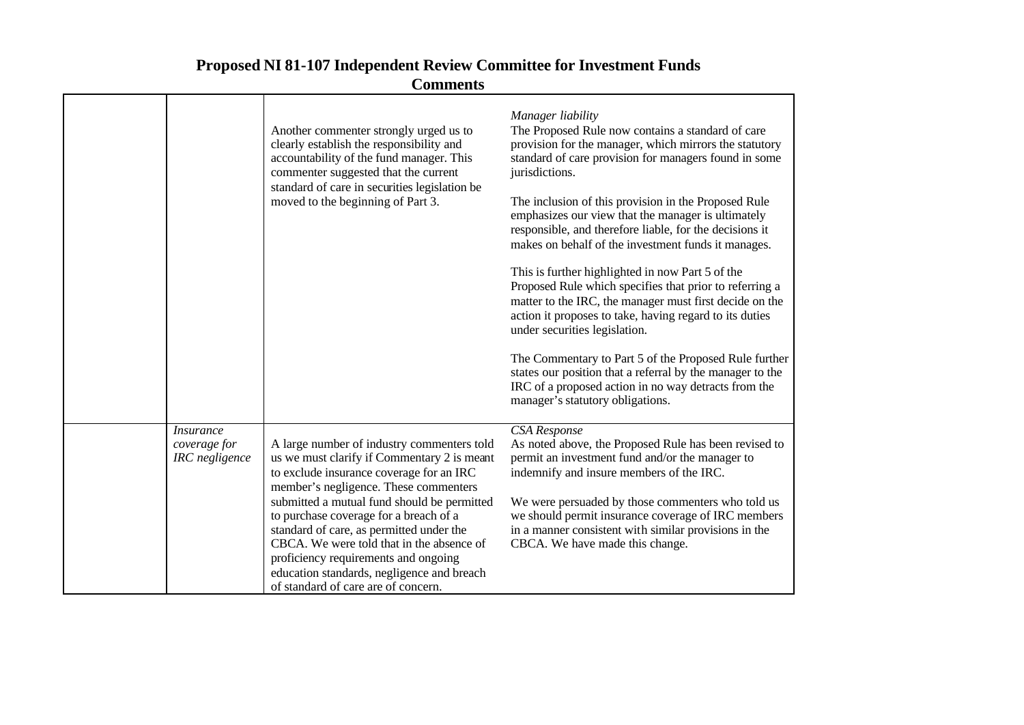| <b>Proposed NI 81-107 Independent Review Committee for Investment Funds</b> |
|-----------------------------------------------------------------------------|
| <b>Comments</b>                                                             |

|                                                    | Another commenter strongly urged us to<br>clearly establish the responsibility and<br>accountability of the fund manager. This<br>commenter suggested that the current<br>standard of care in securities legislation be<br>moved to the beginning of Part 3.                                                                                                                                                                                                                                  | Manager liability<br>The Proposed Rule now contains a standard of care<br>provision for the manager, which mirrors the statutory<br>standard of care provision for managers found in some<br>jurisdictions.<br>The inclusion of this provision in the Proposed Rule<br>emphasizes our view that the manager is ultimately<br>responsible, and therefore liable, for the decisions it<br>makes on behalf of the investment funds it manages.<br>This is further highlighted in now Part 5 of the<br>Proposed Rule which specifies that prior to referring a<br>matter to the IRC, the manager must first decide on the<br>action it proposes to take, having regard to its duties<br>under securities legislation.<br>The Commentary to Part 5 of the Proposed Rule further<br>states our position that a referral by the manager to the<br>IRC of a proposed action in no way detracts from the<br>manager's statutory obligations. |
|----------------------------------------------------|-----------------------------------------------------------------------------------------------------------------------------------------------------------------------------------------------------------------------------------------------------------------------------------------------------------------------------------------------------------------------------------------------------------------------------------------------------------------------------------------------|-------------------------------------------------------------------------------------------------------------------------------------------------------------------------------------------------------------------------------------------------------------------------------------------------------------------------------------------------------------------------------------------------------------------------------------------------------------------------------------------------------------------------------------------------------------------------------------------------------------------------------------------------------------------------------------------------------------------------------------------------------------------------------------------------------------------------------------------------------------------------------------------------------------------------------------|
| <i>Insurance</i><br>coverage for<br>IRC negligence | A large number of industry commenters told<br>us we must clarify if Commentary 2 is meant<br>to exclude insurance coverage for an IRC<br>member's negligence. These commenters<br>submitted a mutual fund should be permitted<br>to purchase coverage for a breach of a<br>standard of care, as permitted under the<br>CBCA. We were told that in the absence of<br>proficiency requirements and ongoing<br>education standards, negligence and breach<br>of standard of care are of concern. | <b>CSA</b> Response<br>As noted above, the Proposed Rule has been revised to<br>permit an investment fund and/or the manager to<br>indemnify and insure members of the IRC.<br>We were persuaded by those commenters who told us<br>we should permit insurance coverage of IRC members<br>in a manner consistent with similar provisions in the<br>CBCA. We have made this change.                                                                                                                                                                                                                                                                                                                                                                                                                                                                                                                                                  |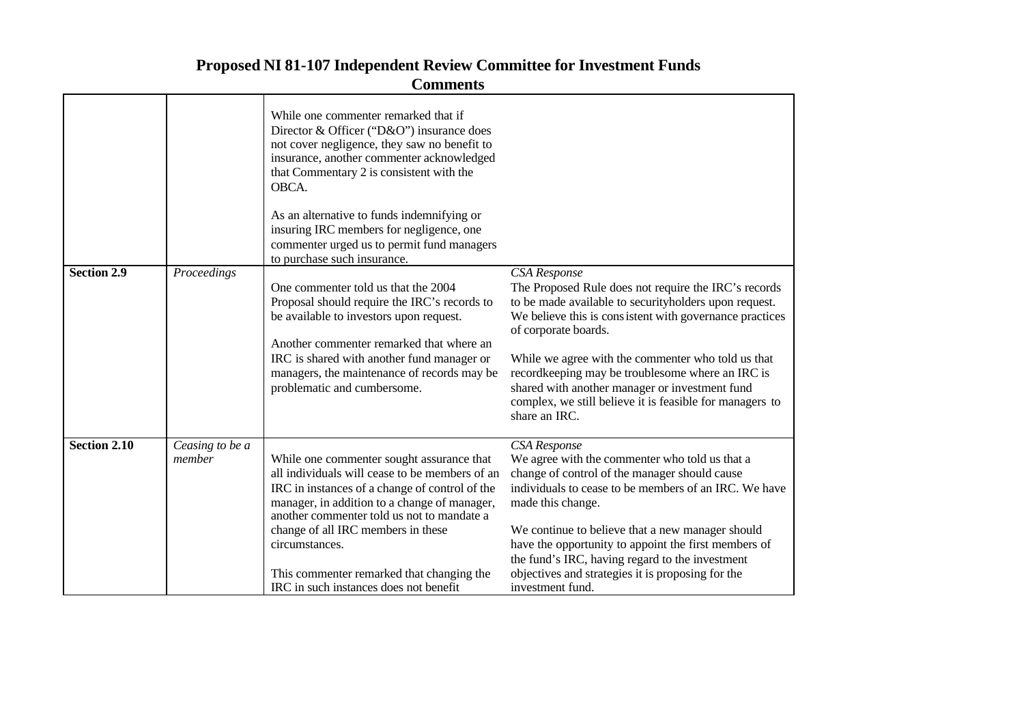|              |                           | While one commenter remarked that if<br>Director & Officer ("D&O") insurance does<br>not cover negligence, they saw no benefit to<br>insurance, another commenter acknowledged<br>that Commentary 2 is consistent with the<br>OBCA.                                                                                                                                                        |                                                                                                                                                                                                                                                                                                                                                                                                                                                                            |
|--------------|---------------------------|--------------------------------------------------------------------------------------------------------------------------------------------------------------------------------------------------------------------------------------------------------------------------------------------------------------------------------------------------------------------------------------------|----------------------------------------------------------------------------------------------------------------------------------------------------------------------------------------------------------------------------------------------------------------------------------------------------------------------------------------------------------------------------------------------------------------------------------------------------------------------------|
|              |                           | As an alternative to funds indemnifying or<br>insuring IRC members for negligence, one<br>commenter urged us to permit fund managers                                                                                                                                                                                                                                                       |                                                                                                                                                                                                                                                                                                                                                                                                                                                                            |
|              |                           | to purchase such insurance.                                                                                                                                                                                                                                                                                                                                                                |                                                                                                                                                                                                                                                                                                                                                                                                                                                                            |
| Section 2.9  | Proceedings               | One commenter told us that the 2004<br>Proposal should require the IRC's records to<br>be available to investors upon request.<br>Another commenter remarked that where an<br>IRC is shared with another fund manager or<br>managers, the maintenance of records may be<br>problematic and cumbersome.                                                                                     | <b>CSA</b> Response<br>The Proposed Rule does not require the IRC's records<br>to be made available to securityholders upon request.<br>We believe this is consistent with governance practices<br>of corporate boards.<br>While we agree with the commenter who told us that<br>recordkeeping may be troublesome where an IRC is<br>shared with another manager or investment fund<br>complex, we still believe it is feasible for managers to<br>share an $\text{IRC}$ . |
| Section 2.10 | Ceasing to be a<br>member | While one commenter sought assurance that<br>all individuals will cease to be members of an<br>IRC in instances of a change of control of the<br>manager, in addition to a change of manager,<br>another commenter told us not to mandate a<br>change of all IRC members in these<br>circumstances.<br>This commenter remarked that changing the<br>IRC in such instances does not benefit | <b>CSA</b> Response<br>We agree with the commenter who told us that a<br>change of control of the manager should cause<br>individuals to cease to be members of an IRC. We have<br>made this change.<br>We continue to believe that a new manager should<br>have the opportunity to appoint the first members of<br>the fund's IRC, having regard to the investment<br>objectives and strategies it is proposing for the<br>investment fund.                               |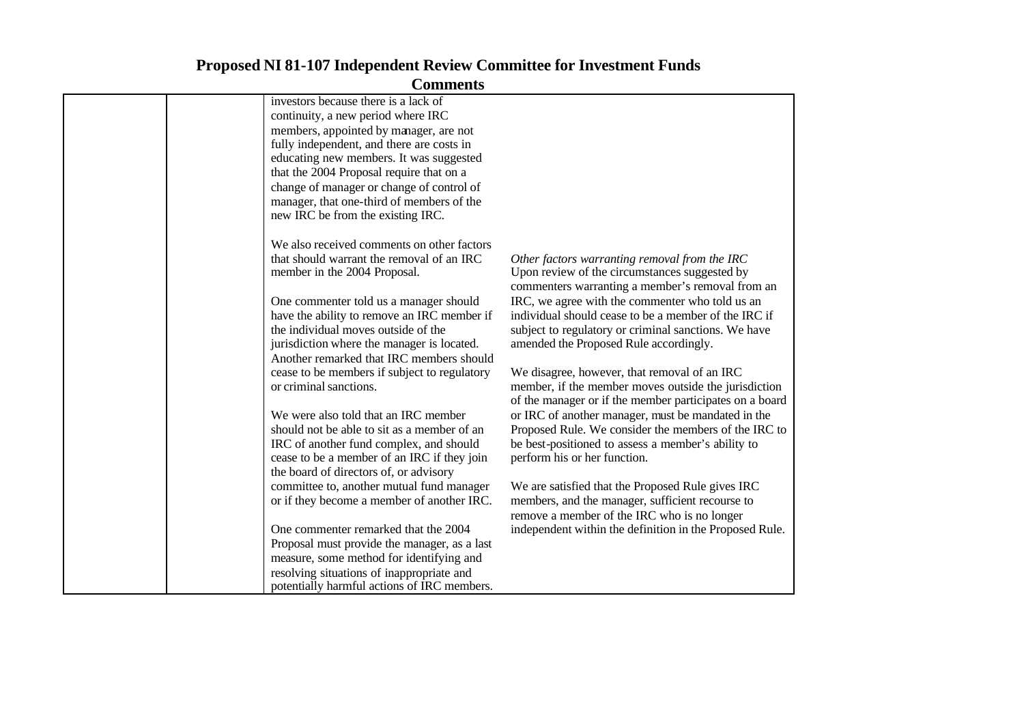#### **Comments** investors because there is a lack of continuity, a new period where IRC members, appointed by manager, are not fully independent, and there are costs in educating new members. It was suggested that the 2004 Proposal require that on a change of manager or change of control of manager, that one-third of members of the new IRC be from the existing IRC. We also received comments on other factors that should warrant the removal of an IRC member in the 2004 Proposal. One commenter told us a manager should have the ability to remove an IRC member if the individual moves outside of the jurisdiction where the manager is located. Another remarked that IRC members should cease to be members if subject to regulatory or criminal sanctions. We were also told that an IRC member should not be able to sit as a member of an IRC of another fund complex, and should cease to be a member of an IRC if they join the board of directors of, or advisory committee to, another mutual fund manager or if they become a member of another IRC. One commenter remarked that the 2004 Proposal must provide the manager, as a last measure, some method for identifying and resolving situations of inappropriate and potentially harmful actions of IRC members. *Other factors warranting removal from the IRC*  Upon review of the circumstances suggested by commenters warranting a member's removal from an IRC, we agree with the commenter who told us an individual should cease to be a member of the IRC if subject to regulatory or criminal sanctions. We have amended the Proposed Rule accordingly. We disagree, however, that removal of an IRC member, if the member moves outside the jurisdiction of the manager or if the member participates on a board or IRC of another manager, must be mandated in the Proposed Rule. We consider the members of the IRC to be best-positioned to assess a member's ability to perform his or her function. We are satisfied that the Proposed Rule gives IRC members, and the manager, sufficient recourse to remove a member of the IRC who is no longer independent within the definition in the Proposed Rule.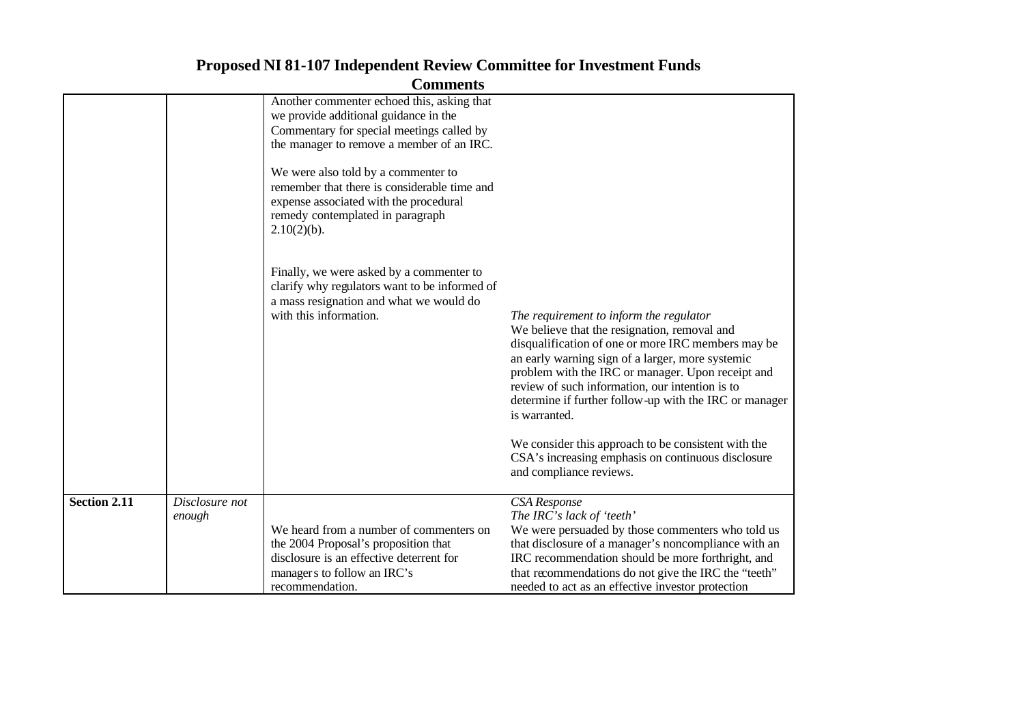|                     |                          | <b>Comments</b>                                                                                                                                                                     |                                                                                                                                                                                                                                                                                                                                                                                                                                                                                                                              |
|---------------------|--------------------------|-------------------------------------------------------------------------------------------------------------------------------------------------------------------------------------|------------------------------------------------------------------------------------------------------------------------------------------------------------------------------------------------------------------------------------------------------------------------------------------------------------------------------------------------------------------------------------------------------------------------------------------------------------------------------------------------------------------------------|
|                     |                          | Another commenter echoed this, asking that<br>we provide additional guidance in the<br>Commentary for special meetings called by<br>the manager to remove a member of an IRC.       |                                                                                                                                                                                                                                                                                                                                                                                                                                                                                                                              |
|                     |                          | We were also told by a commenter to<br>remember that there is considerable time and<br>expense associated with the procedural<br>remedy contemplated in paragraph<br>$2.10(2)(b)$ . |                                                                                                                                                                                                                                                                                                                                                                                                                                                                                                                              |
|                     |                          | Finally, we were asked by a commenter to<br>clarify why regulators want to be informed of<br>a mass resignation and what we would do<br>with this information.                      | The requirement to inform the regulator<br>We believe that the resignation, removal and<br>disqualification of one or more IRC members may be<br>an early warning sign of a larger, more systemic<br>problem with the IRC or manager. Upon receipt and<br>review of such information, our intention is to<br>determine if further follow-up with the IRC or manager<br>is warranted.<br>We consider this approach to be consistent with the<br>CSA's increasing emphasis on continuous disclosure<br>and compliance reviews. |
| <b>Section 2.11</b> | Disclosure not<br>enough |                                                                                                                                                                                     | CSA Response<br>The IRC's lack of 'teeth'                                                                                                                                                                                                                                                                                                                                                                                                                                                                                    |
|                     |                          | We heard from a number of commenters on<br>the 2004 Proposal's proposition that<br>disclosure is an effective deterrent for<br>managers to follow an IRC's<br>recommendation.       | We were persuaded by those commenters who told us<br>that disclosure of a manager's noncompliance with an<br>IRC recommendation should be more forthright, and<br>that recommendations do not give the IRC the "teeth"<br>needed to act as an effective investor protection                                                                                                                                                                                                                                                  |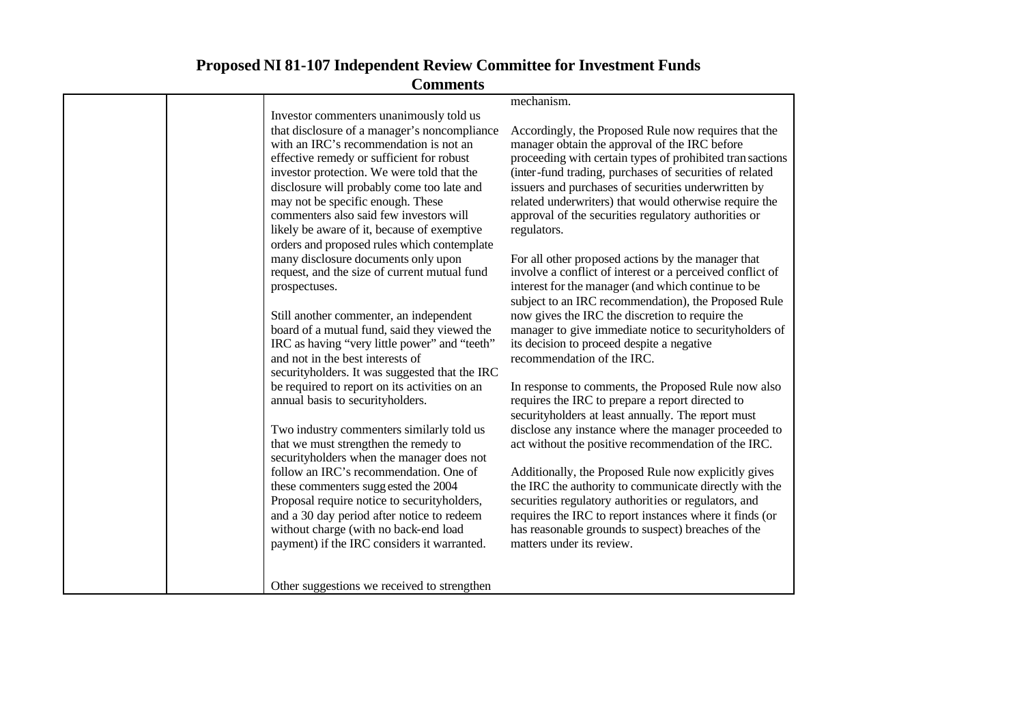|                                                                                     | mechanism.                                                                                                      |
|-------------------------------------------------------------------------------------|-----------------------------------------------------------------------------------------------------------------|
| Investor commenters unanimously told us                                             |                                                                                                                 |
| that disclosure of a manager's noncompliance                                        | Accordingly, the Proposed Rule now requires that the                                                            |
| with an IRC's recommendation is not an                                              | manager obtain the approval of the IRC before                                                                   |
| effective remedy or sufficient for robust                                           | proceeding with certain types of prohibited tran sactions                                                       |
| investor protection. We were told that the                                          | (inter-fund trading, purchases of securities of related                                                         |
| disclosure will probably come too late and                                          | issuers and purchases of securities underwritten by                                                             |
| may not be specific enough. These                                                   | related underwriters) that would otherwise require the                                                          |
| commenters also said few investors will                                             | approval of the securities regulatory authorities or                                                            |
| likely be aware of it, because of exemptive                                         | regulators.                                                                                                     |
| orders and proposed rules which contemplate                                         |                                                                                                                 |
|                                                                                     |                                                                                                                 |
| many disclosure documents only upon<br>request, and the size of current mutual fund | For all other proposed actions by the manager that<br>involve a conflict of interest or a perceived conflict of |
|                                                                                     |                                                                                                                 |
| prospectuses.                                                                       | interest for the manager (and which continue to be                                                              |
|                                                                                     | subject to an IRC recommendation), the Proposed Rule                                                            |
| Still another commenter, an independent                                             | now gives the IRC the discretion to require the                                                                 |
| board of a mutual fund, said they viewed the                                        | manager to give immediate notice to securityholders of                                                          |
| IRC as having "very little power" and "teeth"                                       | its decision to proceed despite a negative                                                                      |
| and not in the best interests of                                                    | recommendation of the IRC.                                                                                      |
| securityholders. It was suggested that the IRC                                      |                                                                                                                 |
| be required to report on its activities on an                                       | In response to comments, the Proposed Rule now also                                                             |
| annual basis to securityholders.                                                    | requires the IRC to prepare a report directed to                                                                |
|                                                                                     | securityholders at least annually. The report must                                                              |
| Two industry commenters similarly told us                                           | disclose any instance where the manager proceeded to                                                            |
| that we must strengthen the remedy to                                               | act without the positive recommendation of the IRC.                                                             |
| securityholders when the manager does not                                           |                                                                                                                 |
| follow an IRC's recommendation. One of                                              | Additionally, the Proposed Rule now explicitly gives                                                            |
| these commenters suggested the 2004                                                 | the IRC the authority to communicate directly with the                                                          |
| Proposal require notice to securityholders,                                         | securities regulatory authorities or regulators, and                                                            |
| and a 30 day period after notice to redeem                                          | requires the IRC to report instances where it finds (or                                                         |
| without charge (with no back-end load                                               | has reasonable grounds to suspect) breaches of the                                                              |
| payment) if the IRC considers it warranted.                                         | matters under its review.                                                                                       |
|                                                                                     |                                                                                                                 |
|                                                                                     |                                                                                                                 |
|                                                                                     |                                                                                                                 |
| Other suggestions we received to strengthen                                         |                                                                                                                 |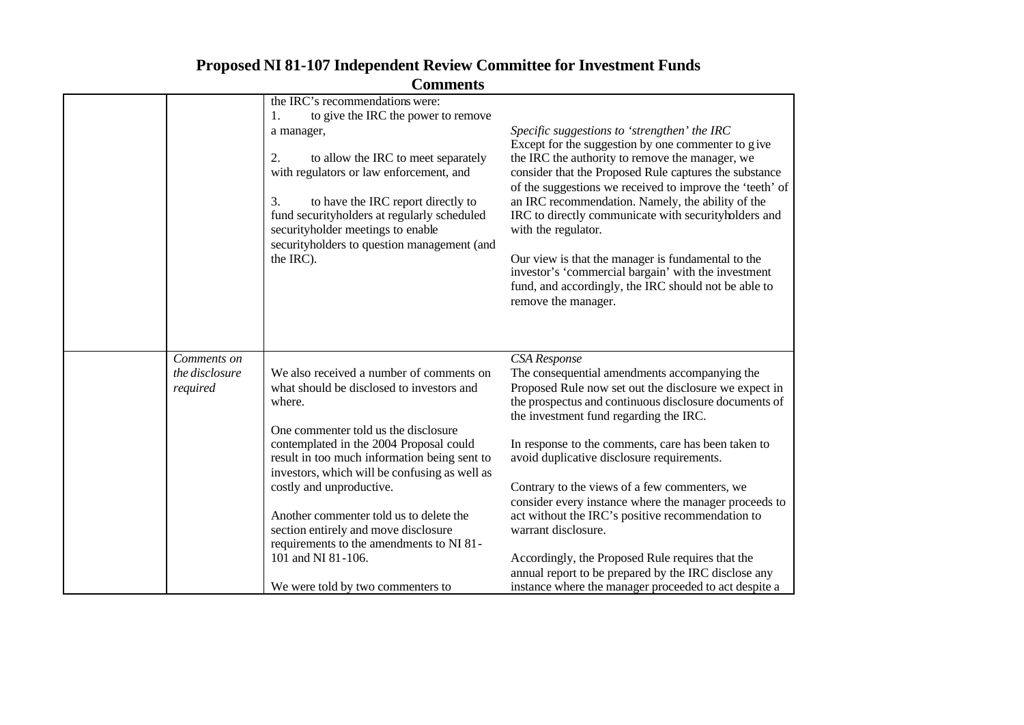|                                           | Community                                                                                                                                                                                                                                                                                                                                                                                                                                                                                                 |                                                                                                                                                                                                                                                                                                                                                                                                                                                                                                                                                                                                                                                                                                 |
|-------------------------------------------|-----------------------------------------------------------------------------------------------------------------------------------------------------------------------------------------------------------------------------------------------------------------------------------------------------------------------------------------------------------------------------------------------------------------------------------------------------------------------------------------------------------|-------------------------------------------------------------------------------------------------------------------------------------------------------------------------------------------------------------------------------------------------------------------------------------------------------------------------------------------------------------------------------------------------------------------------------------------------------------------------------------------------------------------------------------------------------------------------------------------------------------------------------------------------------------------------------------------------|
|                                           | the IRC's recommendations were:<br>to give the IRC the power to remove<br>1.<br>a manager,<br>to allow the IRC to meet separately<br>2.<br>with regulators or law enforcement, and<br>3.<br>to have the IRC report directly to<br>fund securityholders at regularly scheduled<br>securityholder meetings to enable<br>securityholders to question management (and<br>the IRC).                                                                                                                            | Specific suggestions to 'strengthen' the IRC<br>Except for the suggestion by one commenter to give<br>the IRC the authority to remove the manager, we<br>consider that the Proposed Rule captures the substance<br>of the suggestions we received to improve the 'teeth' of<br>an IRC recommendation. Namely, the ability of the<br>IRC to directly communicate with securityholders and<br>with the regulator.<br>Our view is that the manager is fundamental to the<br>investor's 'commercial bargain' with the investment<br>fund, and accordingly, the IRC should not be able to<br>remove the manager.                                                                                     |
| Comments on<br>the disclosure<br>required | We also received a number of comments on<br>what should be disclosed to investors and<br>where.<br>One commenter told us the disclosure<br>contemplated in the 2004 Proposal could<br>result in too much information being sent to<br>investors, which will be confusing as well as<br>costly and unproductive.<br>Another commenter told us to delete the<br>section entirely and move disclosure<br>requirements to the amendments to NI 81-<br>101 and NI 81-106.<br>We were told by two commenters to | <b>CSA</b> Response<br>The consequential amendments accompanying the<br>Proposed Rule now set out the disclosure we expect in<br>the prospectus and continuous disclosure documents of<br>the investment fund regarding the IRC.<br>In response to the comments, care has been taken to<br>avoid duplicative disclosure requirements.<br>Contrary to the views of a few commenters, we<br>consider every instance where the manager proceeds to<br>act without the IRC's positive recommendation to<br>warrant disclosure.<br>Accordingly, the Proposed Rule requires that the<br>annual report to be prepared by the IRC disclose any<br>instance where the manager proceeded to act despite a |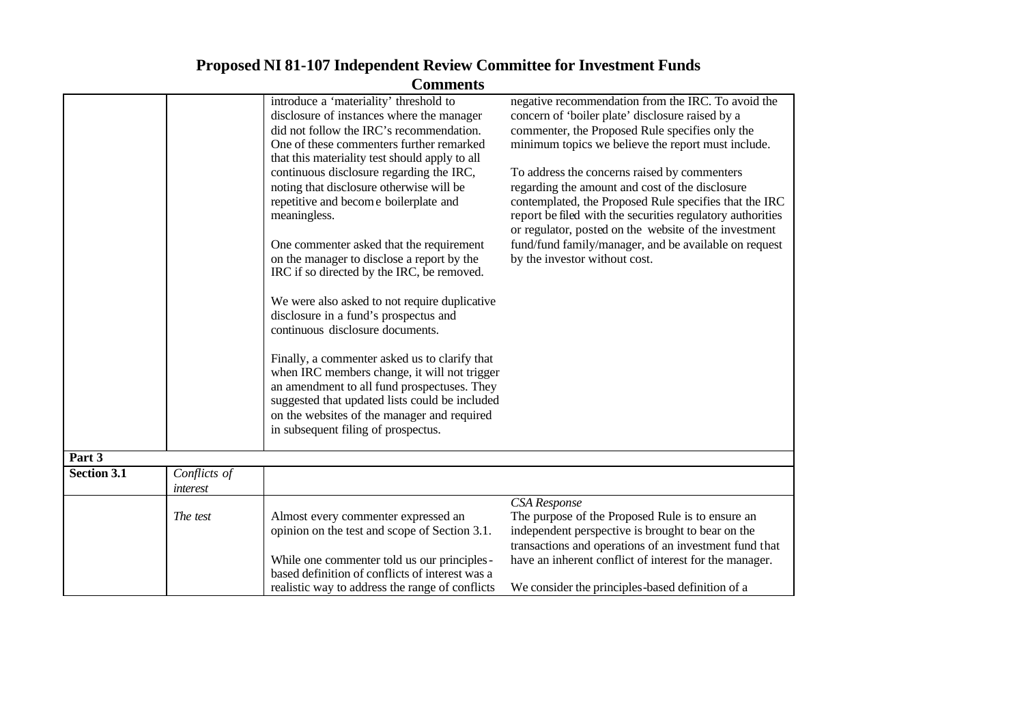|                    |                                 | Commicius<br>introduce a 'materiality' threshold to<br>disclosure of instances where the manager<br>did not follow the IRC's recommendation.<br>One of these commenters further remarked<br>that this materiality test should apply to all<br>continuous disclosure regarding the IRC,<br>noting that disclosure otherwise will be<br>repetitive and become boilerplate and<br>meaningless.<br>One commenter asked that the requirement<br>on the manager to disclose a report by the<br>IRC if so directed by the IRC, be removed.<br>We were also asked to not require duplicative<br>disclosure in a fund's prospectus and<br>continuous disclosure documents.<br>Finally, a commenter asked us to clarify that<br>when IRC members change, it will not trigger<br>an amendment to all fund prospectuses. They | negative recommendation from the IRC. To avoid the<br>concern of 'boiler plate' disclosure raised by a<br>commenter, the Proposed Rule specifies only the<br>minimum topics we believe the report must include.<br>To address the concerns raised by commenters<br>regarding the amount and cost of the disclosure<br>contemplated, the Proposed Rule specifies that the IRC<br>report be filed with the securities regulatory authorities<br>or regulator, posted on the website of the investment<br>fund/fund family/manager, and be available on request<br>by the investor without cost. |
|--------------------|---------------------------------|-------------------------------------------------------------------------------------------------------------------------------------------------------------------------------------------------------------------------------------------------------------------------------------------------------------------------------------------------------------------------------------------------------------------------------------------------------------------------------------------------------------------------------------------------------------------------------------------------------------------------------------------------------------------------------------------------------------------------------------------------------------------------------------------------------------------|-----------------------------------------------------------------------------------------------------------------------------------------------------------------------------------------------------------------------------------------------------------------------------------------------------------------------------------------------------------------------------------------------------------------------------------------------------------------------------------------------------------------------------------------------------------------------------------------------|
|                    |                                 | suggested that updated lists could be included<br>on the websites of the manager and required                                                                                                                                                                                                                                                                                                                                                                                                                                                                                                                                                                                                                                                                                                                     |                                                                                                                                                                                                                                                                                                                                                                                                                                                                                                                                                                                               |
|                    |                                 | in subsequent filing of prospectus.                                                                                                                                                                                                                                                                                                                                                                                                                                                                                                                                                                                                                                                                                                                                                                               |                                                                                                                                                                                                                                                                                                                                                                                                                                                                                                                                                                                               |
| Part 3             |                                 |                                                                                                                                                                                                                                                                                                                                                                                                                                                                                                                                                                                                                                                                                                                                                                                                                   |                                                                                                                                                                                                                                                                                                                                                                                                                                                                                                                                                                                               |
| <b>Section 3.1</b> | Conflicts of<br><i>interest</i> |                                                                                                                                                                                                                                                                                                                                                                                                                                                                                                                                                                                                                                                                                                                                                                                                                   |                                                                                                                                                                                                                                                                                                                                                                                                                                                                                                                                                                                               |
|                    | The test                        | Almost every commenter expressed an<br>opinion on the test and scope of Section 3.1.<br>While one commenter told us our principles -<br>based definition of conflicts of interest was a<br>realistic way to address the range of conflicts                                                                                                                                                                                                                                                                                                                                                                                                                                                                                                                                                                        | <b>CSA</b> Response<br>The purpose of the Proposed Rule is to ensure an<br>independent perspective is brought to bear on the<br>transactions and operations of an investment fund that<br>have an inherent conflict of interest for the manager.<br>We consider the principles-based definition of a                                                                                                                                                                                                                                                                                          |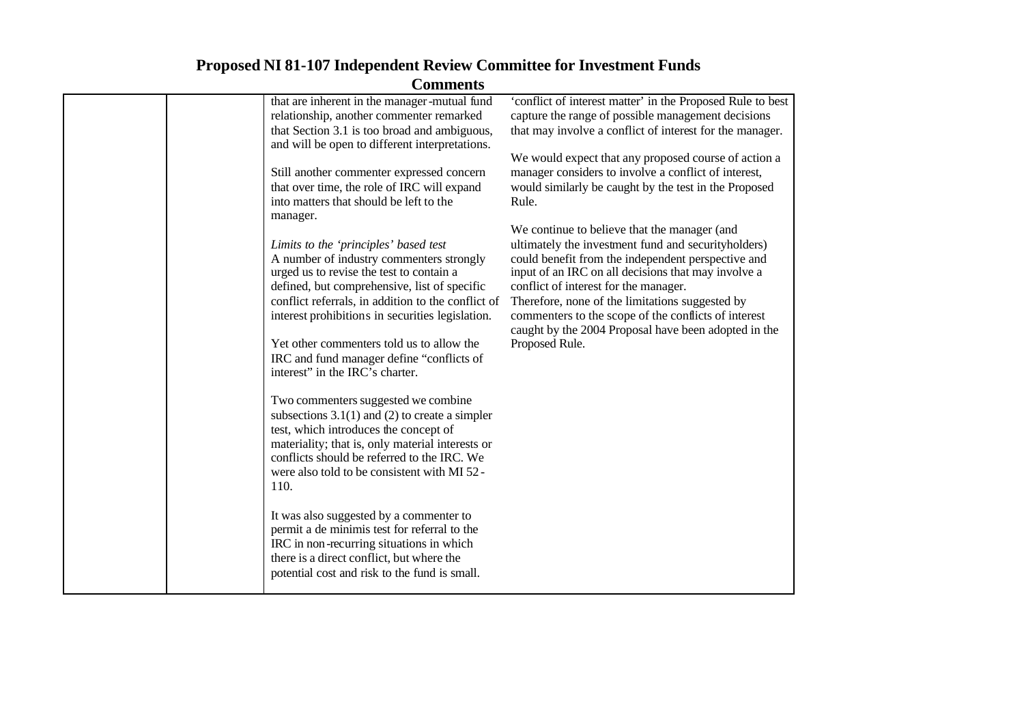|  | Солпноспо                                                                                      |                                                                                                                  |
|--|------------------------------------------------------------------------------------------------|------------------------------------------------------------------------------------------------------------------|
|  | that are inherent in the manager-mutual fund<br>relationship, another commenter remarked       | 'conflict of interest matter' in the Proposed Rule to best<br>capture the range of possible management decisions |
|  | that Section 3.1 is too broad and ambiguous,<br>and will be open to different interpretations. | that may involve a conflict of interest for the manager.                                                         |
|  |                                                                                                | We would expect that any proposed course of action a                                                             |
|  | Still another commenter expressed concern                                                      | manager considers to involve a conflict of interest,                                                             |
|  | that over time, the role of IRC will expand                                                    | would similarly be caught by the test in the Proposed                                                            |
|  | into matters that should be left to the<br>manager.                                            | Rule.                                                                                                            |
|  |                                                                                                | We continue to believe that the manager (and                                                                     |
|  | Limits to the 'principles' based test                                                          | ultimately the investment fund and securityholders)                                                              |
|  | A number of industry commenters strongly<br>urged us to revise the test to contain a           | could benefit from the independent perspective and<br>input of an IRC on all decisions that may involve a        |
|  | defined, but comprehensive, list of specific                                                   | conflict of interest for the manager.                                                                            |
|  | conflict referrals, in addition to the conflict of                                             | Therefore, none of the limitations suggested by                                                                  |
|  | interest prohibitions in securities legislation.                                               | commenters to the scope of the conflicts of interest                                                             |
|  |                                                                                                | caught by the 2004 Proposal have been adopted in the                                                             |
|  | Yet other commenters told us to allow the<br>IRC and fund manager define "conflicts of         | Proposed Rule.                                                                                                   |
|  | interest" in the IRC's charter.                                                                |                                                                                                                  |
|  | Two commenters suggested we combine                                                            |                                                                                                                  |
|  | subsections $3.1(1)$ and (2) to create a simpler                                               |                                                                                                                  |
|  | test, which introduces the concept of                                                          |                                                                                                                  |
|  | materiality; that is, only material interests or                                               |                                                                                                                  |
|  | conflicts should be referred to the IRC. We                                                    |                                                                                                                  |
|  | were also told to be consistent with MI 52 -                                                   |                                                                                                                  |
|  | 110.                                                                                           |                                                                                                                  |
|  | It was also suggested by a commenter to                                                        |                                                                                                                  |
|  | permit a de minimis test for referral to the                                                   |                                                                                                                  |
|  | IRC in non-recurring situations in which                                                       |                                                                                                                  |
|  | there is a direct conflict, but where the                                                      |                                                                                                                  |
|  | potential cost and risk to the fund is small.                                                  |                                                                                                                  |
|  |                                                                                                |                                                                                                                  |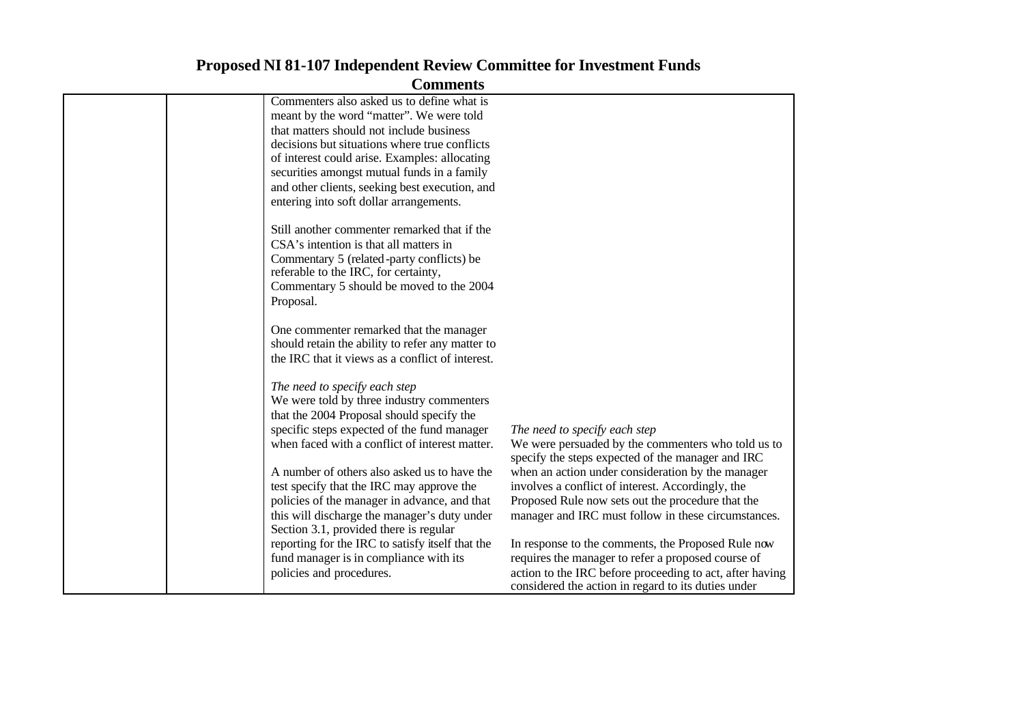| Commenters also asked us to define what is       |                                                          |
|--------------------------------------------------|----------------------------------------------------------|
| meant by the word "matter". We were told         |                                                          |
| that matters should not include business         |                                                          |
| decisions but situations where true conflicts    |                                                          |
| of interest could arise. Examples: allocating    |                                                          |
| securities amongst mutual funds in a family      |                                                          |
| and other clients, seeking best execution, and   |                                                          |
| entering into soft dollar arrangements.          |                                                          |
|                                                  |                                                          |
| Still another commenter remarked that if the     |                                                          |
| CSA's intention is that all matters in           |                                                          |
| Commentary 5 (related-party conflicts) be        |                                                          |
| referable to the IRC, for certainty,             |                                                          |
| Commentary 5 should be moved to the 2004         |                                                          |
| Proposal.                                        |                                                          |
|                                                  |                                                          |
| One commenter remarked that the manager          |                                                          |
| should retain the ability to refer any matter to |                                                          |
| the IRC that it views as a conflict of interest. |                                                          |
|                                                  |                                                          |
| The need to specify each step                    |                                                          |
| We were told by three industry commenters        |                                                          |
| that the 2004 Proposal should specify the        |                                                          |
| specific steps expected of the fund manager      | The need to specify each step                            |
| when faced with a conflict of interest matter.   | We were persuaded by the commenters who told us to       |
|                                                  | specify the steps expected of the manager and IRC        |
| A number of others also asked us to have the     | when an action under consideration by the manager        |
| test specify that the IRC may approve the        | involves a conflict of interest. Accordingly, the        |
| policies of the manager in advance, and that     | Proposed Rule now sets out the procedure that the        |
| this will discharge the manager's duty under     | manager and IRC must follow in these circumstances.      |
| Section 3.1, provided there is regular           |                                                          |
| reporting for the IRC to satisfy itself that the | In response to the comments, the Proposed Rule now       |
| fund manager is in compliance with its           | requires the manager to refer a proposed course of       |
| policies and procedures.                         | action to the IRC before proceeding to act, after having |
|                                                  | considered the action in regard to its duties under      |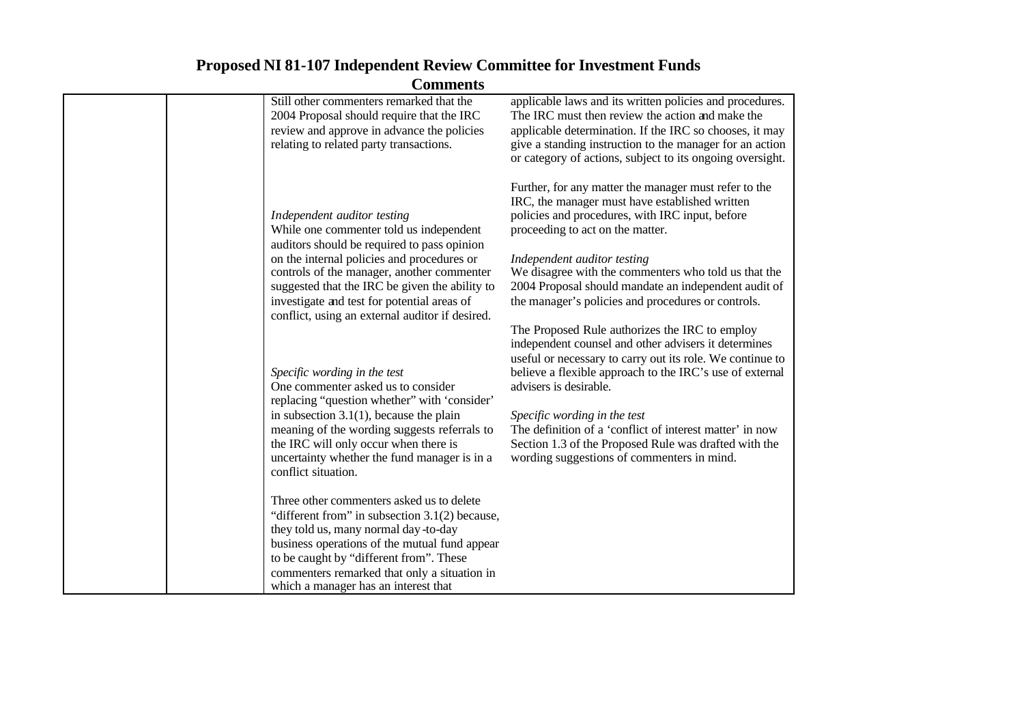| Still other commenters remarked that the<br>2004 Proposal should require that the IRC<br>review and approve in advance the policies<br>relating to related party transactions.                                                                                                                                                                                        | applicable laws and its written policies and procedures.<br>The IRC must then review the action and make the<br>applicable determination. If the IRC so chooses, it may<br>give a standing instruction to the manager for an action<br>or category of actions, subject to its ongoing oversight.                                                                                                                                                             |
|-----------------------------------------------------------------------------------------------------------------------------------------------------------------------------------------------------------------------------------------------------------------------------------------------------------------------------------------------------------------------|--------------------------------------------------------------------------------------------------------------------------------------------------------------------------------------------------------------------------------------------------------------------------------------------------------------------------------------------------------------------------------------------------------------------------------------------------------------|
| Independent auditor testing<br>While one commenter told us independent<br>auditors should be required to pass opinion<br>on the internal policies and procedures or<br>controls of the manager, another commenter<br>suggested that the IRC be given the ability to<br>investigate and test for potential areas of<br>conflict, using an external auditor if desired. | Further, for any matter the manager must refer to the<br>IRC, the manager must have established written<br>policies and procedures, with IRC input, before<br>proceeding to act on the matter.<br>Independent auditor testing<br>We disagree with the commenters who told us that the<br>2004 Proposal should mandate an independent audit of<br>the manager's policies and procedures or controls.                                                          |
| Specific wording in the test<br>One commenter asked us to consider<br>replacing "question whether" with 'consider'<br>in subsection $3.1(1)$ , because the plain<br>meaning of the wording suggests referrals to<br>the IRC will only occur when there is<br>uncertainty whether the fund manager is in a                                                             | The Proposed Rule authorizes the IRC to employ<br>independent counsel and other advisers it determines<br>useful or necessary to carry out its role. We continue to<br>believe a flexible approach to the IRC's use of external<br>advisers is desirable.<br>Specific wording in the test<br>The definition of a 'conflict of interest matter' in now<br>Section 1.3 of the Proposed Rule was drafted with the<br>wording suggestions of commenters in mind. |
| conflict situation.<br>Three other commenters asked us to delete<br>"different from" in subsection 3.1(2) because,<br>they told us, many normal day-to-day<br>business operations of the mutual fund appear<br>to be caught by "different from". These<br>commenters remarked that only a situation in<br>which a manager has an interest that                        |                                                                                                                                                                                                                                                                                                                                                                                                                                                              |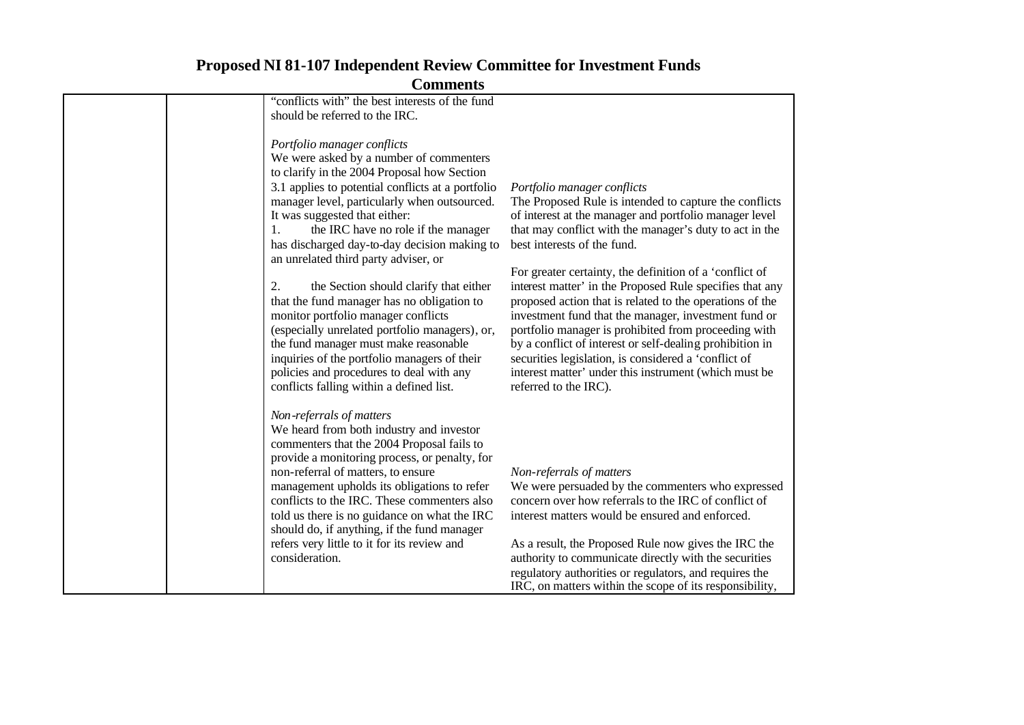| "conflicts with" the best interests of the fund<br>should be referred to the IRC.                                                                                                                                                                                                                                                                                                                                                                                                                                                                                                                                                                                                                                                                                        |                                                                                                                                                                                                                                                                                                                                                                                                                                                                                                                                                                                                                                                                                                                                                    |
|--------------------------------------------------------------------------------------------------------------------------------------------------------------------------------------------------------------------------------------------------------------------------------------------------------------------------------------------------------------------------------------------------------------------------------------------------------------------------------------------------------------------------------------------------------------------------------------------------------------------------------------------------------------------------------------------------------------------------------------------------------------------------|----------------------------------------------------------------------------------------------------------------------------------------------------------------------------------------------------------------------------------------------------------------------------------------------------------------------------------------------------------------------------------------------------------------------------------------------------------------------------------------------------------------------------------------------------------------------------------------------------------------------------------------------------------------------------------------------------------------------------------------------------|
| Portfolio manager conflicts<br>We were asked by a number of commenters<br>to clarify in the 2004 Proposal how Section<br>3.1 applies to potential conflicts at a portfolio<br>manager level, particularly when outsourced.<br>It was suggested that either:<br>the IRC have no role if the manager<br>1.<br>has discharged day-to-day decision making to<br>an unrelated third party adviser, or<br>2.<br>the Section should clarify that either<br>that the fund manager has no obligation to<br>monitor portfolio manager conflicts<br>(especially unrelated portfolio managers), or,<br>the fund manager must make reasonable<br>inquiries of the portfolio managers of their<br>policies and procedures to deal with any<br>conflicts falling within a defined list. | Portfolio manager conflicts<br>The Proposed Rule is intended to capture the conflicts<br>of interest at the manager and portfolio manager level<br>that may conflict with the manager's duty to act in the<br>best interests of the fund.<br>For greater certainty, the definition of a 'conflict of<br>interest matter' in the Proposed Rule specifies that any<br>proposed action that is related to the operations of the<br>investment fund that the manager, investment fund or<br>portfolio manager is prohibited from proceeding with<br>by a conflict of interest or self-dealing prohibition in<br>securities legislation, is considered a 'conflict of<br>interest matter' under this instrument (which must be<br>referred to the IRC). |
| Non-referrals of matters<br>We heard from both industry and investor<br>commenters that the 2004 Proposal fails to<br>provide a monitoring process, or penalty, for<br>non-referral of matters, to ensure<br>management upholds its obligations to refer<br>conflicts to the IRC. These commenters also<br>told us there is no guidance on what the IRC<br>should do, if anything, if the fund manager<br>refers very little to it for its review and<br>consideration.                                                                                                                                                                                                                                                                                                  | Non-referrals of matters<br>We were persuaded by the commenters who expressed<br>concern over how referrals to the IRC of conflict of<br>interest matters would be ensured and enforced.<br>As a result, the Proposed Rule now gives the IRC the<br>authority to communicate directly with the securities<br>regulatory authorities or regulators, and requires the<br>IRC, on matters within the scope of its responsibility,                                                                                                                                                                                                                                                                                                                     |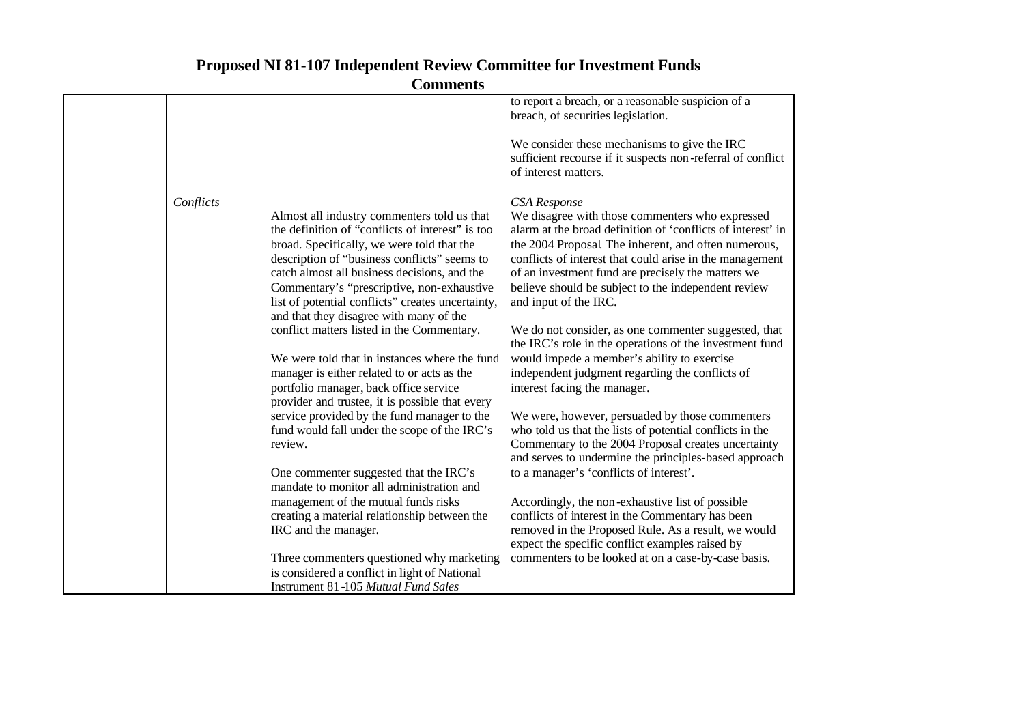|           | <b>Comments</b>                                                                                                                                                                                                                                                                                                                                                                                                                                                                                                                           |                                                                                                                                                                                                                                                                                                                                                                                                                                                                                                                                                                                                                     |
|-----------|-------------------------------------------------------------------------------------------------------------------------------------------------------------------------------------------------------------------------------------------------------------------------------------------------------------------------------------------------------------------------------------------------------------------------------------------------------------------------------------------------------------------------------------------|---------------------------------------------------------------------------------------------------------------------------------------------------------------------------------------------------------------------------------------------------------------------------------------------------------------------------------------------------------------------------------------------------------------------------------------------------------------------------------------------------------------------------------------------------------------------------------------------------------------------|
|           |                                                                                                                                                                                                                                                                                                                                                                                                                                                                                                                                           | to report a breach, or a reasonable suspicion of a<br>breach, of securities legislation.                                                                                                                                                                                                                                                                                                                                                                                                                                                                                                                            |
|           |                                                                                                                                                                                                                                                                                                                                                                                                                                                                                                                                           | We consider these mechanisms to give the IRC<br>sufficient recourse if it suspects non-referral of conflict<br>of interest matters.                                                                                                                                                                                                                                                                                                                                                                                                                                                                                 |
| Conflicts | Almost all industry commenters told us that<br>the definition of "conflicts of interest" is too<br>broad. Specifically, we were told that the<br>description of "business conflicts" seems to<br>catch almost all business decisions, and the<br>Commentary's "prescriptive, non-exhaustive<br>list of potential conflicts" creates uncertainty,<br>and that they disagree with many of the<br>conflict matters listed in the Commentary.<br>We were told that in instances where the fund<br>manager is either related to or acts as the | <b>CSA</b> Response<br>We disagree with those commenters who expressed<br>alarm at the broad definition of 'conflicts of interest' in<br>the 2004 Proposal The inherent, and often numerous,<br>conflicts of interest that could arise in the management<br>of an investment fund are precisely the matters we<br>believe should be subject to the independent review<br>and input of the IRC.<br>We do not consider, as one commenter suggested, that<br>the IRC's role in the operations of the investment fund<br>would impede a member's ability to exercise<br>independent judgment regarding the conflicts of |
|           | portfolio manager, back office service<br>provider and trustee, it is possible that every                                                                                                                                                                                                                                                                                                                                                                                                                                                 | interest facing the manager.                                                                                                                                                                                                                                                                                                                                                                                                                                                                                                                                                                                        |
|           | service provided by the fund manager to the<br>fund would fall under the scope of the IRC's<br>review.                                                                                                                                                                                                                                                                                                                                                                                                                                    | We were, however, persuaded by those commenters<br>who told us that the lists of potential conflicts in the<br>Commentary to the 2004 Proposal creates uncertainty<br>and serves to undermine the principles-based approach                                                                                                                                                                                                                                                                                                                                                                                         |
|           | One commenter suggested that the IRC's<br>mandate to monitor all administration and                                                                                                                                                                                                                                                                                                                                                                                                                                                       | to a manager's 'conflicts of interest'.                                                                                                                                                                                                                                                                                                                                                                                                                                                                                                                                                                             |
|           | management of the mutual funds risks<br>creating a material relationship between the<br>IRC and the manager.                                                                                                                                                                                                                                                                                                                                                                                                                              | Accordingly, the non-exhaustive list of possible<br>conflicts of interest in the Commentary has been<br>removed in the Proposed Rule. As a result, we would                                                                                                                                                                                                                                                                                                                                                                                                                                                         |
|           |                                                                                                                                                                                                                                                                                                                                                                                                                                                                                                                                           | expect the specific conflict examples raised by                                                                                                                                                                                                                                                                                                                                                                                                                                                                                                                                                                     |
|           | Three commenters questioned why marketing<br>is considered a conflict in light of National<br>Instrument 81-105 Mutual Fund Sales                                                                                                                                                                                                                                                                                                                                                                                                         | commenters to be looked at on a case-by-case basis.                                                                                                                                                                                                                                                                                                                                                                                                                                                                                                                                                                 |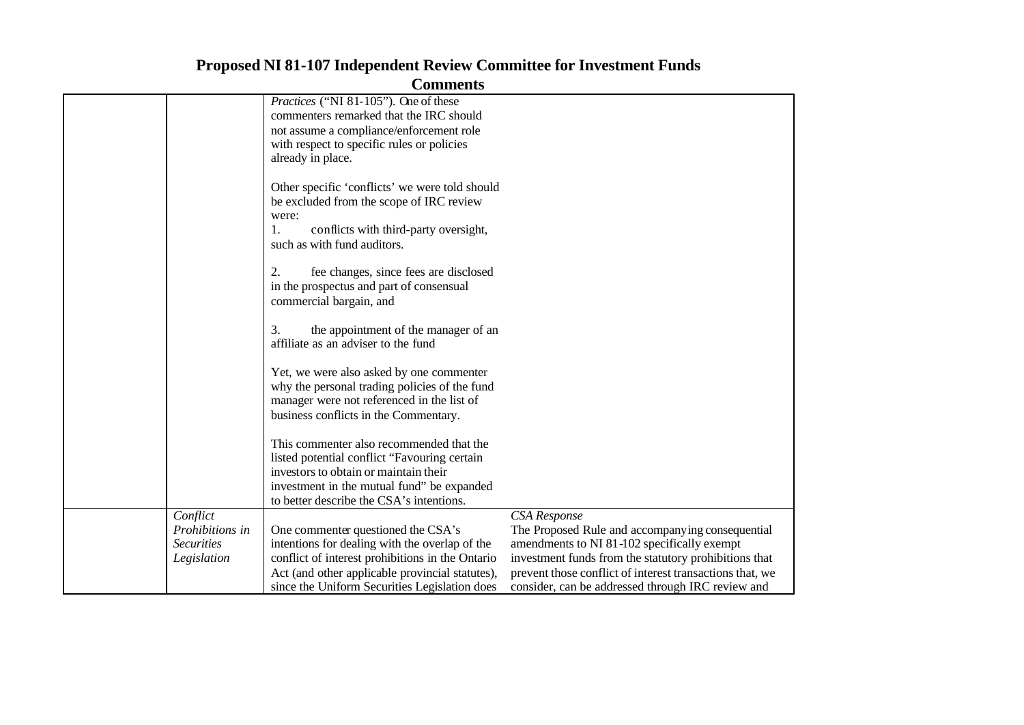| Comments          |                                                                                             |                                                          |  |  |
|-------------------|---------------------------------------------------------------------------------------------|----------------------------------------------------------|--|--|
|                   | <i>Practices</i> ("NI 81-105"). One of these                                                |                                                          |  |  |
|                   | commenters remarked that the IRC should                                                     |                                                          |  |  |
|                   | not assume a compliance/enforcement role                                                    |                                                          |  |  |
|                   | with respect to specific rules or policies                                                  |                                                          |  |  |
|                   | already in place.                                                                           |                                                          |  |  |
|                   |                                                                                             |                                                          |  |  |
|                   | Other specific 'conflicts' we were told should                                              |                                                          |  |  |
|                   | be excluded from the scope of IRC review                                                    |                                                          |  |  |
|                   | were:                                                                                       |                                                          |  |  |
|                   | 1.<br>conflicts with third-party oversight,                                                 |                                                          |  |  |
|                   | such as with fund auditors.                                                                 |                                                          |  |  |
|                   |                                                                                             |                                                          |  |  |
|                   | 2.<br>fee changes, since fees are disclosed                                                 |                                                          |  |  |
|                   | in the prospectus and part of consensual                                                    |                                                          |  |  |
|                   | commercial bargain, and                                                                     |                                                          |  |  |
|                   |                                                                                             |                                                          |  |  |
|                   | the appointment of the manager of an<br>3.                                                  |                                                          |  |  |
|                   | affiliate as an adviser to the fund                                                         |                                                          |  |  |
|                   |                                                                                             |                                                          |  |  |
|                   | Yet, we were also asked by one commenter                                                    |                                                          |  |  |
|                   | why the personal trading policies of the fund<br>manager were not referenced in the list of |                                                          |  |  |
|                   | business conflicts in the Commentary.                                                       |                                                          |  |  |
|                   |                                                                                             |                                                          |  |  |
|                   | This commenter also recommended that the                                                    |                                                          |  |  |
|                   | listed potential conflict "Favouring certain                                                |                                                          |  |  |
|                   | investors to obtain or maintain their                                                       |                                                          |  |  |
|                   | investment in the mutual fund" be expanded                                                  |                                                          |  |  |
|                   | to better describe the CSA's intentions.                                                    |                                                          |  |  |
| Conflict          |                                                                                             | <b>CSA</b> Response                                      |  |  |
| Prohibitions in   | One commenter questioned the CSA's                                                          | The Proposed Rule and accompanying consequential         |  |  |
| <b>Securities</b> | intentions for dealing with the overlap of the                                              | amendments to NI 81-102 specifically exempt              |  |  |
| Legislation       | conflict of interest prohibitions in the Ontario                                            | investment funds from the statutory prohibitions that    |  |  |
|                   | Act (and other applicable provincial statutes),                                             | prevent those conflict of interest transactions that, we |  |  |
|                   | since the Uniform Securities Legislation does                                               | consider, can be addressed through IRC review and        |  |  |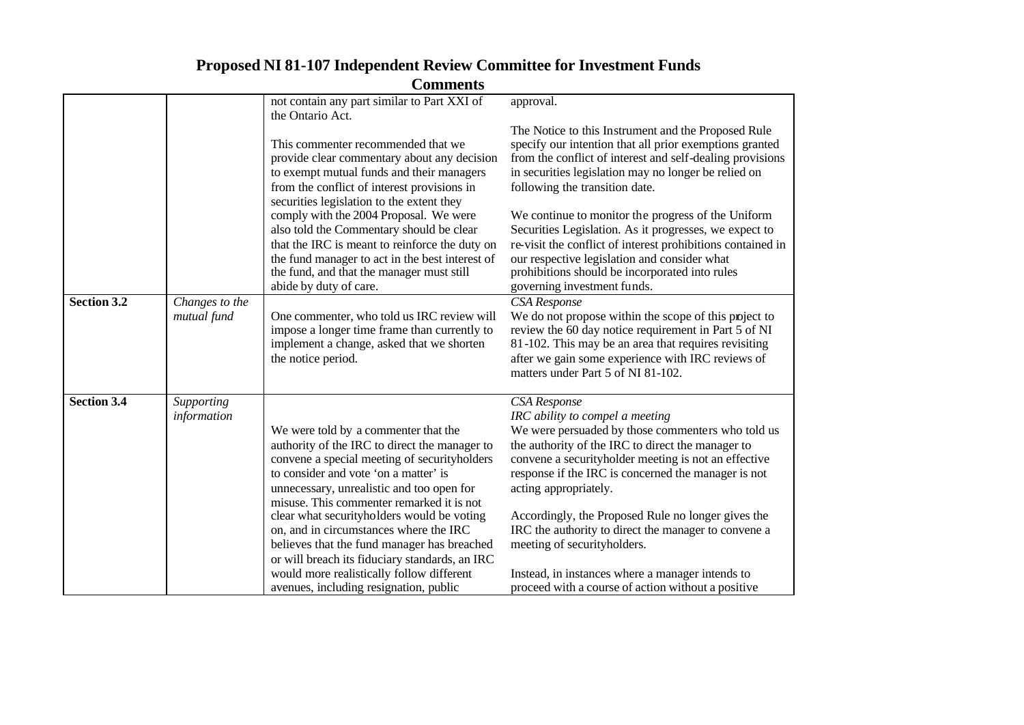| <b>Comments</b>    |                               |                                                                                                                                                                                                                                                                                                                                                                                                                                                                                                                                                          |                                                                                                                                                                                                                                                                                                                                                                                                                                                                                                                                                                                       |  |
|--------------------|-------------------------------|----------------------------------------------------------------------------------------------------------------------------------------------------------------------------------------------------------------------------------------------------------------------------------------------------------------------------------------------------------------------------------------------------------------------------------------------------------------------------------------------------------------------------------------------------------|---------------------------------------------------------------------------------------------------------------------------------------------------------------------------------------------------------------------------------------------------------------------------------------------------------------------------------------------------------------------------------------------------------------------------------------------------------------------------------------------------------------------------------------------------------------------------------------|--|
|                    |                               | not contain any part similar to Part XXI of<br>the Ontario Act.                                                                                                                                                                                                                                                                                                                                                                                                                                                                                          | approval.                                                                                                                                                                                                                                                                                                                                                                                                                                                                                                                                                                             |  |
|                    |                               | This commenter recommended that we<br>provide clear commentary about any decision<br>to exempt mutual funds and their managers<br>from the conflict of interest provisions in<br>securities legislation to the extent they<br>comply with the 2004 Proposal. We were<br>also told the Commentary should be clear<br>that the IRC is meant to reinforce the duty on<br>the fund manager to act in the best interest of<br>the fund, and that the manager must still<br>abide by duty of care.                                                             | The Notice to this Instrument and the Proposed Rule<br>specify our intention that all prior exemptions granted<br>from the conflict of interest and self-dealing provisions<br>in securities legislation may no longer be relied on<br>following the transition date.<br>We continue to monitor the progress of the Uniform<br>Securities Legislation. As it progresses, we expect to<br>re-visit the conflict of interest prohibitions contained in<br>our respective legislation and consider what<br>prohibitions should be incorporated into rules<br>governing investment funds. |  |
| Section 3.2        | Changes to the<br>mutual fund | One commenter, who told us IRC review will<br>impose a longer time frame than currently to<br>implement a change, asked that we shorten<br>the notice period.                                                                                                                                                                                                                                                                                                                                                                                            | CSA Response<br>We do not propose within the scope of this project to<br>review the 60 day notice requirement in Part 5 of NI<br>81-102. This may be an area that requires revisiting<br>after we gain some experience with IRC reviews of<br>matters under Part 5 of NI 81-102.                                                                                                                                                                                                                                                                                                      |  |
| <b>Section 3.4</b> | Supporting<br>information     | We were told by a commenter that the<br>authority of the IRC to direct the manager to<br>convene a special meeting of securityholders<br>to consider and vote 'on a matter' is<br>unnecessary, unrealistic and too open for<br>misuse. This commenter remarked it is not<br>clear what securityholders would be voting<br>on, and in circumstances where the IRC<br>believes that the fund manager has breached<br>or will breach its fiduciary standards, an IRC<br>would more realistically follow different<br>avenues, including resignation, public | <b>CSA</b> Response<br>IRC ability to compel a meeting<br>We were persuaded by those commenters who told us<br>the authority of the IRC to direct the manager to<br>convene a securityholder meeting is not an effective<br>response if the IRC is concerned the manager is not<br>acting appropriately.<br>Accordingly, the Proposed Rule no longer gives the<br>IRC the authority to direct the manager to convene a<br>meeting of securityholders.<br>Instead, in instances where a manager intends to<br>proceed with a course of action without a positive                       |  |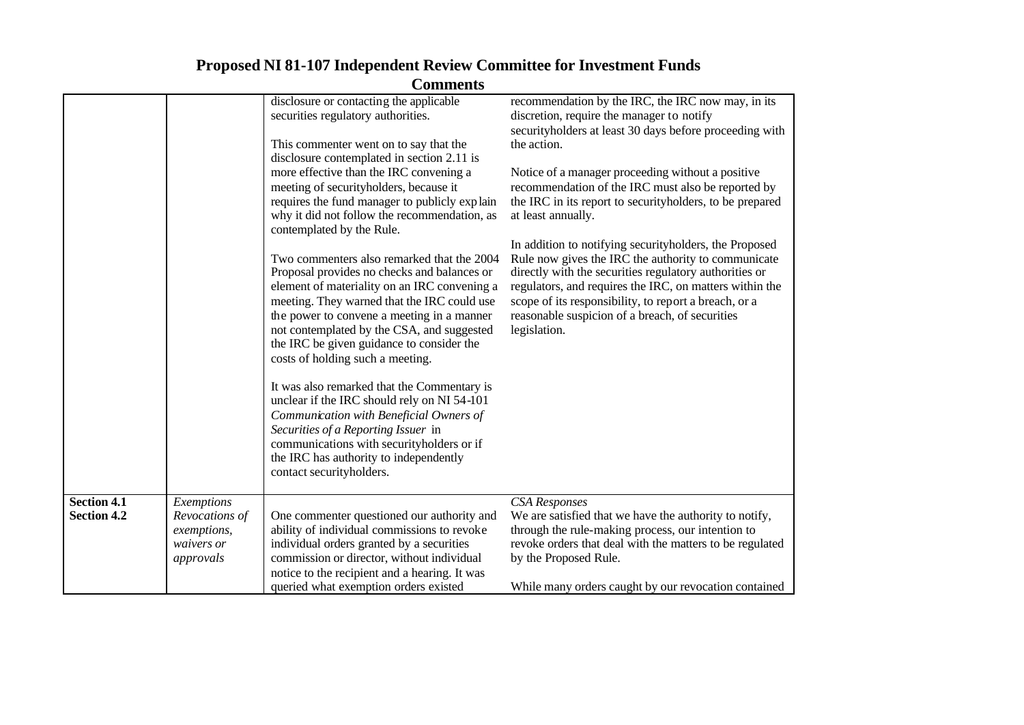| <b>Comments</b>                          |                                                                        |                                                                                                                                                                                                                                                                                                                                                                       |                                                                                                                                                                                                                                                                                                                                                                |  |
|------------------------------------------|------------------------------------------------------------------------|-----------------------------------------------------------------------------------------------------------------------------------------------------------------------------------------------------------------------------------------------------------------------------------------------------------------------------------------------------------------------|----------------------------------------------------------------------------------------------------------------------------------------------------------------------------------------------------------------------------------------------------------------------------------------------------------------------------------------------------------------|--|
|                                          |                                                                        | disclosure or contacting the applicable<br>securities regulatory authorities.                                                                                                                                                                                                                                                                                         | recommendation by the IRC, the IRC now may, in its<br>discretion, require the manager to notify<br>securityholders at least 30 days before proceeding with                                                                                                                                                                                                     |  |
|                                          |                                                                        | This commenter went on to say that the<br>disclosure contemplated in section 2.11 is                                                                                                                                                                                                                                                                                  | the action.                                                                                                                                                                                                                                                                                                                                                    |  |
|                                          |                                                                        | more effective than the IRC convening a<br>meeting of securityholders, because it<br>requires the fund manager to publicly explain<br>why it did not follow the recommendation, as<br>contemplated by the Rule.                                                                                                                                                       | Notice of a manager proceeding without a positive<br>recommendation of the IRC must also be reported by<br>the IRC in its report to securityholders, to be prepared<br>at least annually.                                                                                                                                                                      |  |
|                                          |                                                                        | Two commenters also remarked that the 2004<br>Proposal provides no checks and balances or<br>element of materiality on an IRC convening a<br>meeting. They warned that the IRC could use<br>the power to convene a meeting in a manner<br>not contemplated by the CSA, and suggested<br>the IRC be given guidance to consider the<br>costs of holding such a meeting. | In addition to notifying securityholders, the Proposed<br>Rule now gives the IRC the authority to communicate<br>directly with the securities regulatory authorities or<br>regulators, and requires the IRC, on matters within the<br>scope of its responsibility, to report a breach, or a<br>reasonable suspicion of a breach, of securities<br>legislation. |  |
|                                          |                                                                        | It was also remarked that the Commentary is<br>unclear if the IRC should rely on NI 54-101<br>Communication with Beneficial Owners of<br>Securities of a Reporting Issuer in<br>communications with securityholders or if<br>the IRC has authority to independently<br>contact securityholders.                                                                       |                                                                                                                                                                                                                                                                                                                                                                |  |
| <b>Section 4.1</b><br><b>Section 4.2</b> | Exemptions<br>Revocations of<br>exemptions,<br>waivers or<br>approvals | One commenter questioned our authority and<br>ability of individual commissions to revoke<br>individual orders granted by a securities<br>commission or director, without individual<br>notice to the recipient and a hearing. It was<br>queried what exemption orders existed                                                                                        | <b>CSA</b> Responses<br>We are satisfied that we have the authority to notify,<br>through the rule-making process, our intention to<br>revoke orders that deal with the matters to be regulated<br>by the Proposed Rule.<br>While many orders caught by our revocation contained                                                                               |  |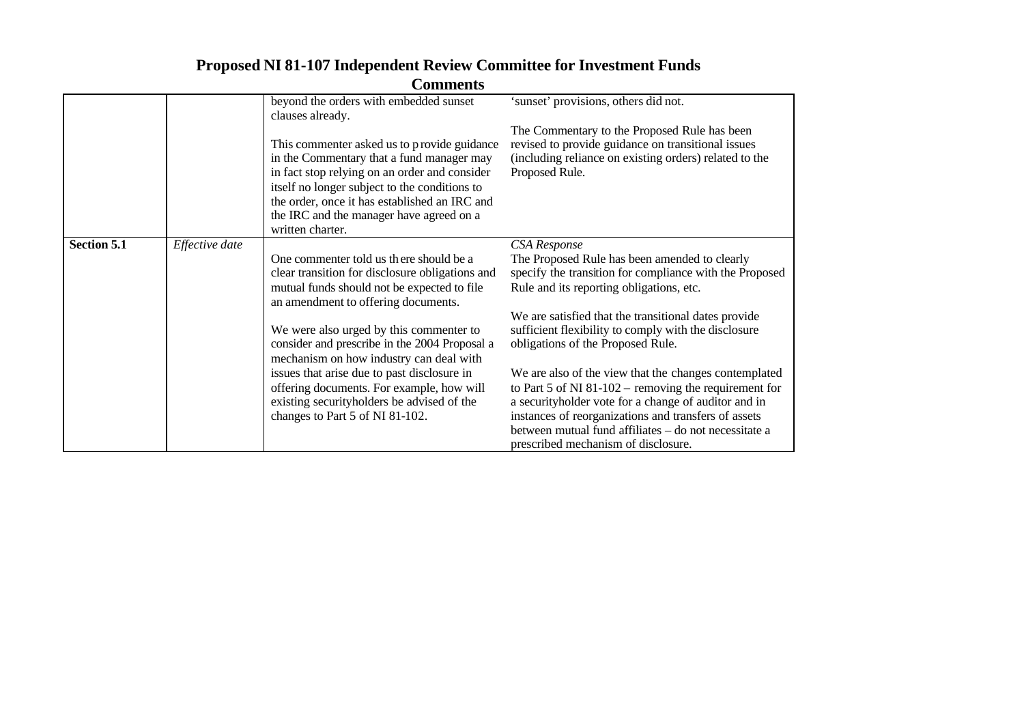|             |                | <b>Comments</b>                                                                                                                                                                                                                                                                                             |                                                                                                                                                                                                                                                                                         |
|-------------|----------------|-------------------------------------------------------------------------------------------------------------------------------------------------------------------------------------------------------------------------------------------------------------------------------------------------------------|-----------------------------------------------------------------------------------------------------------------------------------------------------------------------------------------------------------------------------------------------------------------------------------------|
|             |                | beyond the orders with embedded sunset<br>clauses already.                                                                                                                                                                                                                                                  | 'sunset' provisions, others did not.                                                                                                                                                                                                                                                    |
|             |                | This commenter asked us to provide guidance<br>in the Commentary that a fund manager may<br>in fact stop relying on an order and consider<br>itself no longer subject to the conditions to<br>the order, once it has established an IRC and<br>the IRC and the manager have agreed on a<br>written charter. | The Commentary to the Proposed Rule has been<br>revised to provide guidance on transitional issues<br>(including reliance on existing orders) related to the<br>Proposed Rule.                                                                                                          |
| Section 5.1 | Effective date | One commenter told us there should be a<br>clear transition for disclosure obligations and<br>mutual funds should not be expected to file<br>an amendment to offering documents.                                                                                                                            | <b>CSA</b> Response<br>The Proposed Rule has been amended to clearly<br>specify the transition for compliance with the Proposed<br>Rule and its reporting obligations, etc.                                                                                                             |
|             |                | We were also urged by this commenter to<br>consider and prescribe in the 2004 Proposal a<br>mechanism on how industry can deal with                                                                                                                                                                         | We are satisfied that the transitional dates provide<br>sufficient flexibility to comply with the disclosure<br>obligations of the Proposed Rule.                                                                                                                                       |
|             |                | issues that arise due to past disclosure in<br>offering documents. For example, how will<br>existing securityholders be advised of the<br>changes to Part 5 of NI 81-102.                                                                                                                                   | We are also of the view that the changes contemplated<br>to Part 5 of NI 81-102 – removing the requirement for<br>a securityholder vote for a change of auditor and in<br>instances of reorganizations and transfers of assets<br>between mutual fund affiliates - do not necessitate a |
|             |                |                                                                                                                                                                                                                                                                                                             | prescribed mechanism of disclosure.                                                                                                                                                                                                                                                     |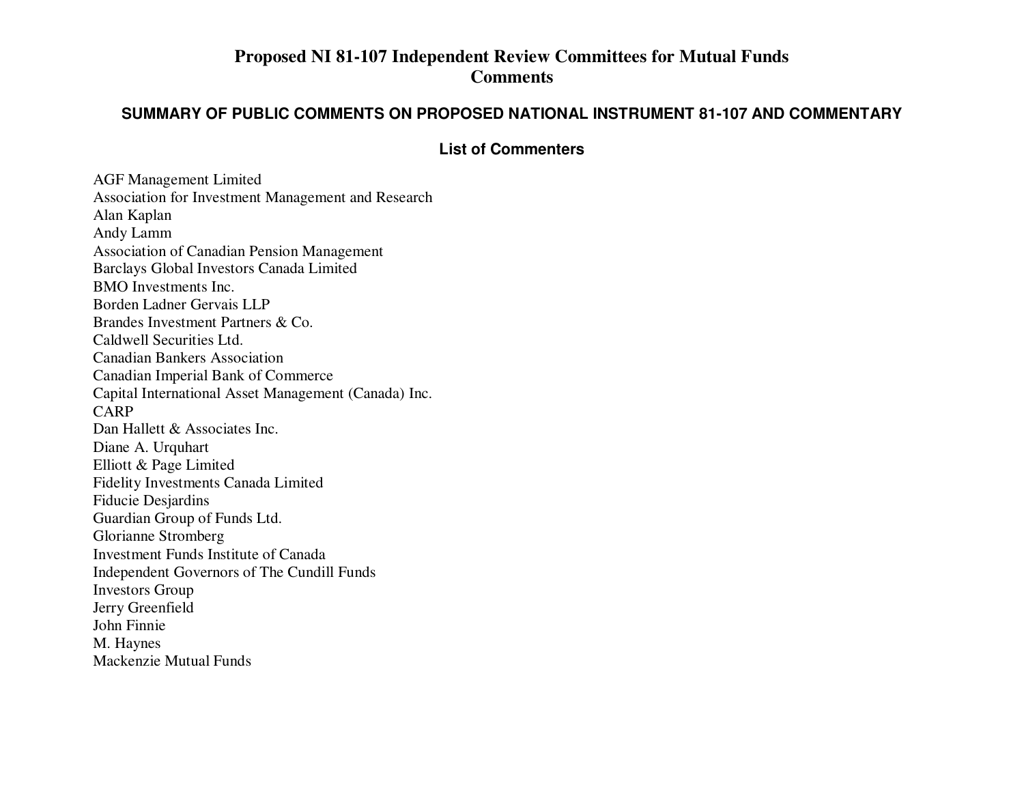## **Proposed NI 81-107 Independent Review Committees for Mutual Funds Comments**

### **SUMMARY OF PUBLIC COMMENTS ON PROPOSED NATIONAL INSTRUMENT 81-107 AND COMMENTARY**

### **List of Commenters**

AGF Management Limited Association for Investment Management and Research Alan Kaplan Andy Lamm Association of Canadian Pension Management Barclays Global Investors Canada Limited BMO Investments Inc. Borden Ladner Gervais LLPBrandes Investment Partners & Co. Caldwell Securities Ltd. Canadian Bankers Association Canadian Imperial Bank of Commerce Capital International Asset Management (Canada) Inc. CARPDan Hallett & Associates Inc. Diane A. Urquhart Elliott & Page Limited Fidelity Investments Canada Limited Fiducie Desjardins Guardian Group of Funds Ltd. Glorianne Stromberg Investment Funds Institute of Canada Independent Governors of The Cundill Funds Investors Group Jerry Greenfield John Finnie M. Haynes Mackenzie Mutual Funds